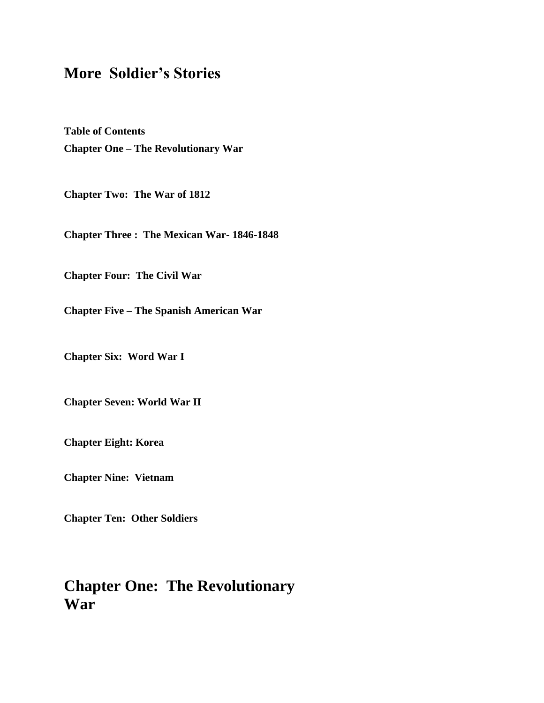# **More Soldier's Stories**

**Table of Contents Chapter One – The Revolutionary War**

**Chapter Two: The War of 1812**

**Chapter Three : The Mexican War- 1846-1848**

**Chapter Four: The Civil War**

**Chapter Five – The Spanish American War**

**Chapter Six: Word War I**

**Chapter Seven: World War II**

**Chapter Eight: Korea**

**Chapter Nine: Vietnam**

**Chapter Ten: Other Soldiers**

# **Chapter One: The Revolutionary War**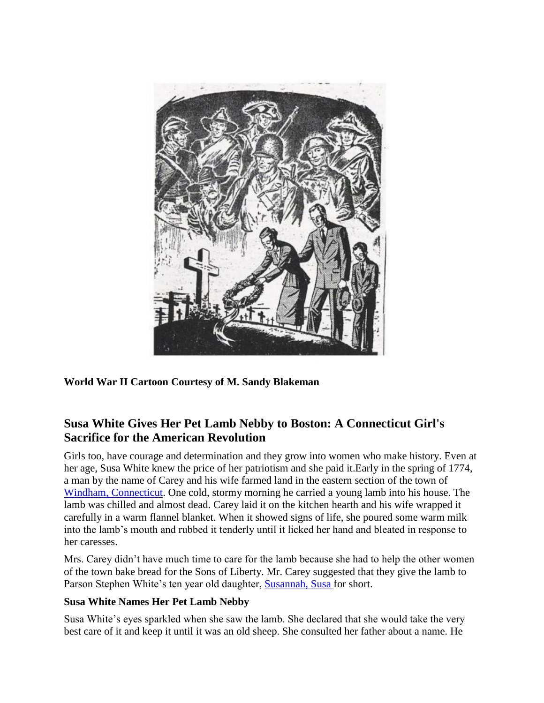

**World War II Cartoon Courtesy of M. Sandy Blakeman**

# **Susa White Gives Her Pet Lamb Nebby to Boston: A Connecticut Girl's Sacrifice for the American Revolution**

Girls too, have courage and determination and they grow into women who make history. Even at her age, Susa White knew the price of her patriotism and she paid it.Early in the spring of 1774, a man by the name of Carey and his wife farmed land in the eastern section of the town of [Windham, Connecticut.](http://www.connecticutgenealogy.com/windham/) One cold, stormy morning he carried a young lamb into his house. The lamb was chilled and almost dead. Carey laid it on the kitchen hearth and his wife wrapped it carefully in a warm flannel blanket. When it showed signs of life, she poured some warm milk into the lamb's mouth and rubbed it tenderly until it licked her hand and bleated in response to her caresses.

Mrs. Carey didn't have much time to care for the lamb because she had to help the other women of the town bake bread for the Sons of Liberty. Mr. Carey suggested that they give the lamb to Parson Stephen White's ten year old daughter, [Susannah, Susa f](http://books.google.com/books?id=ZLHPAAAAMAAJ&pg=RA1-PA329&lpg=RA1-PA329&dq=susa+white+nebby+boston&source=bl&ots=O4ry-GZacp&sig=-wVv18rJODr_8aA6_ehCKFP_nMs&hl=en&ei=L3OlS_6aOIO1tgeB1NH7CQ&sa=X&oi=book_result&ct=result&resnum=5&ved=0CBQQ6AEwBA)or short.

#### **Susa White Names Her Pet Lamb Nebby**

Susa White's eyes sparkled when she saw the lamb. She declared that she would take the very best care of it and keep it until it was an old sheep. She consulted her father about a name. He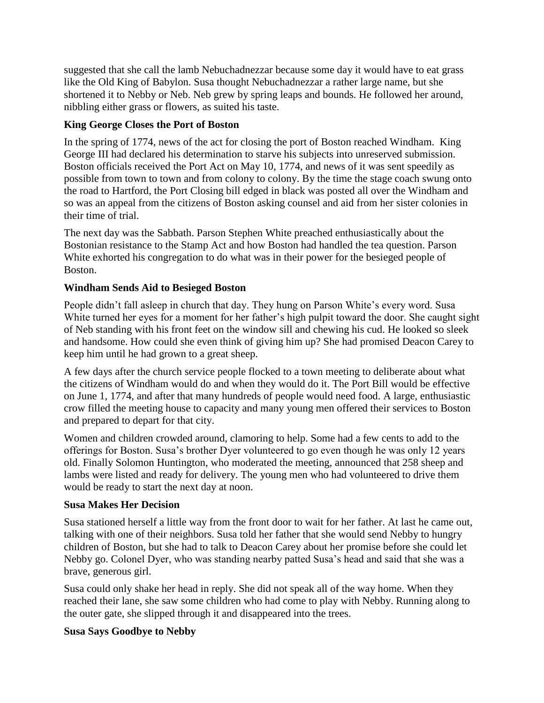suggested that she call the lamb Nebuchadnezzar because some day it would have to eat grass like the Old King of Babylon. Susa thought Nebuchadnezzar a rather large name, but she shortened it to Nebby or Neb. Neb grew by spring leaps and bounds. He followed her around, nibbling either grass or flowers, as suited his taste.

#### **King George Closes the Port of Boston**

In the spring of 1774, news of the act for closing the port of Boston reached Windham. King George III had declared his determination to starve his subjects into unreserved submission. Boston officials received the Port Act on May 10, 1774, and news of it was sent speedily as possible from town to town and from colony to colony. By the time the stage coach swung onto the road to Hartford, the Port Closing bill edged in black was posted all over the Windham and so was an appeal from the citizens of Boston asking counsel and aid from her sister colonies in their time of trial.

The next day was the Sabbath. Parson Stephen White preached enthusiastically about the Bostonian resistance to the Stamp Act and how Boston had handled the tea question. Parson White exhorted his congregation to do what was in their power for the besieged people of Boston.

## **Windham Sends Aid to Besieged Boston**

People didn't fall asleep in church that day. They hung on Parson White's every word. Susa White turned her eyes for a moment for her father's high pulpit toward the door. She caught sight of Neb standing with his front feet on the window sill and chewing his cud. He looked so sleek and handsome. How could she even think of giving him up? She had promised Deacon Carey to keep him until he had grown to a great sheep.

A few days after the church service people flocked to a town meeting to deliberate about what the citizens of Windham would do and when they would do it. The Port Bill would be effective on June 1, 1774, and after that many hundreds of people would need food. A large, enthusiastic crow filled the meeting house to capacity and many young men offered their services to Boston and prepared to depart for that city.

Women and children crowded around, clamoring to help. Some had a few cents to add to the offerings for Boston. Susa's brother Dyer volunteered to go even though he was only 12 years old. Finally Solomon Huntington, who moderated the meeting, announced that 258 sheep and lambs were listed and ready for delivery. The young men who had volunteered to drive them would be ready to start the next day at noon.

#### **Susa Makes Her Decision**

Susa stationed herself a little way from the front door to wait for her father. At last he came out, talking with one of their neighbors. Susa told her father that she would send Nebby to hungry children of Boston, but she had to talk to Deacon Carey about her promise before she could let Nebby go. Colonel Dyer, who was standing nearby patted Susa's head and said that she was a brave, generous girl.

Susa could only shake her head in reply. She did not speak all of the way home. When they reached their lane, she saw some children who had come to play with Nebby. Running along to the outer gate, she slipped through it and disappeared into the trees.

#### **Susa Says Goodbye to Nebby**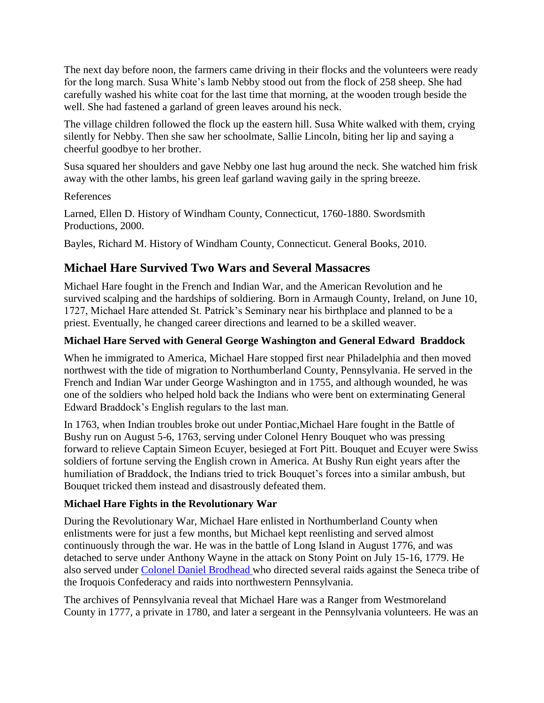The next day before noon, the farmers came driving in their flocks and the volunteers were ready for the long march. Susa White's lamb Nebby stood out from the flock of 258 sheep. She had carefully washed his white coat for the last time that morning, at the wooden trough beside the well. She had fastened a garland of green leaves around his neck.

The village children followed the flock up the eastern hill. Susa White walked with them, crying silently for Nebby. Then she saw her schoolmate, Sallie Lincoln, biting her lip and saying a cheerful goodbye to her brother.

Susa squared her shoulders and gave Nebby one last hug around the neck. She watched him frisk away with the other lambs, his green leaf garland waving gaily in the spring breeze.

References

Larned, Ellen D. History of Windham County, Connecticut, 1760-1880. Swordsmith Productions, 2000.

Bayles, Richard M. History of Windham County, Connecticut. General Books, 2010.

# **Michael Hare Survived Two Wars and Several Massacres**

Michael Hare fought in the French and Indian War, and the American Revolution and he survived scalping and the hardships of soldiering. Born in Armaugh County, Ireland, on June 10, 1727, Michael Hare attended St. Patrick's Seminary near his birthplace and planned to be a priest. Eventually, he changed career directions and learned to be a skilled weaver.

# **Michael Hare Served with General George Washington and General Edward Braddock**

When he immigrated to America, Michael Hare stopped first near Philadelphia and then moved northwest with the tide of migration to Northumberland County, Pennsylvania. He served in the French and Indian War under George Washington and in 1755, and although wounded, he was one of the soldiers who helped hold back the Indians who were bent on exterminating General Edward Braddock's English regulars to the last man.

In 1763, when Indian troubles broke out under Pontiac,Michael Hare fought in the Battle of Bushy run on August 5-6, 1763, serving under Colonel Henry Bouquet who was pressing forward to relieve Captain Simeon Ecuyer, besieged at Fort Pitt. Bouquet and Ecuyer were Swiss soldiers of fortune serving the English crown in America. At Bushy Run eight years after the humiliation of Braddock, the Indians tried to trick Bouquet's forces into a similar ambush, but Bouquet tricked them instead and disastrously defeated them.

# **Michael Hare Fights in the Revolutionary War**

During the Revolutionary War, Michael Hare enlisted in Northumberland County when enlistments were for just a few months, but Michael kept reenlisting and served almost continuously through the war. He was in the battle of Long Island in August 1776, and was detached to serve under Anthony Wayne in the attack on Stony Point on July 15-16, 1779. He also served under [Colonel Daniel Brodhead w](http://books.google.com/books?id=H_wTAAAAYAAJ&pg=PA374&lpg=PA374&dq=colonel+daniel+brodhead&source=bl&ots=SNAtsLxlci&sig=h310E7JAHTppID4H_mJT2gb9eKU&hl=en&ei=XFX9S6yWKZG-NoX5sN4H&sa=X&oi=book_result&ct=result&resnum=2&ved=0CBoQ6AEwAQ)ho directed several raids against the Seneca tribe of the Iroquois Confederacy and raids into northwestern Pennsylvania.

The archives of Pennsylvania reveal that Michael Hare was a Ranger from Westmoreland County in 1777, a private in 1780, and later a sergeant in the Pennsylvania volunteers. He was an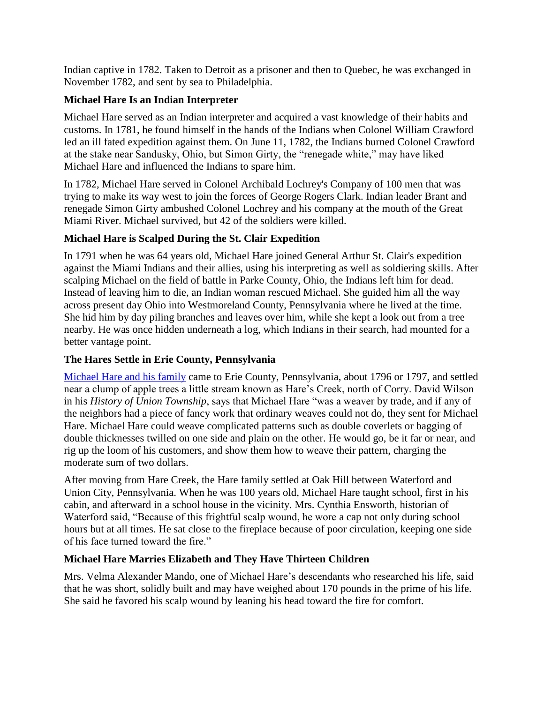Indian captive in 1782. Taken to Detroit as a prisoner and then to Quebec, he was exchanged in November 1782, and sent by sea to Philadelphia.

## **Michael Hare Is an Indian Interpreter**

Michael Hare served as an Indian interpreter and acquired a vast knowledge of their habits and customs. In 1781, he found himself in the hands of the Indians when Colonel William Crawfor[d](http://www.rootsweb.ancestry.com/~wvberkel/crawfrdwilbi.html) led an ill fated expedition against them. On June 11, 1782, the Indians burned Colonel Crawford at the stake near Sandusky, Ohio, but Simon Girty, the "renegade white," may have liked Michael Hare and influenced the Indians to spare him.

In 1782, Michael Hare served in Colonel Archibald Lochrey's Company of 100 men that was trying to make its way west to join the forces of George Rogers Clark. Indian leader Brant and renegade Simon Girty ambushed Colonel Lochrey and his company at the mouth of the Great Miami River. Michael survived, but 42 of the soldiers were killed.

# **Michael Hare is Scalped During the St. Clair Expedition**

In 1791 when he was 64 years old, Michael Hare joined General Arthur St. Clair's expedition against the Miami Indians and their allies, using his interpreting as well as soldiering skills. After scalping Michael on the field of battle in Parke County, Ohio, the Indians left him for dead. Instead of leaving him to die, an Indian woman rescued Michael. She guided him all the way across present day Ohio into Westmoreland County, Pennsylvania where he lived at the time. She hid him by day piling branches and leaves over him, while she kept a look out from a tree nearby. He was once hidden underneath a log, which Indians in their search, had mounted for a better vantage point.

#### **The Hares Settle in Erie County, Pennsylvania**

[Michael Hare and his family](http://www.rootsweb.ancestry.com/~paerie/cemeteries/MHare.htm) came to Erie County, Pennsylvania, about 1796 or 1797, and settled near a clump of apple trees a little stream known as Hare's Creek, north of Corry. David Wilson in his *History of Union Township*, says that Michael Hare "was a weaver by trade, and if any of the neighbors had a piece of fancy work that ordinary weaves could not do, they sent for Michael Hare. Michael Hare could weave complicated patterns such as double coverlets or bagging of double thicknesses twilled on one side and plain on the other. He would go, be it far or near, and rig up the loom of his customers, and show them how to weave their pattern, charging the moderate sum of two dollars.

After moving from Hare Creek, the Hare family settled at Oak Hill between Waterford and Union City, Pennsylvania. When he was 100 years old, Michael Hare taught school, first in his cabin, and afterward in a school house in the vicinity. Mrs. Cynthia Ensworth, historian of Waterford said, "Because of this frightful scalp wound, he wore a cap not only during school hours but at all times. He sat close to the fireplace because of poor circulation, keeping one side of his face turned toward the fire."

#### **Michael Hare Marries Elizabeth and They Have Thirteen Children**

Mrs. Velma Alexander Mando, one of Michael Hare's descendants who researched his life, said that he was short, solidly built and may have weighed about 170 pounds in the prime of his life. She said he favored his scalp wound by leaning his head toward the fire for comfort.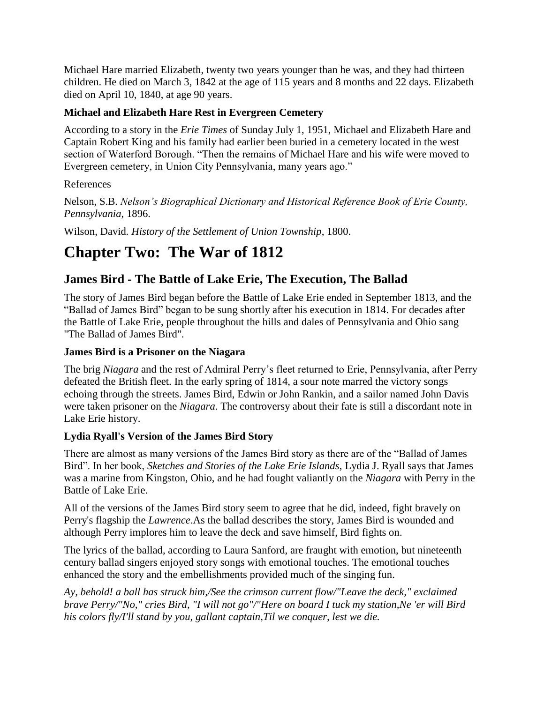Michael Hare married Elizabeth, twenty two years younger than he was, and they had thirteen children. He died on March 3, 1842 at the age of 115 years and 8 months and 22 days. Elizabeth died on April 10, 1840, at age 90 years.

## **Michael and Elizabeth Hare Rest in Evergreen Cemetery**

According to a story in the *Erie Times* of Sunday July 1, 1951, Michael and Elizabeth Hare and Captain Robert King and his family had earlier been buried in a cemetery located in the west section of Waterford Borough. "Then the remains of Michael Hare and his wife were moved to Evergreen cemetery, in Union City Pennsylvania, many years ago."

#### References

Nelson, S.B. *Nelson's Biographical Dictionary and Historical Reference Book of Erie County, Pennsylvania*, 1896.

Wilson, David*. History of the Settlement of Union Township*, 1800.

# **Chapter Two: The War of 1812**

# **James Bird - The Battle of Lake Erie, The Execution, The Ballad**

The story of James Bird began before the Battle of Lake Erie ended in September 1813, and the "Ballad of James Bird" began to be sung shortly after his execution in 1814. For decades after the Battle of Lake Erie, people throughout the hills and dales of Pennsylvania and Ohio sang "The Ballad of James Bird".

#### **James Bird is a Prisoner on the Niagara**

The brig *Niagara* and the rest of Admiral Perry's fleet returned to Erie, Pennsylvania, after Perry defeated the British fleet. In the early spring of 1814, a sour note marred the victory songs echoing through the streets. James Bird, Edwin or John Rankin, and a sailor named John Davis were taken prisoner on the *Niagara*. The controversy about their fate is still a discordant note in Lake Erie history.

#### **Lydia Ryall's Version of the James Bird Story**

There are almost as many versions of the James Bird story as there are of the "Ballad of James Bird". In her book, *Sketches and Stories of the Lake Erie Islands*, Lydia J. Ryall says that James was a marine from Kingston, Ohio, and he had fought valiantly on the *Niagara* with Perry in the Battle of Lake Erie.

All of the versions of the James Bird story seem to agree that he did, indeed, fight bravely on Perry's flagship the *Lawrence*.As the ballad describes the story, James Bird is wounded and although Perry implores him to leave the deck and save himself, Bird fights on.

The lyrics of the ballad, according to Laura Sanford, are fraught with emotion, but nineteenth century ballad singers enjoyed story songs with emotional touches. The emotional touches enhanced the story and the embellishments provided much of the singing fun.

*Ay, behold! a ball has struck him,/See the crimson current flow/"Leave the deck," exclaimed brave Perry/"No," cries Bird, "I will not go"/"Here on board I tuck my station,Ne 'er will Bird his colors fly/I'll stand by you, gallant captain,Til we conquer, lest we die.*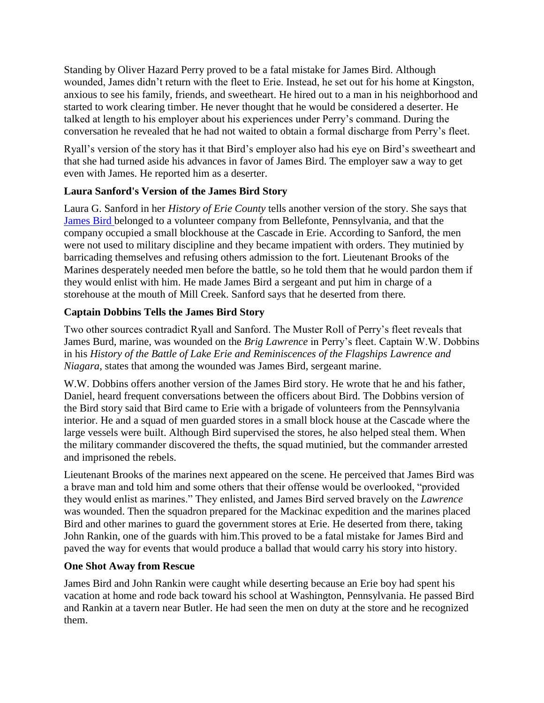Standing by Oliver Hazard Perry proved to be a fatal mistake for James Bird. Although wounded, James didn't return with the fleet to Erie. Instead, he set out for his home at Kingston, anxious to see his family, friends, and sweetheart. He hired out to a man in his neighborhood and started to work clearing timber. He never thought that he would be considered a deserter. He talked at length to his employer about his experiences under Perry's command. During the conversation he revealed that he had not waited to obtain a formal discharge from Perry's fleet.

Ryall's version of the story has it that Bird's employer also had his eye on Bird's sweetheart and that she had turned aside his advances in favor of James Bird. The employer saw a way to get even with James. He reported him as a deserter.

## **Laura Sanford's Version of the James Bird Story**

Laura G. Sanford in her *History of Erie County* tells another version of the story. She says that [James Bird b](http://books.google.com/books?id=gvwKAAAAIAAJ&pg=PA52&lpg=PA52&dq=ballad+of+james+bird&source=bl&ots=youdfQ0HmX&sig=hoVQ4t1NRd9aC4_AP2ScH4SWdcE&hl=en&ei=lcq8S6nIBoXANsyP5KgH&sa=X&oi=book_result&ct=result&resnum=1&ved=0CAYQ6AEwAA)elonged to a volunteer company from Bellefonte, Pennsylvania, and that the company occupied a small blockhouse at the Cascade in Erie. According to Sanford, the men were not used to military discipline and they became impatient with orders. They mutinied by barricading themselves and refusing others admission to the fort. Lieutenant Brooks of the Marines desperately needed men before the battle, so he told them that he would pardon them if they would enlist with him. He made James Bird a sergeant and put him in charge of a storehouse at the mouth of Mill Creek. Sanford says that he deserted from there.

# **Captain Dobbins Tells the James Bird Story**

Two other sources contradict Ryall and Sanford. The Muster Roll of Perry's fleet reveals that James Burd, marine, was wounded on the *Brig Lawrence* in Perry's fleet. Captain W.W. Dobbins in his *History of the Battle of Lake Erie and Reminiscences of the Flagships Lawrence and Niagara*, states that among the wounded was James Bird, sergeant marine.

W.W. Dobbins offers another version of the James Bird story. He wrote that he and his father, Daniel, heard frequent conversations between the officers about Bird. The Dobbins version of the Bird story said that Bird came to Erie with a brigade of volunteers from the Pennsylvania interior. He and a squad of men guarded stores in a small block house at the Cascade where the large vessels were built. Although Bird supervised the stores, he also helped steal them. When the military commander discovered the thefts, the squad mutinied, but the commander arrested and imprisoned the rebels.

Lieutenant Brooks of the marines next appeared on the scene. He perceived that James Bird was a brave man and told him and some others that their offense would be overlooked, "provided they would enlist as marines." They enlisted, and James Bird served bravely on the *Lawrence*  was wounded. Then the squadron prepared for the Mackinac expedition and the marines placed Bird and other marines to guard the government stores at Erie. He deserted from there, taking John Rankin, one of the guards with him.This proved to be a fatal mistake for James Bird and paved the way for events that would produce a ballad that would carry his story into history.

#### **One Shot Away from Rescue**

James Bird and John Rankin were caught while deserting because an Erie boy had spent his vacation at home and rode back toward his school at Washington, Pennsylvania. He passed Bird and Rankin at a tavern near Butler. He had seen the men on duty at the store and he recognized them.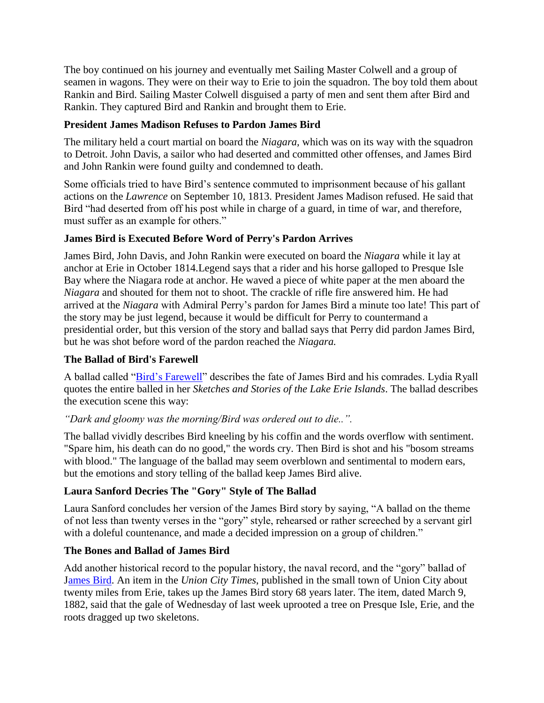The boy continued on his journey and eventually met Sailing Master Colwell and a group of seamen in wagons. They were on their way to Erie to join the squadron. The boy told them about Rankin and Bird. Sailing Master Colwell disguised a party of men and sent them after Bird and Rankin. They captured Bird and Rankin and brought them to Erie.

## **President James Madison Refuses to Pardon James Bird**

The military held a court martial on board the *Niagara,* which was on its way with the squadron to Detroit. John Davis, a sailor who had deserted and committed other offenses, and James Bird and John Rankin were found guilty and condemned to death.

Some officials tried to have Bird's sentence commuted to imprisonment because of his gallant actions on the *Lawrence* on September 10, 1813. President James Madison refused. He said that Bird "had deserted from off his post while in charge of a guard, in time of war, and therefore, must suffer as an example for others."

## **James Bird is Executed Before Word of Perry's Pardon Arrives**

James Bird, John Davis, and John Rankin were executed on board the *Niagara* while it lay at anchor at Erie in October 1814.Legend says that a rider and his horse galloped to Presque Isle Bay where the Niagara rode at anchor. He waved a piece of white paper at the men aboard the *Niagara* and shouted for them not to shoot. The crackle of rifle fire answered him. He had arrived at the *Niagara* with Admiral Perry's pardon for James Bird a minute too late! This part of the story may be just legend, because it would be difficult for Perry to countermand a presidential order, but this version of the story and ballad says that Perry did pardon James Bird, but he was shot before word of the pardon reached the *Niagara.*

# **The Ballad of Bird's Farewell**

A ballad called ["Bird's Farewell"](http://lcweb2.loc.gov/cgi-bin/query/S?ammem/afcnyebib:@OR(@field(TITLE+@od1(Disc+03,+Side+A:+James+Bird++Lyrics+))+@field(ALTTITLE+@od1(Disc+03,+Side+A:+James+Bird++Lyrics+))+)) describes the fate of James Bird and his comrades. Lydia Ryall quotes the entire balled in her *Sketches and Stories of the Lake Erie Islands*. The ballad describes the execution scene this way:

*"Dark and gloomy was the morning/Bird was ordered out to die..".*

The ballad vividly describes Bird kneeling by his coffin and the words overflow with sentiment. "Spare him, his death can do no good," the words cry. Then Bird is shot and his "bosom streams with blood." The language of the ballad may seem overblown and sentimental to modern ears, but the emotions and story telling of the ballad keep James Bird alive.

# **Laura Sanford Decries The "Gory" Style of The Ballad**

Laura Sanford concludes her version of the James Bird story by saying, "A ballad on the theme of not less than twenty verses in the "gory" style, rehearsed or rather screeched by a servant girl with a doleful countenance, and made a decided impression on a group of children."

# **The Bones and Ballad of James Bird**

Add another historical record to the popular history, the naval record, and the "gory" ballad of [James Bird.](http://books.google.com/books?id=hf0oAAAAYAAJ&pg=PA14&lpg=PA14&dq=ballad+of+james+bird&source=bl&ots=oyvoM2827q&sig=y_UdCW_2pCuWiqv_78L57k5DSLM&hl=en&ei=rsy8S6jNDZPQM6bh2J8H&sa=X&oi=book_result&ct=result&resnum=1&ved=0CAUQ6AEwADge) An item in the *Union City Times*, published in the small town of Union City about twenty miles from Erie, takes up the James Bird story 68 years later. The item, dated March 9, 1882, said that the gale of Wednesday of last week uprooted a tree on Presque Isle, Erie, and the roots dragged up two skeletons.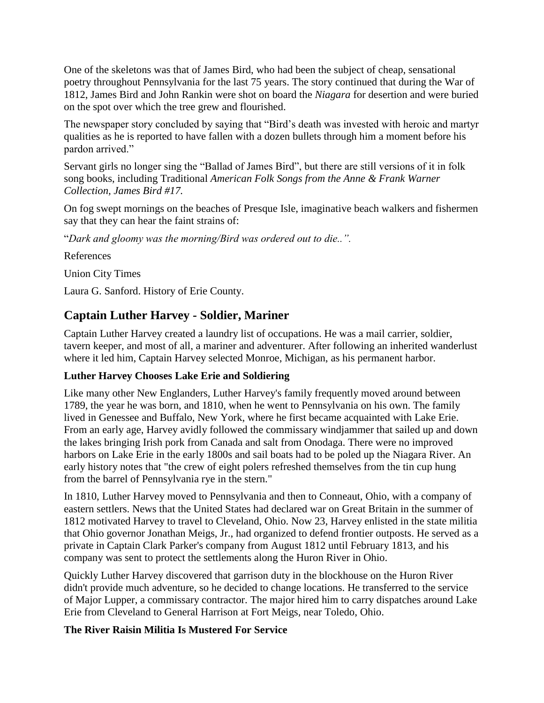One of the skeletons was that of James Bird, who had been the subject of cheap, sensational poetry throughout Pennsylvania for the last 75 years. The story continued that during the War of 1812, James Bird and John Rankin were shot on board the *Niagara* for desertion and were buried on the spot over which the tree grew and flourished.

The newspaper story concluded by saying that "Bird's death was invested with heroic and martyr qualities as he is reported to have fallen with a dozen bullets through him a moment before his pardon arrived."

Servant girls no longer sing the "Ballad of James Bird", but there are still versions of it in folk song books, including Traditional *American Folk Songs from the Anne & Frank Warner Collection, James Bird #17.*

On fog swept mornings on the beaches of Presque Isle, imaginative beach walkers and fishermen say that they can hear the faint strains of:

"*Dark and gloomy was the morning/Bird was ordered out to die..".*

References

Union City Times

Laura G. Sanford. History of Erie County.

# **Captain Luther Harvey - Soldier, Mariner**

Captain Luther Harvey created a laundry list of occupations. He was a mail carrier, soldier, tavern keeper, and most of all, a mariner and adventurer. After following an inherited wanderlust where it led him, Captain Harvey selected Monroe, Michigan, as his permanent harbor.

# **Luther Harvey Chooses Lake Erie and Soldiering**

Like many other New Englanders, Luther Harvey's family frequently moved around between 1789, the year he was born, and 1810, when he went to Pennsylvania on his own. The family lived in Genessee and Buffalo, New York, where he first became acquainted with Lake Erie. From an early age, Harvey avidly followed the commissary windjammer that sailed up and down the lakes bringing Irish pork from Canada and salt from Onodaga. There were no improved harbors on Lake Erie in the early 1800s and sail boats had to be poled up the Niagara River. An early history notes that "the crew of eight polers refreshed themselves from the tin cup hung from the barrel of Pennsylvania rye in the stern."

In 1810, Luther Harvey moved to Pennsylvania and then to Conneaut, Ohio, with a company of eastern settlers. News that the United States had declared war on Great Britain in the summer of 1812 motivated Harvey to travel to Cleveland, Ohio. Now 23, Harvey enlisted in the state militia that Ohio governor Jonathan Meigs, Jr., had organized to defend frontier outposts. He served as a private in Captain Clark Parker's company from August 1812 until February 1813, and his company was sent to protect the settlements along the Huron River in Ohio.

Quickly Luther Harvey discovered that garrison duty in the blockhouse on the Huron River didn't provide much adventure, so he decided to change locations. He transferred to the service of Major Lupper, a commissary contractor. The major hired him to carry dispatches around Lake Erie from Cleveland to General Harrison at Fort Meigs, near Toledo, Ohio.

# **The River Raisin Militia Is Mustered For Service**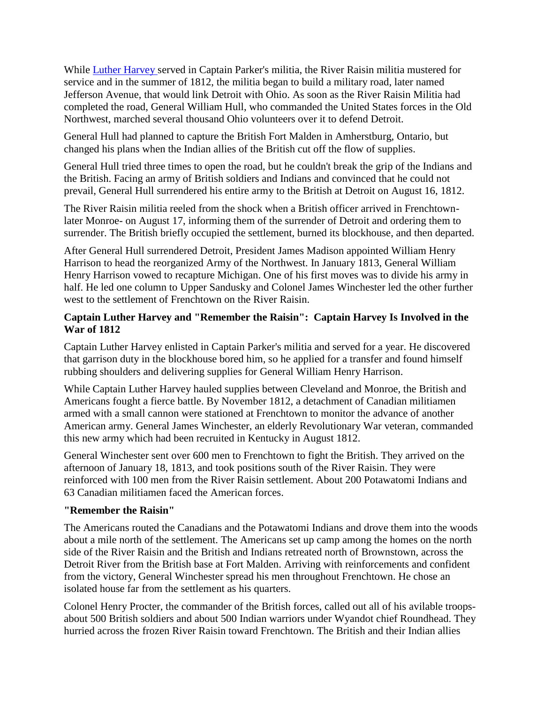While [Luther Harvey s](http://search.ancestry.com/search/db.aspx?dbid=17638%20)erved in Captain Parker's militia, the River Raisin militia mustered for service and in the summer of 1812, the militia began to build a military road, later named Jefferson Avenue, that would link Detroit with Ohio. As soon as the River Raisin Militia had completed the road, General William Hull, who commanded the United States forces in the Old Northwest, marched several thousand Ohio volunteers over it to defend Detroit.

General Hull had planned to capture the British Fort Malden in Amherstburg, Ontario, but changed his plans when the Indian allies of the British cut off the flow of supplies.

General Hull tried three times to open the road, but he couldn't break the grip of the Indians and the British. Facing an army of British soldiers and Indians and convinced that he could not prevail, General Hull surrendered his entire army to the British at Detroit on August 16, 1812.

The River Raisin militia reeled from the shock when a British officer arrived in Frenchtownlater Monroe- on August 17, informing them of the surrender of Detroit and ordering them to surrender. The British briefly occupied the settlement, burned its blockhouse, and then departed.

After General Hull surrendered Detroit, President James Madison appointed William Henry Harrison to head the reorganized Army of the Northwest. In January 1813, General William Henry Harrison vowed to recapture Michigan. One of his first moves was to divide his army in half. He led one column to Upper Sandusky and Colonel James Winchester led the other further west to the settlement of Frenchtown on the River Raisin.

#### **Captain Luther Harvey and "Remember the Raisin": Captain Harvey Is Involved in the War of 1812**

Captain Luther Harvey enlisted in Captain Parker's militia and served for a year. He discovered that garrison duty in the blockhouse bored him, so he applied for a transfer and found himself rubbing shoulders and delivering supplies for General William Henry Harrison.

While Captain Luther Harvey hauled supplies between Cleveland and Monroe, the British and Americans fought a fierce battle. By November 1812, a detachment of Canadian militiamen armed with a small cannon were stationed at Frenchtown to monitor the advance of another American army. General James Winchester, an elderly Revolutionary War veteran, commanded this new army which had been recruited in Kentucky in August 1812.

General Winchester sent over 600 men to Frenchtown to fight the British. They arrived on the afternoon of January 18, 1813, and took positions south of the River Raisin. They were reinforced with 100 men from the River Raisin settlement. About 200 Potawatomi Indians and 63 Canadian militiamen faced the American forces.

# **"Remember the Raisin"**

The Americans routed the Canadians and the Potawatomi Indians and drove them into the woods about a mile north of the settlement. The Americans set up camp among the homes on the north side of the River Raisin and the British and Indians retreated north of Brownstown, across the Detroit River from the British base at Fort Malden. Arriving with reinforcements and confident from the victory, General Winchester spread his men throughout Frenchtown. He chose an isolated house far from the settlement as his quarters.

Colonel Henry Procter, the commander of the British forces, called out all of his avilable troopsabout 500 British soldiers and about 500 Indian warriors under Wyandot chief Roundhead. They hurried across the frozen River Raisin toward Frenchtown. The British and their Indian allies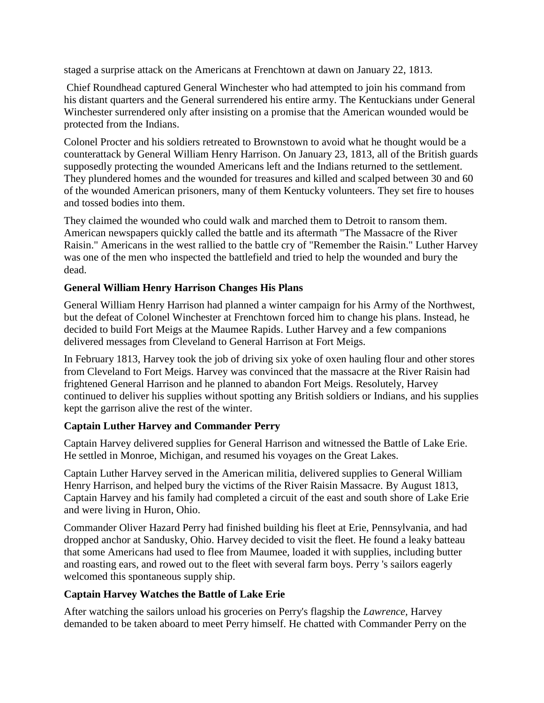staged a surprise attack on the Americans at Frenchtown at dawn on January 22, 1813.

Chief Roundhead captured General Winchester who had attempted to join his command from his distant quarters and the General surrendered his entire army. The Kentuckians under General Winchester surrendered only after insisting on a promise that the American wounded would be protected from the Indians.

Colonel Procter and his soldiers retreated to Brownstown to avoid what he thought would be a counterattack by General William Henry Harrison. On January 23, 1813, all of the British guards supposedly protecting the wounded Americans left and the Indians returned to the settlement. They plundered homes and the wounded for treasures and killed and scalped between 30 and 60 of the wounded American prisoners, many of them Kentucky volunteers. They set fire to houses and tossed bodies into them.

They claimed the wounded who could walk and marched them to Detroit to ransom them. American newspapers quickly called the battle and its aftermath "The Massacre of the River Raisin." Americans in the west rallied to the battle cry of "Remember the Raisin." Luther Harvey was one of the men who inspected the battlefield and tried to help the wounded and bury the dead.

## **General William Henry Harrison Changes His Plans**

General William Henry Harrison had planned a winter campaign for his Army of the Northwest, but the defeat of Colonel Winchester at Frenchtown forced him to change his plans. Instead, he decided to build Fort Meigs at the Maumee Rapids. Luther Harvey and a few companions delivered messages from Cleveland to General Harrison at Fort Meigs.

In February 1813, Harvey took the job of driving six yoke of oxen hauling flour and other stores from Cleveland to Fort Meigs. Harvey was convinced that the massacre at the River Raisin had frightened General Harrison and he planned to abandon Fort Meigs. Resolutely, Harvey continued to deliver his supplies without spotting any British soldiers or Indians, and his supplies kept the garrison alive the rest of the winter.

#### **Captain Luther Harvey and Commander Perry**

Captain Harvey delivered supplies for General Harrison and witnessed the Battle of Lake Erie. He settled in Monroe, Michigan, and resumed his voyages on the Great Lakes.

Captain Luther Harvey served in the American militia, delivered supplies to General William Henry Harrison, and helped bury the victims of the River Raisin Massacre. By August 1813, Captain Harvey and his family had completed a circuit of the east and south shore of Lake Erie and were living in Huron, Ohio.

Commander Oliver Hazard Perry had finished building his fleet at Erie, Pennsylvania, and had dropped anchor at Sandusky, Ohio. Harvey decided to visit the fleet. He found a leaky batteau that some Americans had used to flee from Maumee, loaded it with supplies, including butter and roasting ears, and rowed out to the fleet with several farm boys. Perry 's sailors eagerly welcomed this spontaneous supply ship.

#### **Captain Harvey Watches the Battle of Lake Erie**

After watching the sailors unload his groceries on Perry's flagship the *Lawrence,* Harvey demanded to be taken aboard to meet Perry himself. He chatted with Commander Perry on the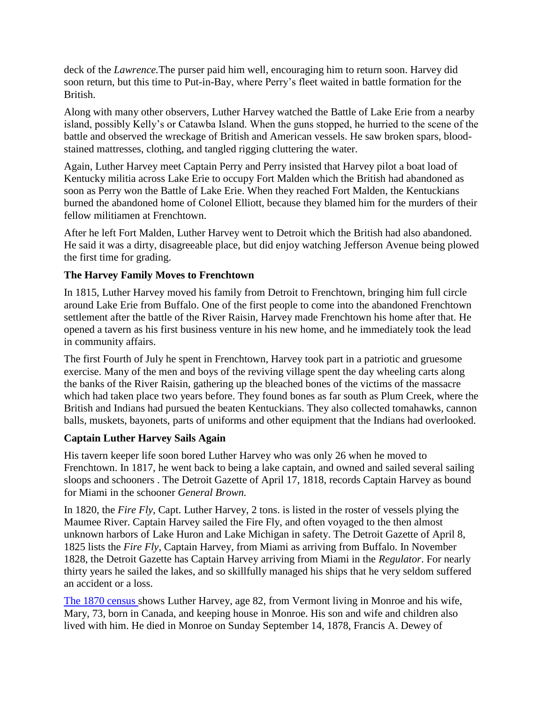deck of the *Lawrence.*The purser paid him well, encouraging him to return soon. Harvey did soon return, but this time to Put-in-Bay, where Perry's fleet waited in battle formation for the British.

Along with many other observers, Luther Harvey watched the Battle of Lake Erie from a nearby island, possibly Kelly's or Catawba Island. When the guns stopped, he hurried to the scene of the battle and observed the wreckage of British and American vessels. He saw broken spars, bloodstained mattresses, clothing, and tangled rigging cluttering the water.

Again, Luther Harvey meet Captain Perry and Perry insisted that Harvey pilot a boat load of Kentucky militia across Lake Erie to occupy Fort Malden which the British had abandoned as soon as Perry won the Battle of Lake Erie. When they reached Fort Malden, the Kentuckians burned the abandoned home of Colonel Elliott, because they blamed him for the murders of their fellow militiamen at Frenchtown.

After he left Fort Malden, Luther Harvey went to Detroit which the British had also abandoned. He said it was a dirty, disagreeable place, but did enjoy watching Jefferson Avenue being plowed the first time for grading.

## **The Harvey Family Moves to Frenchtown**

In 1815, Luther Harvey moved his family from Detroit to Frenchtown, bringing him full circle around Lake Erie from Buffalo. One of the first people to come into the abandoned Frenchtown settlement after the battle of the River Raisin, Harvey made Frenchtown his home after that. He opened a tavern as his first business venture in his new home, and he immediately took the lead in community affairs.

The first Fourth of July he spent in Frenchtown, Harvey took part in a patriotic and gruesome exercise. Many of the men and boys of the reviving village spent the day wheeling carts along the banks of the River Raisin, gathering up the bleached bones of the victims of the massacre which had taken place two years before. They found bones as far south as Plum Creek, where the British and Indians had pursued the beaten Kentuckians. They also collected tomahawks, cannon balls, muskets, bayonets, parts of uniforms and other equipment that the Indians had overlooked.

#### **Captain Luther Harvey Sails Again**

His tavern keeper life soon bored Luther Harvey who was only 26 when he moved to Frenchtown. In 1817, he went back to being a lake captain, and owned and sailed several sailing sloops and schooners . The Detroit Gazette of April 17, 1818, records Captain Harvey as bound for Miami in the schooner *General Brown.*

In 1820, the *Fire Fly*, Capt. Luther Harvey, 2 tons. is listed in the roster of vessels plying the Maumee River. Captain Harvey sailed the Fire Fly, and often voyaged to the then almost unknown harbors of Lake Huron and Lake Michigan in safety. The Detroit Gazette of April 8, 1825 lists the *Fire Fly*, Captain Harvey, from Miami as arriving from Buffalo. In November 1828, the Detroit Gazette has Captain Harvey arriving from Miami in the *Regulator*. For nearly thirty years he sailed the lakes, and so skillfully managed his ships that he very seldom suffered an accident or a loss.

[The 1870 census s](http://search.ancestry.com/search/db.aspx?dbid=17638)hows Luther Harvey, age 82, from Vermont living in Monroe and his wife, Mary, 73, born in Canada, and keeping house in Monroe. His son and wife and children also lived with him. He died in Monroe on Sunday September 14, 1878, Francis A. Dewey of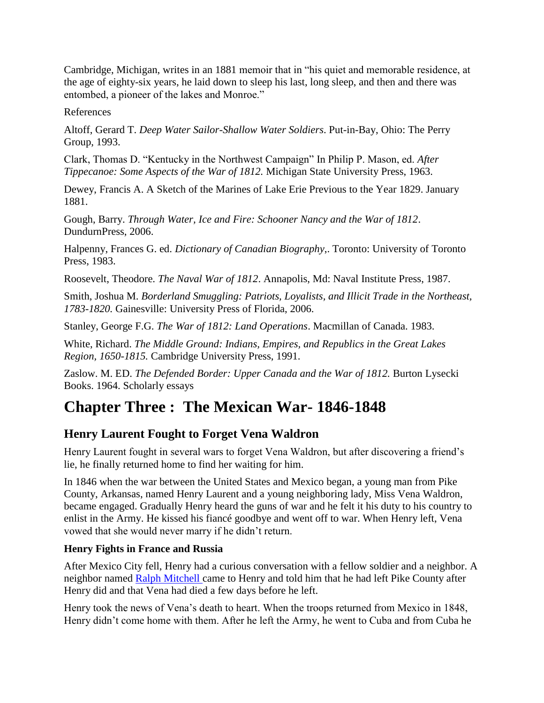Cambridge, Michigan, writes in an 1881 memoir that in "his quiet and memorable residence, at the age of eighty-six years, he laid down to sleep his last, long sleep, and then and there was entombed, a pioneer of the lakes and Monroe."

References

Altoff, Gerard T. *Deep Water Sailor-Shallow Water Soldiers*. Put-in-Bay, Ohio: The Perry Group, 1993.

Clark, Thomas D. "Kentucky in the Northwest Campaign" In Philip P. Mason, ed. *After Tippecanoe: Some Aspects of the War of 1812.* Michigan State University Press, 1963.

Dewey, Francis A. A Sketch of the Marines of Lake Erie Previous to the Year 1829. January 1881.

Gough, Barry. *Through Water, Ice and Fire: Schooner Nancy and the War of 1812*. DundurnPress, 2006.

Halpenny, Frances G. ed. *Dictionary of Canadian Biography*,. Toronto: University of Toronto Press, 1983.

Roosevelt, Theodore. *The Naval War of 1812*. Annapolis, Md: Naval Institute Press, 1987.

Smith, Joshua M. *Borderland Smuggling: Patriots, Loyalists, and Illicit Trade in the Northeast, 1783-1820.* Gainesville: University Press of Florida, 2006.

Stanley, George F.G. *The War of 1812: Land Operations*. Macmillan of Canada. 1983.

White, Richard. *The Middle Ground: Indians, Empires, and Republics in the Great Lakes Region, 1650-1815.* Cambridge University Press, 1991.

Zaslow. M. ED. *The Defended Border: Upper Canada and the War of 1812*. Burton Lysecki Books. 1964. Scholarly essays

# **Chapter Three : The Mexican War- 1846-1848**

# **Henry Laurent Fought to Forget Vena Waldron**

Henry Laurent fought in several wars to forget Vena Waldron, but after discovering a friend's lie, he finally returned home to find her waiting for him.

In 1846 when the war between the United States and Mexico began, a young man from Pike County, Arkansas, named Henry Laurent and a young neighboring lady, Miss Vena Waldron, became engaged. Gradually Henry heard the guns of war and he felt it his duty to his country to enlist in the Army. He kissed his fiancé goodbye and went off to war. When Henry left, Vena vowed that she would never marry if he didn't return.

# **Henry Fights in France and Russia**

After Mexico City fell, Henry had a curious conversation with a fellow soldier and a neighbor. A neighbor named [Ralph Mitchell c](http://s239292887.onlinehome.us/OnlineRecords/CemeteryRecords/NewEbenezer.htm)ame to Henry and told him that he had left Pike County after Henry did and that Vena had died a few days before he left.

Henry took the news of Vena's death to heart. When the troops returned from Mexico in 1848, Henry didn't come home with them. After he left the Army, he went to Cuba and from Cuba he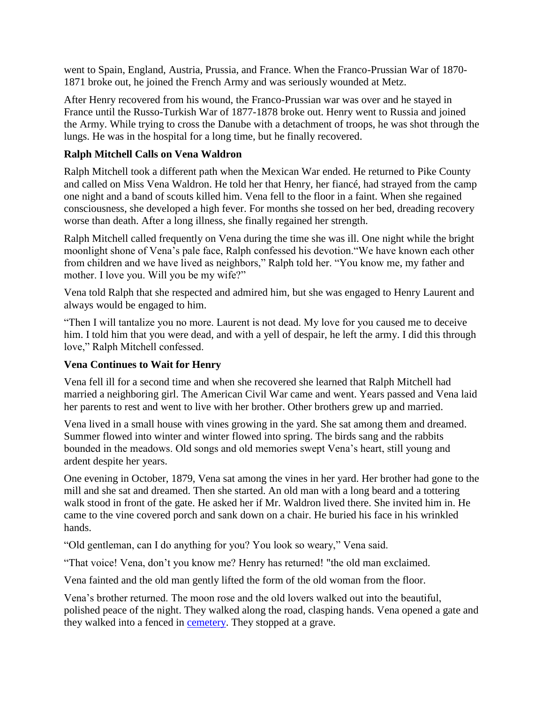went to Spain, England, Austria, Prussia, and France. When the Franco-Prussian War of 1870- 1871 broke out, he joined the French Army and was seriously wounded at Metz.

After Henry recovered from his wound, the Franco-Prussian war was over and he stayed in France until the Russo-Turkish War of 1877-1878 broke out. Henry went to Russia and joined the Army. While trying to cross the Danube with a detachment of troops, he was shot through the lungs. He was in the hospital for a long time, but he finally recovered.

#### **Ralph Mitchell Calls on Vena Waldron**

Ralph Mitchell took a different path when the Mexican War ended. He returned to Pike County and called on Miss Vena Waldron. He told her that Henry, her fiancé, had strayed from the camp one night and a band of scouts killed him. Vena fell to the floor in a faint. When she regained consciousness, she developed a high fever. For months she tossed on her bed, dreading recovery worse than death. After a long illness, she finally regained her strength.

Ralph Mitchell called frequently on Vena during the time she was ill. One night while the bright moonlight shone of Vena's pale face, Ralph confessed his devotion."We have known each other from children and we have lived as neighbors," Ralph told her. "You know me, my father and mother. I love you. Will you be my wife?"

Vena told Ralph that she respected and admired him, but she was engaged to Henry Laurent and always would be engaged to him.

"Then I will tantalize you no more. Laurent is not dead. My love for you caused me to deceive him. I told him that you were dead, and with a yell of despair, he left the army. I did this through love," Ralph Mitchell confessed.

#### **Vena Continues to Wait for Henry**

Vena fell ill for a second time and when she recovered she learned that Ralph Mitchell had married a neighboring girl. The American Civil War came and went. Years passed and Vena laid her parents to rest and went to live with her brother. Other brothers grew up and married.

Vena lived in a small house with vines growing in the yard. She sat among them and dreamed. Summer flowed into winter and winter flowed into spring. The birds sang and the rabbits bounded in the meadows. Old songs and old memories swept Vena's heart, still young and ardent despite her years.

One evening in October, 1879, Vena sat among the vines in her yard. Her brother had gone to the mill and she sat and dreamed. Then she started. An old man with a long beard and a tottering walk stood in front of the gate. He asked her if Mr. Waldron lived there. She invited him in. He came to the vine covered porch and sank down on a chair. He buried his face in his wrinkled hands.

"Old gentleman, can I do anything for you? You look so weary," Vena said.

"That voice! Vena, don't you know me? Henry has returned! "the old man exclaimed.

Vena fainted and the old man gently lifted the form of the old woman from the floor.

Vena's brother returned. The moon rose and the old lovers walked out into the beautiful, polished peace of the night. They walked along the road, clasping hands. Vena opened a gate and they walked into a fenced in [cemetery.](http://s239292887.onlinehome.us/OnlineRecords/CemeteryRecords/OldEbenezer.htm) They stopped at a grave.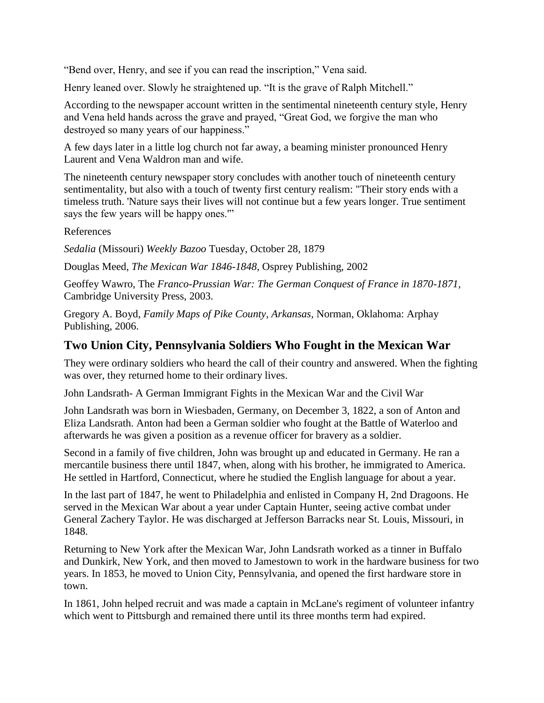"Bend over, Henry, and see if you can read the inscription," Vena said.

Henry leaned over. Slowly he straightened up. "It is the grave of Ralph Mitchell."

According to the newspaper account written in the sentimental nineteenth century style, Henry and Vena held hands across the grave and prayed, "Great God, we forgive the man who destroyed so many years of our happiness."

A few days later in a little log church not far away, a beaming minister pronounced Henry Laurent and Vena Waldron man and wife.

The nineteenth century newspaper story concludes with another touch of nineteenth century sentimentality, but also with a touch of twenty first century realism: "Their story ends with a timeless truth. 'Nature says their lives will not continue but a few years longer. True sentiment says the few years will be happy ones."

References

*Sedalia* (Missouri) *Weekly Bazoo* Tuesday, October 28, 1879

Douglas Meed, *The Mexican War 1846-1848*, Osprey Publishing, 2002

Geoffey Wawro, The *Franco-Prussian War: The German Conquest of France in 1870-1871,* Cambridge University Press, 2003.

Gregory A. Boyd, *Family Maps of Pike County, Arkansas,* Norman, Oklahoma: Arphay Publishing, 2006.

# **Two Union City, Pennsylvania Soldiers Who Fought in the Mexican War**

They were ordinary soldiers who heard the call of their country and answered. When the fighting was over, they returned home to their ordinary lives.

John Landsrath- A German Immigrant Fights in the Mexican War and the Civil War

John Landsrath was born in Wiesbaden, Germany, on December 3, 1822, a son of Anton and Eliza Landsrath. Anton had been a German soldier who fought at the Battle of Waterloo and afterwards he was given a position as a revenue officer for bravery as a soldier.

Second in a family of five children, John was brought up and educated in Germany. He ran a mercantile business there until 1847, when, along with his brother, he immigrated to America. He settled in Hartford, Connecticut, where he studied the English language for about a year.

In the last part of 1847, he went to Philadelphia and enlisted in Company H, 2nd Dragoons. He served in the Mexican War about a year under Captain Hunter, seeing active combat under General Zachery Taylor. He was discharged at Jefferson Barracks near St. Louis, Missouri, in 1848.

Returning to New York after the Mexican War, John Landsrath worked as a tinner in Buffalo and Dunkirk, New York, and then moved to Jamestown to work in the hardware business for two years. In 1853, he moved to Union City, Pennsylvania, and opened the first hardware store in town.

In 1861, John helped recruit and was made a captain in McLane's regiment of volunteer infantry which went to Pittsburgh and remained there until its three months term had expired.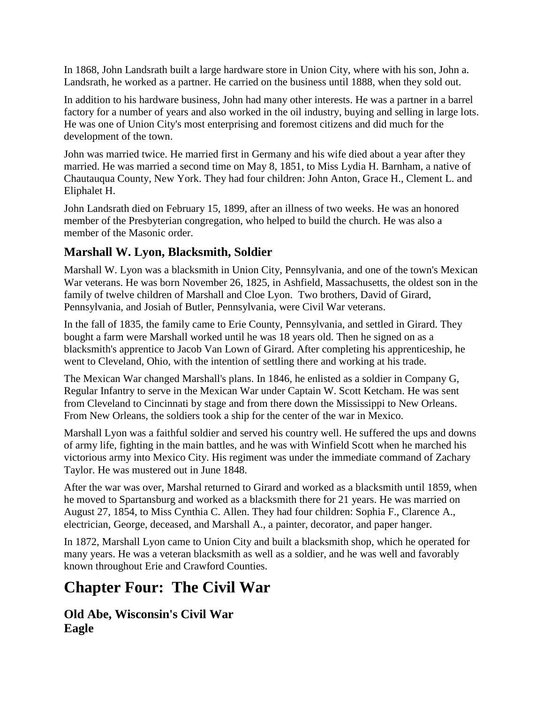In 1868, John Landsrath built a large hardware store in Union City, where with his son, John a. Landsrath, he worked as a partner. He carried on the business until 1888, when they sold out.

In addition to his hardware business, John had many other interests. He was a partner in a barrel factory for a number of years and also worked in the oil industry, buying and selling in large lots. He was one of Union City's most enterprising and foremost citizens and did much for the development of the town.

John was married twice. He married first in Germany and his wife died about a year after they married. He was married a second time on May 8, 1851, to Miss Lydia H. Barnham, a native of Chautauqua County, New York. They had four children: John Anton, Grace H., Clement L. and Eliphalet H.

John Landsrath died on February 15, 1899, after an illness of two weeks. He was an honored member of the Presbyterian congregation, who helped to build the church. He was also a member of the Masonic order.

# **Marshall W. Lyon, Blacksmith, Soldier**

Marshall W. Lyon was a blacksmith in Union City, Pennsylvania, and one of the town's Mexican War veterans. He was born November 26, 1825, in Ashfield, Massachusetts, the oldest son in the family of twelve children of Marshall and Cloe Lyon. Two brothers, David of Girard, Pennsylvania, and Josiah of Butler, Pennsylvania, were Civil War veterans.

In the fall of 1835, the family came to Erie County, Pennsylvania, and settled in Girard. They bought a farm were Marshall worked until he was 18 years old. Then he signed on as a blacksmith's apprentice to Jacob Van Lown of Girard. After completing his apprenticeship, he went to Cleveland, Ohio, with the intention of settling there and working at his trade.

The Mexican War changed Marshall's plans. In 1846, he enlisted as a soldier in Company G, Regular Infantry to serve in the Mexican War under Captain W. Scott Ketcham. He was sent from Cleveland to Cincinnati by stage and from there down the Mississippi to New Orleans. From New Orleans, the soldiers took a ship for the center of the war in Mexico.

Marshall Lyon was a faithful soldier and served his country well. He suffered the ups and downs of army life, fighting in the main battles, and he was with Winfield Scott when he marched his victorious army into Mexico City. His regiment was under the immediate command of Zachary Taylor. He was mustered out in June 1848.

After the war was over, Marshal returned to Girard and worked as a blacksmith until 1859, when he moved to Spartansburg and worked as a blacksmith there for 21 years. He was married on August 27, 1854, to Miss Cynthia C. Allen. They had four children: Sophia F., Clarence A., electrician, George, deceased, and Marshall A., a painter, decorator, and paper hanger.

In 1872, Marshall Lyon came to Union City and built a blacksmith shop, which he operated for many years. He was a veteran blacksmith as well as a soldier, and he was well and favorably known throughout Erie and Crawford Counties.

# **Chapter Four: The Civil War**

**Old Abe, Wisconsin's Civil War Eagle**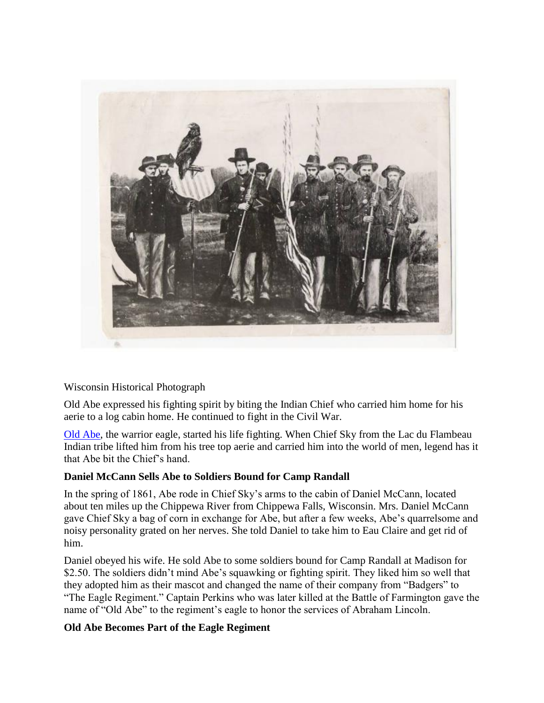

#### Wisconsin Historical Photograph

Old Abe expressed his fighting spirit by biting the Indian Chief who carried him home for his aerie to a log cabin home. He continued to fight in the Civil War.

[Old Abe,](http://museum.dva.state.wi.us/Edu_Old_Abe_Story.asp) the warrior eagle, started his life fighting. When Chief Sky from the Lac du Flambeau Indian tribe lifted him from his tree top aerie and carried him into the world of men, legend has it that Abe bit the Chief's hand.

#### **Daniel McCann Sells Abe to Soldiers Bound for Camp Randall**

In the spring of 1861, Abe rode in Chief Sky's arms to the cabin of Daniel McCann, located about ten miles up the Chippewa River from Chippewa Falls, Wisconsin. Mrs. Daniel McCann gave Chief Sky a bag of corn in exchange for Abe, but after a few weeks, Abe's quarrelsome and noisy personality grated on her nerves. She told Daniel to take him to Eau Claire and get rid of him.

Daniel obeyed his wife. He sold Abe to some soldiers bound for Camp Randall at Madison for \$2.50. The soldiers didn't mind Abe's squawking or fighting spirit. They liked him so well that they adopted him as their mascot and changed the name of their company from "Badgers" to "The Eagle Regiment." Captain Perkins who was later killed at the Battle of Farmington gave the name of "Old Abe" to the regiment's eagle to honor the services of Abraham Lincoln.

#### **Old Abe Becomes Part of the Eagle Regiment**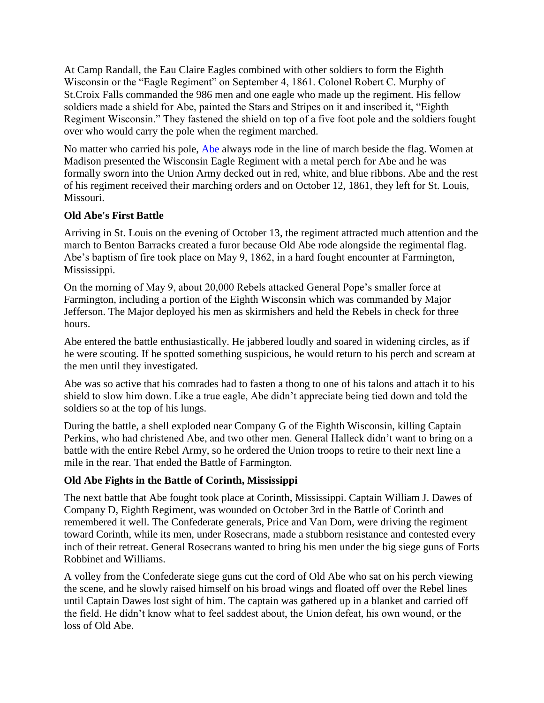At Camp Randall, the Eau Claire Eagles combined with other soldiers to form the Eighth Wisconsin or the "Eagle Regiment" on September 4, 1861. Colonel Robert C. Murphy of St.Croix Falls commanded the 986 men and one eagle who made up the regiment. His fellow soldiers made a shield for Abe, painted the Stars and Stripes on it and inscribed it, "Eighth Regiment Wisconsin." They fastened the shield on top of a five foot pole and the soldiers fought over who would carry the pole when the regiment marched.

No matter who carried his pole, [Abe](http://www.library.wisc.edu/etext/wireader/WER1300.html) always rode in the line of march beside the flag. Women at Madison presented the Wisconsin Eagle Regiment with a metal perch for Abe and he was formally sworn into the Union Army decked out in red, white, and blue ribbons. Abe and the rest of his regiment received their marching orders and on October 12, 1861, they left for St. Louis, Missouri.

#### **Old Abe's First Battle**

Arriving in St. Louis on the evening of October 13, the regiment attracted much attention and the march to Benton Barracks created a furor because Old Abe rode alongside the regimental flag. Abe's baptism of fire took place on May 9, 1862, in a hard fought encounter at Farmington, Mississippi.

On the morning of May 9, about 20,000 Rebels attacked General Pope's smaller force at Farmington, including a portion of the Eighth Wisconsin which was commanded by Major Jefferson. The Major deployed his men as skirmishers and held the Rebels in check for three hours.

Abe entered the battle enthusiastically. He jabbered loudly and soared in widening circles, as if he were scouting. If he spotted something suspicious, he would return to his perch and scream at the men until they investigated.

Abe was so active that his comrades had to fasten a thong to one of his talons and attach it to his shield to slow him down. Like a true eagle, Abe didn't appreciate being tied down and told the soldiers so at the top of his lungs.

During the battle, a shell exploded near Company G of the Eighth Wisconsin, killing Captain Perkins, who had christened Abe, and two other men. General Halleck didn't want to bring on a battle with the entire Rebel Army, so he ordered the Union troops to retire to their next line a mile in the rear. That ended the Battle of Farmington.

#### **Old Abe Fights in the Battle of Corinth, Mississippi**

The next battle that Abe fought took place at Corinth, Mississippi. Captain William J. Dawes of Company D, Eighth Regiment, was wounded on October 3rd in the Battle of Corinth and remembered it well. The Confederate generals, Price and Van Dorn, were driving the regiment toward Corinth, while its men, under Rosecrans, made a stubborn resistance and contested every inch of their retreat. General Rosecrans wanted to bring his men under the big siege guns of Forts Robbinet and Williams.

A volley from the Confederate siege guns cut the cord of Old Abe who sat on his perch viewing the scene, and he slowly raised himself on his broad wings and floated off over the Rebel lines until Captain Dawes lost sight of him. The captain was gathered up in a blanket and carried off the field. He didn't know what to feel saddest about, the Union defeat, his own wound, or the loss of Old Abe.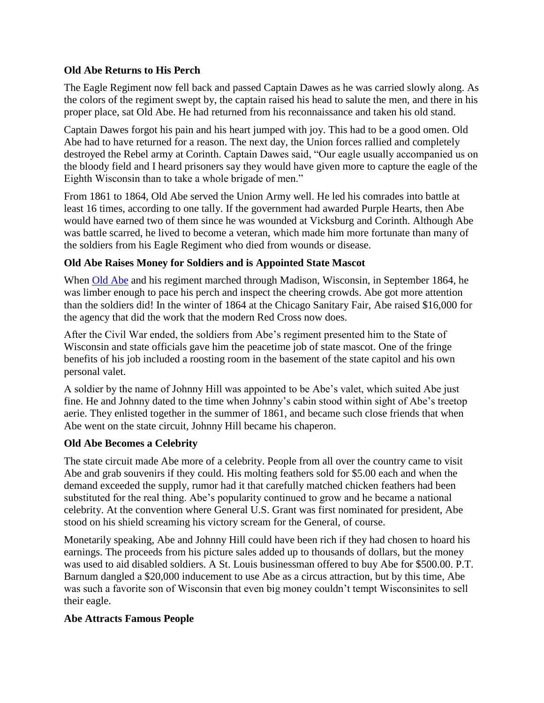#### **Old Abe Returns to His Perch**

The Eagle Regiment now fell back and passed Captain Dawes as he was carried slowly along. As the colors of the regiment swept by, the captain raised his head to salute the men, and there in his proper place, sat Old Abe. He had returned from his reconnaissance and taken his old stand.

Captain Dawes forgot his pain and his heart jumped with joy. This had to be a good omen. Old Abe had to have returned for a reason. The next day, the Union forces rallied and completely destroyed the Rebel army at Corinth. Captain Dawes said, "Our eagle usually accompanied us on the bloody field and I heard prisoners say they would have given more to capture the eagle of the Eighth Wisconsin than to take a whole brigade of men."

From 1861 to 1864, Old Abe served the Union Army well. He led his comrades into battle at least 16 times, according to one tally. If the government had awarded Purple Hearts, then Abe would have earned two of them since he was wounded at Vicksburg and Corinth. Although Abe was battle scarred, he lived to become a veteran, which made him more fortunate than many of the soldiers from his Eagle Regiment who died from wounds or disease.

#### **Old Abe Raises Money for Soldiers and is Appointed State Mascot**

When [Old Abe](http://users.ap.net/~chenae/oldabe3.html) and his regiment marched through Madison, Wisconsin, in September 1864, he was limber enough to pace his perch and inspect the cheering crowds. Abe got more attention than the soldiers did! In the winter of 1864 at the Chicago Sanitary Fair, Abe raised \$16,000 for the agency that did the work that the modern Red Cross now does.

After the Civil War ended, the soldiers from Abe's regiment presented him to the State of Wisconsin and state officials gave him the peacetime job of state mascot. One of the fringe benefits of his job included a roosting room in the basement of the state capitol and his own personal valet.

A soldier by the name of Johnny Hill was appointed to be Abe's valet, which suited Abe just fine. He and Johnny dated to the time when Johnny's cabin stood within sight of Abe's treetop aerie. They enlisted together in the summer of 1861, and became such close friends that when Abe went on the state circuit, Johnny Hill became his chaperon.

#### **Old Abe Becomes a Celebrity**

The state circuit made Abe more of a celebrity. People from all over the country came to visit Abe and grab souvenirs if they could. His molting feathers sold for \$5.00 each and when the demand exceeded the supply, rumor had it that carefully matched chicken feathers had been substituted for the real thing. Abe's popularity continued to grow and he became a national celebrity. At the convention where General U.S. Grant was first nominated for president, Abe stood on his shield screaming his victory scream for the General, of course.

Monetarily speaking, Abe and Johnny Hill could have been rich if they had chosen to hoard his earnings. The proceeds from his picture sales added up to thousands of dollars, but the money was used to aid disabled soldiers. A St. Louis businessman offered to buy Abe for \$500.00. P.T. Barnum dangled a \$20,000 inducement to use Abe as a circus attraction, but by this time, Abe was such a favorite son of Wisconsin that even big money couldn't tempt Wisconsinites to sell their eagle.

#### **Abe Attracts Famous People**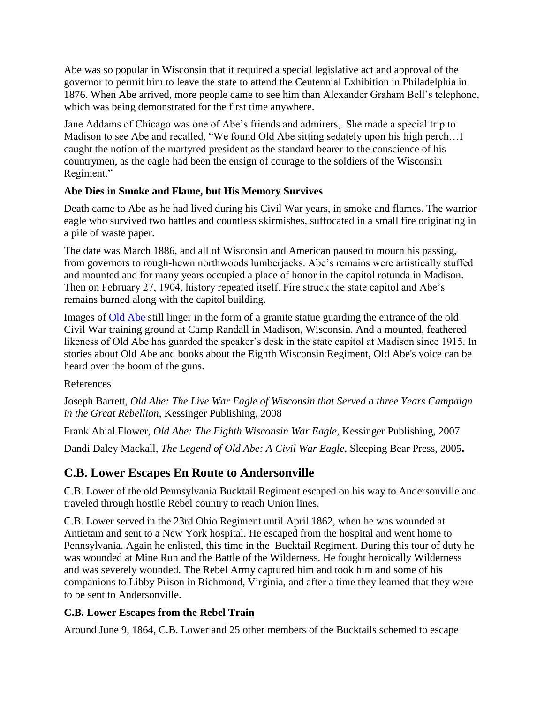Abe was so popular in Wisconsin that it required a special legislative act and approval of the governor to permit him to leave the state to attend the Centennial Exhibition in Philadelphia in 1876. When Abe arrived, more people came to see him than Alexander Graham Bell's telephone, which was being demonstrated for the first time anywhere.

Jane Addams of Chicago was one of Abe's friends and admirers,. She made a special trip to Madison to see Abe and recalled, "We found Old Abe sitting sedately upon his high perch…I caught the notion of the martyred president as the standard bearer to the conscience of his countrymen, as the eagle had been the ensign of courage to the soldiers of the Wisconsin Regiment."

## **Abe Dies in Smoke and Flame, but His Memory Survives**

Death came to Abe as he had lived during his Civil War years, in smoke and flames. The warrior eagle who survived two battles and countless skirmishes, suffocated in a small fire originating in a pile of waste paper.

The date was March 1886, and all of Wisconsin and American paused to mourn his passing, from governors to rough-hewn northwoods lumberjacks. Abe's remains were artistically stuffed and mounted and for many years occupied a place of honor in the capitol rotunda in Madison. Then on February 27, 1904, history repeated itself. Fire struck the state capitol and Abe's remains burned along with the capitol building.

Images of [Old Abe](http://www.baldeagleinfo.com/eagle/oldabe.html) still linger in the form of a granite statue guarding the entrance of the old Civil War training ground at Camp Randall in Madison, Wisconsin. And a mounted, feathered likeness of Old Abe has guarded the speaker's desk in the state capitol at Madison since 1915. In stories about Old Abe and books about the Eighth Wisconsin Regiment, Old Abe's voice can be heard over the boom of the guns.

References

Joseph Barrett, *Old Abe: The Live War Eagle of Wisconsin that Served a three Years Campaign in the Great Rebellion,* Kessinger Publishing, 2008

Frank Abial Flower, *Old Abe: The Eighth Wisconsin War Eagle*, Kessinger Publishing, 2007

Dandi Daley Mackall, *The Legend of Old Abe: A Civil War Eagle,* Sleeping Bear Press, 2005**.**

# **C.B. Lower Escapes En Route to Andersonville**

C.B. Lower of the old Pennsylvania Bucktail Regiment escaped on his way to Andersonville and traveled through hostile Rebel country to reach Union lines.

C.B. Lower served in the 23rd Ohio Regiment until April 1862, when he was wounded at Antietam and sent to a New York hospital. He escaped from the hospital and went home to Pennsylvania. Again he enlisted, this time in the Bucktail Regiment. During this tour of duty he was wounded at Mine Run and the Battle of the Wilderness. He fought heroically Wilderness and was severely wounded. The Rebel Army captured him and took him and some of his companions to Libby Prison in Richmond, Virginia, and after a time they learned that they were to be sent to Andersonville.

# **C.B. Lower Escapes from the Rebel Train**

Around June 9, 1864, C.B. Lower and 25 other members of the Bucktails schemed to escape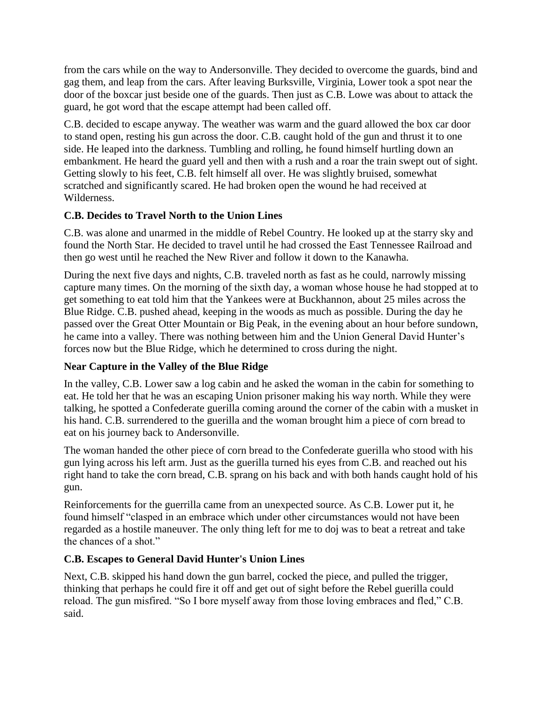from the cars while on the way to Andersonville. They decided to overcome the guards, bind and gag them, and leap from the cars. After leaving Burksville, Virginia, Lower took a spot near the door of the boxcar just beside one of the guards. Then just as C.B. Lowe was about to attack the guard, he got word that the escape attempt had been called off.

C.B. decided to escape anyway. The weather was warm and the guard allowed the box car door to stand open, resting his gun across the door. C.B. caught hold of the gun and thrust it to one side. He leaped into the darkness. Tumbling and rolling, he found himself hurtling down an embankment. He heard the guard yell and then with a rush and a roar the train swept out of sight. Getting slowly to his feet, C.B. felt himself all over. He was slightly bruised, somewhat scratched and significantly scared. He had broken open the wound he had received at Wilderness.

## **C.B. Decides to Travel North to the Union Lines**

C.B. was alone and unarmed in the middle of Rebel Country. He looked up at the starry sky and found the North Star. He decided to travel until he had crossed the East Tennessee Railroad and then go west until he reached the New River and follow it down to the Kanawha.

During the next five days and nights, C.B. traveled north as fast as he could, narrowly missing capture many times. On the morning of the sixth day, a woman whose house he had stopped at to get something to eat told him that the Yankees were at Buckhannon, about 25 miles across the Blue Ridge. C.B. pushed ahead, keeping in the woods as much as possible. During the day he passed over the Great Otter Mountain or Big Peak, in the evening about an hour before sundown, he came into a valley. There was nothing between him and the Union General David Hunter's forces now but the Blue Ridge, which he determined to cross during the night.

#### **Near Capture in the Valley of the Blue Ridge**

In the valley, C.B. Lower saw a log cabin and he asked the woman in the cabin for something to eat. He told her that he was an escaping Union prisoner making his way north. While they were talking, he spotted a Confederate guerilla coming around the corner of the cabin with a musket in his hand. C.B. surrendered to the guerilla and the woman brought him a piece of corn bread to eat on his journey back to Andersonville.

The woman handed the other piece of corn bread to the Confederate guerilla who stood with his gun lying across his left arm. Just as the guerilla turned his eyes from C.B. and reached out his right hand to take the corn bread, C.B. sprang on his back and with both hands caught hold of his gun.

Reinforcements for the guerrilla came from an unexpected source. As C.B. Lower put it, he found himself "clasped in an embrace which under other circumstances would not have been regarded as a hostile maneuver. The only thing left for me to doj was to beat a retreat and take the chances of a shot."

#### **C.B. Escapes to General David Hunter's Union Lines**

Next, C.B. skipped his hand down the gun barrel, cocked the piece, and pulled the trigger, thinking that perhaps he could fire it off and get out of sight before the Rebel guerilla could reload. The gun misfired. "So I bore myself away from those loving embraces and fled," C.B. said.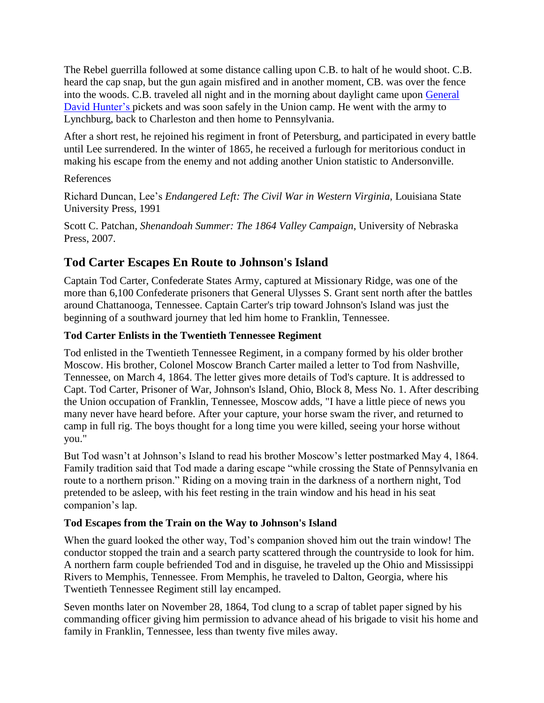The Rebel guerrilla followed at some distance calling upon C.B. to halt of he would shoot. C.B. heard the cap snap, but the gun again misfired and in another moment, CB. was over the fence into the woods. C.B. traveled all night and in the morning about daylight came upon [General](http://books.google.com/books?id=g7ABIgo_yDgC&pg=PA596&lpg=PA596&dq=general+hunter+civil+war+genera&source=bl&ots=wKzk-StnCy&sig=jrUexkBRHN2VWWT-wvxZbLIGIE8&hl=en&ei=8YDIS6fTNInCNZfG5IwJ&sa=X&oi=book_result&ct=result&resnum=4&ved=0CBAQ6AEwAw)  [David Hunter's p](http://books.google.com/books?id=g7ABIgo_yDgC&pg=PA596&lpg=PA596&dq=general+hunter+civil+war+genera&source=bl&ots=wKzk-StnCy&sig=jrUexkBRHN2VWWT-wvxZbLIGIE8&hl=en&ei=8YDIS6fTNInCNZfG5IwJ&sa=X&oi=book_result&ct=result&resnum=4&ved=0CBAQ6AEwAw)ickets and was soon safely in the Union camp. He went with the army to Lynchburg, back to Charleston and then home to Pennsylvania.

After a short rest, he rejoined his regiment in front of Petersburg, and participated in every battle until Lee surrendered. In the winter of 1865, he received a furlough for meritorious conduct in making his escape from the enemy and not adding another Union statistic to Andersonville.

#### References

Richard Duncan, Lee's *Endangered Left: The Civil War in Western Virginia,* Louisiana State University Press, 1991

Scott C. Patchan*, Shenandoah Summer: The 1864 Valley Campaign*, University of Nebraska Press, 2007.

# **Tod Carter Escapes En Route to Johnson's Island**

Captain Tod Carter, Confederate States Army, captured at Missionary Ridge, was one of the more than 6,100 Confederate prisoners that General Ulysses S. Grant sent north after the battles around Chattanooga, Tennessee. Captain Carter's trip toward Johnson's Island was just the beginning of a southward journey that led him home to Franklin, Tennessee.

# **Tod Carter Enlists in the Twentieth Tennessee Regiment**

Tod enlisted in the Twentieth Tennessee Regiment, in a company formed by his older brother Moscow. His brother, Colonel Moscow Branch Carter mailed a letter to Tod from Nashville, Tennessee, on March 4, 1864. The letter gives more details of Tod's capture. It is addressed to Capt. Tod Carter, Prisoner of War, Johnson's Island, Ohio, Block 8, Mess No. 1. After describing the Union occupation of Franklin, Tennessee, Moscow adds, "I have a little piece of news you many never have heard before. After your capture, your horse swam the river, and returned to camp in full rig. The boys thought for a long time you were killed, seeing your horse without you."

But Tod wasn't at Johnson's Island to read his brother Moscow's letter postmarked May 4, 1864. Family tradition said that Tod made a daring escape "while crossing the State of Pennsylvania en route to a northern prison." Riding on a moving train in the darkness of a northern night, Tod pretended to be asleep, with his feet resting in the train window and his head in his seat companion's lap.

# **Tod Escapes from the Train on the Way to Johnson's Island**

When the guard looked the other way, Tod's companion shoved him out the train window! The conductor stopped the train and a search party scattered through the countryside to look for him. A northern farm couple befriended Tod and in disguise, he traveled up the Ohio and Mississippi Rivers to Memphis, Tennessee. From Memphis, he traveled to Dalton, Georgia, where his Twentieth Tennessee Regiment still lay encamped.

Seven months later on November 28, 1864, Tod clung to a scrap of tablet paper signed by his commanding officer giving him permission to advance ahead of his brigade to visit his home and family in Franklin, Tennessee, less than twenty five miles away.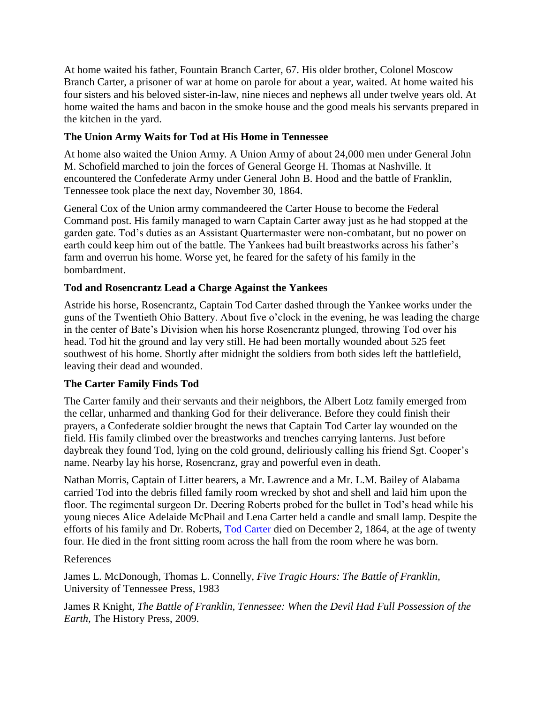At home waited his father, Fountain Branch Carter, 67. His older brother, Colonel Moscow Branch Carter, a prisoner of war at home on parole for about a year, waited. At home waited his four sisters and his beloved sister-in-law, nine nieces and nephews all under twelve years old. At home waited the hams and bacon in the smoke house and the good meals his servants prepared in the kitchen in the yard.

## **The Union Army Waits for Tod at His Home in Tennessee**

At home also waited the Union Army. A Union Army of about 24,000 men under General John M. Schofield marched to join the forces of General George H. Thomas at Nashville. It encountered the Confederate Army under General John B. Hood and the battle of Franklin, Tennessee took place the next day, November 30, 1864.

General Cox of the Union army commandeered the Carter House to become the Federal Command post. His family managed to warn Captain Carter away just as he had stopped at the garden gate. Tod's duties as an Assistant Quartermaster were non-combatant, but no power on earth could keep him out of the battle. The Yankees had built breastworks across his father's farm and overrun his home. Worse yet, he feared for the safety of his family in the bombardment.

#### **Tod and Rosencrantz Lead a Charge Against the Yankees**

Astride his horse, Rosencrantz, Captain Tod Carter dashed through the Yankee works under the guns of the Twentieth Ohio Battery. About five o'clock in the evening, he was leading the charge in the center of Bate's Division when his horse Rosencrantz plunged, throwing Tod over his head. Tod hit the ground and lay very still. He had been mortally wounded about 525 feet southwest of his home. Shortly after midnight the soldiers from both sides left the battlefield, leaving their dead and wounded.

#### **The Carter Family Finds Tod**

The Carter family and their servants and their neighbors, the Albert Lotz family emerged from the cellar, unharmed and thanking God for their deliverance. Before they could finish their prayers, a Confederate soldier brought the news that Captain Tod Carter lay wounded on the field. His family climbed over the breastworks and trenches carrying lanterns. Just before daybreak they found Tod, lying on the cold ground, deliriously calling his friend Sgt. Cooper's name. Nearby lay his horse, Rosencranz, gray and powerful even in death.

Nathan Morris, Captain of Litter bearers, a Mr. Lawrence and a Mr. L.M. Bailey of Alabama carried Tod into the debris filled family room wrecked by shot and shell and laid him upon the floor. The regimental surgeon Dr. Deering Roberts probed for the bullet in Tod's head while his young nieces Alice Adelaide McPhail and Lena Carter held a candle and small lamp. Despite the efforts of his family and Dr. Roberts, [Tod Carter d](http://tennessee-scv.org/Camp854/todbio3.htm)ied on December 2, 1864, at the age of twenty four. He died in the front sitting room across the hall from the room where he was born.

#### References

James L. McDonough, Thomas L. Connelly, *Five Tragic Hours: The Battle of Franklin,* University of Tennessee Press, 1983

James R Knight, *The Battle of Franklin, Tennessee: When the Devil Had Full Possession of the Earth,* The History Press, 2009.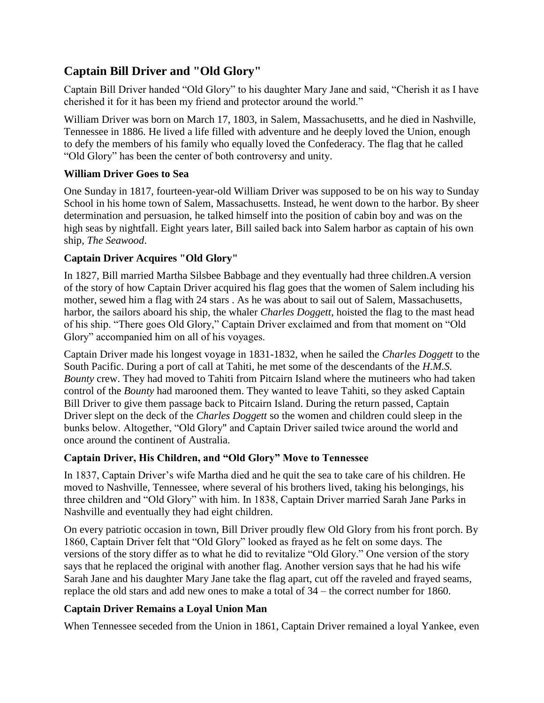# **Captain Bill Driver and "Old Glory"**

Captain Bill Driver handed "Old Glory" to his daughter Mary Jane and said, "Cherish it as I have cherished it for it has been my friend and protector around the world."

William Driver was born on March 17, 1803, in Salem, Massachusetts, and he died in Nashville, Tennessee in 1886. He lived a life filled with adventure and he deeply loved the Union, enough to defy the members of his family who equally loved the Confederacy. The flag that he called "Old Glory" has been the center of both controversy and unity.

## **William Driver Goes to Sea**

One Sunday in 1817, fourteen-year-old William Driver was supposed to be on his way to Sunday School in his home town of Salem, Massachusetts. Instead, he went down to the harbor. By sheer determination and persuasion, he talked himself into the position of cabin boy and was on the high seas by nightfall. Eight years later, Bill sailed back into Salem harbor as captain of his own ship, *The Seawood*.

## **Captain Driver Acquires "Old Glory"**

In 1827, Bill married Martha Silsbee Babbage and they eventually had three children.A version of the story of how Captain Driver acquired his flag goes that the women of Salem including his mother, sewed him a flag with 24 stars . As he was about to sail out of Salem, Massachusetts, harbor, the sailors aboard his ship, the whaler *Charles Doggett*, hoisted the flag to the mast head of his ship. "There goes Old Glory," Captain Driver exclaimed and from that moment on "Old Glory" accompanied him on all of his voyages.

Captain Driver made his longest voyage in 1831-1832, when he sailed the *Charles Doggett* to the South Pacific. During a port of call at Tahiti, he met some of the descendants of the *H.M.S. Bounty* crew. They had moved to Tahiti from Pitcairn Island where the mutineers who had taken control of the *Bounty* had marooned them. They wanted to leave Tahiti, so they asked Captain Bill Driver to give them passage back to Pitcairn Island. During the return passed, Captain Driver slept on the deck of the *Charles Doggett* so the women and children could sleep in the bunks below. Altogether, "Old Glory" and Captain Driver sailed twice around the world and once around the continent of Australia.

#### **Captain Driver, His Children, and "Old Glory" Move to Tennessee**

In 1837, Captain Driver's wife Martha died and he quit the sea to take care of his children. He moved to Nashville, Tennessee, where several of his brothers lived, taking his belongings, his three children and "Old Glory" with him. In 1838, Captain Driver married Sarah Jane Parks in Nashville and eventually they had eight children.

On every patriotic occasion in town, Bill Driver proudly flew Old Glory from his front porch. By 1860, Captain Driver felt that "Old Glory" looked as frayed as he felt on some days. The versions of the story differ as to what he did to revitalize "Old Glory." One version of the story says that he replaced the original with another flag. Another version says that he had his wife Sarah Jane and his daughter Mary Jane take the flag apart, cut off the raveled and frayed seams, replace the old stars and add new ones to make a total of 34 – the correct number for 1860.

# **Captain Driver Remains a Loyal Union Man**

When Tennessee seceded from the Union in 1861, Captain Driver remained a loyal Yankee, even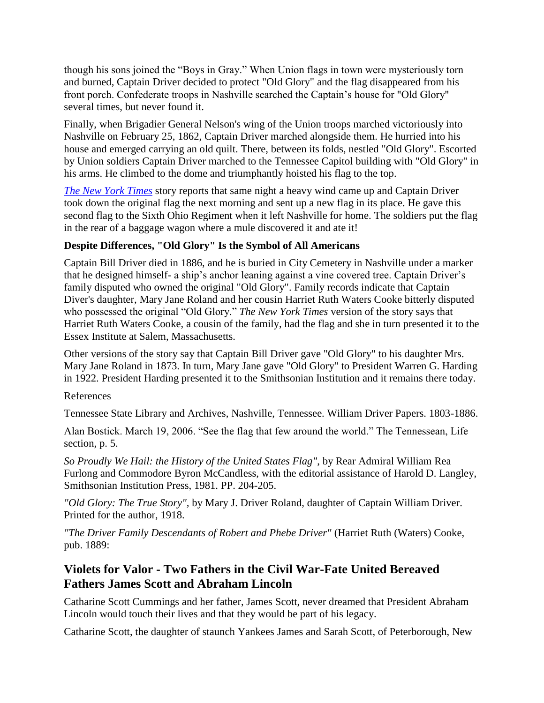though his sons joined the "Boys in Gray." When Union flags in town were mysteriously torn and burned, Captain Driver decided to protect "Old Glory" and the flag disappeared from his front porch. Confederate troops in Nashville searched the Captain's house for "Old Glory" several times, but never found it.

Finally, when Brigadier General Nelson's wing of the Union troops marched victoriously into Nashville on February 25, 1862, Captain Driver marched alongside them. He hurried into his house and emerged carrying an old quilt. There, between its folds, nestled "Old Glory". Escorted by Union soldiers Captain Driver marched to the Tennessee Capitol building with "Old Glory" in his arms. He climbed to the dome and triumphantly hoisted his flag to the top.

*[The New York Times](http://query.nytimes.com/mem/archive-free/pdf?_r=1&res=990CEFD81530E733A25750C2A9649C946397D6CF)* story reports that same night a heavy wind came up and Captain Driver took down the original flag the next morning and sent up a new flag in its place. He gave this second flag to the Sixth Ohio Regiment when it left Nashville for home. The soldiers put the flag in the rear of a baggage wagon where a mule discovered it and ate it!

## **Despite Differences, "Old Glory" Is the Symbol of All Americans**

Captain Bill Driver died in 1886, and he is buried in City Cemetery in Nashville under a marker that he designed himself- a ship's anchor leaning against a vine covered tree. Captain Driver's family disputed who owned the original "Old Glory". Family records indicate that Captain Diver's daughter, Mary Jane Roland and her cousin Harriet Ruth Waters Cooke bitterly disputed who possessed the original "Old Glory." *The New York Times* version of the story says that Harriet Ruth Waters Cooke, a cousin of the family, had the flag and she in turn presented it to the Essex Institute at Salem, Massachusetts.

Other versions of the story say that Captain Bill Driver gave "Old Glory" to his daughter Mrs. Mary Jane Roland in 1873. In turn, Mary Jane gave "Old Glory" to President Warren G. Harding in 1922. President Harding presented it to the Smithsonian Institution and it remains there today.

#### References

Tennessee State Library and Archives, Nashville, Tennessee. William Driver Papers. 1803-1886.

Alan Bostick. March 19, 2006. "See the flag that few around the world." The Tennessean, Life section, p. 5.

*So Proudly We Hail: the History of the United States Flag"*, by Rear Admiral William Rea Furlong and Commodore Byron McCandless, with the editorial assistance of Harold D. Langley, Smithsonian Institution Press, 1981. PP. 204-205.

*"Old Glory: The True Story",* by Mary J. Driver Roland, daughter of Captain William Driver. Printed for the author, 1918.

*"The Driver Family Descendants of Robert and Phebe Driver"* (Harriet Ruth (Waters) Cooke, pub. 1889:

# **Violets for Valor - Two Fathers in the Civil War-Fate United Bereaved Fathers James Scott and Abraham Lincoln**

Catharine Scott Cummings and her father, James Scott, never dreamed that President Abraham Lincoln would touch their lives and that they would be part of his legacy.

Catharine Scott, the daughter of staunch Yankees James and Sarah Scott, of Peterborough, New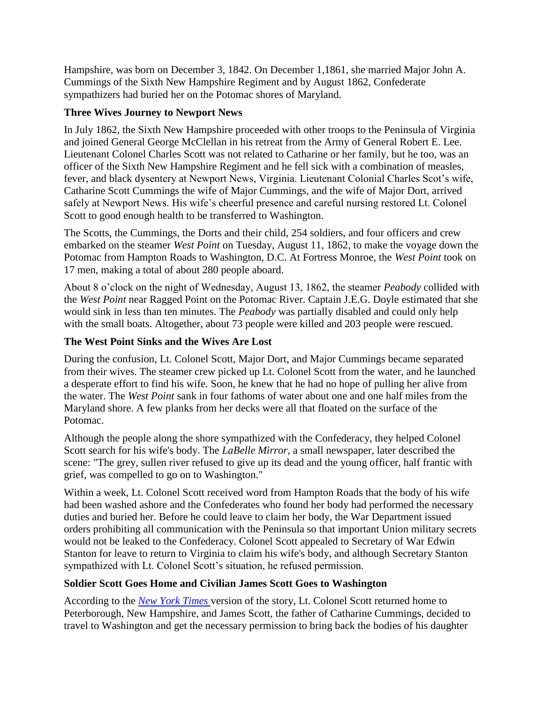Hampshire, was born on December 3, 1842. On December 1,1861, she married Major John A. Cummings of the Sixth New Hampshire Regiment and by August 1862, Confederate sympathizers had buried her on the Potomac shores of Maryland.

#### **Three Wives Journey to Newport News**

In July 1862, the Sixth New Hampshire proceeded with other troops to the Peninsula of Virginia and joined General George McClellan in his retreat from the Army of General Robert E. Lee. Lieutenant Colonel Charles Scott was not related to Catharine or her family, but he too, was an officer of the Sixth New Hampshire Regiment and he fell sick with a combination of measles, fever, and black dysentery at Newport News, Virginia. Lieutenant Colonial Charles Scot's wife, Catharine Scott Cummings the wife of Major Cummings, and the wife of Major Dort, arrived safely at Newport News. His wife's cheerful presence and careful nursing restored Lt. Colonel Scott to good enough health to be transferred to Washington.

The Scotts, the Cummings, the Dorts and their child, 254 soldiers, and four officers and crew embarked on the steamer *West Point* on Tuesday, August 11, 1862, to make the voyage down the Potomac from Hampton Roads to Washington, D.C. At Fortress Monroe, the *West Point* took on 17 men, making a total of about 280 people aboard.

About 8 o'clock on the night of Wednesday, August 13, 1862, the steamer *Peabody* collided with the *West Point* near Ragged Point on the Potomac River. Captain J.E.G. Doyle estimated that she would sink in less than ten minutes. The *Peabody* was partially disabled and could only help with the small boats. Altogether, about 73 people were killed and 203 people were rescued.

## **The West Point Sinks and the Wives Are Lost**

During the confusion, Lt. Colonel Scott, Major Dort, and Major Cummings became separated from their wives. The steamer crew picked up Lt. Colonel Scott from the water, and he launched a desperate effort to find his wife. Soon, he knew that he had no hope of pulling her alive from the water. The *West Point* sank in four fathoms of water about one and one half miles from the Maryland shore. A few planks from her decks were all that floated on the surface of the Potomac.

Although the people along the shore sympathized with the Confederacy, they helped Colonel Scott search for his wife's body. The *LaBelle Mirror*, a small newspaper, later described the scene: "The grey, sullen river refused to give up its dead and the young officer, half frantic with grief, was compelled to go on to Washington."

Within a week, Lt. Colonel Scott received word from Hampton Roads that the body of his wife had been washed ashore and the Confederates who found her body had performed the necessary duties and buried her. Before he could leave to claim her body, the War Department issued orders prohibiting all communication with the Peninsula so that important Union military secrets would not be leaked to the Confederacy. Colonel Scott appealed to Secretary of War Edwin Stanton for leave to return to Virginia to claim his wife's body, and although Secretary Stanton sympathized with Lt. Colonel Scott's situation, he refused permission.

#### **Soldier Scott Goes Home and Civilian James Scott Goes to Washington**

According to the *[New York Times](http://query.nytimes.com/mem/archive-free/pdf?res=9A04E4DB1739E533A25753C1A9639C94649FD7CF)* version of the story, Lt. Colonel Scott returned home to Peterborough, New Hampshire, and James Scott, the father of Catharine Cummings, decided to travel to Washington and get the necessary permission to bring back the bodies of his daughter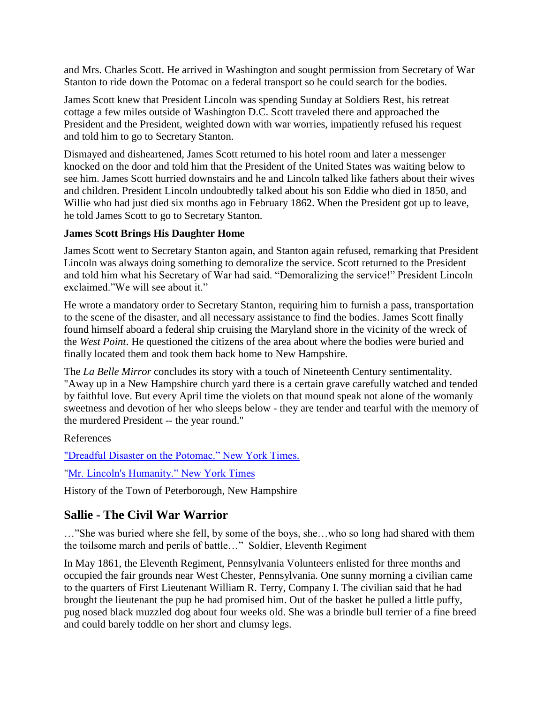and Mrs. Charles Scott. He arrived in Washington and sought permission from Secretary of War Stanton to ride down the Potomac on a federal transport so he could search for the bodies.

James Scott knew that President Lincoln was spending Sunday at Soldiers Rest, his retreat cottage a few miles outside of Washington D.C. Scott traveled there and approached the President and the President, weighted down with war worries, impatiently refused his request and told him to go to Secretary Stanton.

Dismayed and disheartened, James Scott returned to his hotel room and later a messenger knocked on the door and told him that the President of the United States was waiting below to see him. James Scott hurried downstairs and he and Lincoln talked like fathers about their wives and children. President Lincoln undoubtedly talked about his son Eddie who died in 1850, and Willie who had just died six months ago in February 1862. When the President got up to leave, he told James Scott to go to Secretary Stanton.

#### **James Scott Brings His Daughter Home**

James Scott went to Secretary Stanton again, and Stanton again refused, remarking that President Lincoln was always doing something to demoralize the service. Scott returned to the President and told him what his Secretary of War had said. "Demoralizing the service!" President Lincoln exclaimed."We will see about it."

He wrote a mandatory order to Secretary Stanton, requiring him to furnish a pass, transportation to the scene of the disaster, and all necessary assistance to find the bodies. James Scott finally found himself aboard a federal ship cruising the Maryland shore in the vicinity of the wreck of the *West Point*. He questioned the citizens of the area about where the bodies were buried and finally located them and took them back home to New Hampshire.

The *La Belle Mirror* concludes its story with a touch of Nineteenth Century sentimentality. "Away up in a New Hampshire church yard there is a certain grave carefully watched and tended by faithful love. But every April time the violets on that mound speak not alone of the womanly sweetness and devotion of her who sleeps below - they are tender and tearful with the memory of the murdered President -- the year round."

References

["Dreadful Disaster on the Potomac." New York Times.](http://query.nytimes.com/gst/abstract.html?res=F10D10FB3E5B16768FDDAC0994D0405B828AF0D3)

["Mr. Lincoln's Humanity." New York Times](http://www.archive.org/stream/abrahamlincolnba00alge/abrahamlincolnba00alge_djvu.txt)

History of the Town of Peterborough, New Hampshire

# **Sallie - The Civil War Warrior**

…"She was buried where she fell, by some of the boys, she…who so long had shared with them the toilsome march and perils of battle…" Soldier, Eleventh Regiment

In May 1861, the Eleventh Regiment, Pennsylvania Volunteers enlisted for three months and occupied the fair grounds near West Chester, Pennsylvania. One sunny morning a civilian came to the quarters of First Lieutenant William R. Terry, Company I. The civilian said that he had brought the lieutenant the pup he had promised him. Out of the basket he pulled a little puffy, pug nosed black muzzled dog about four weeks old. She was a brindle bull terrier of a fine breed and could barely toddle on her short and clumsy legs.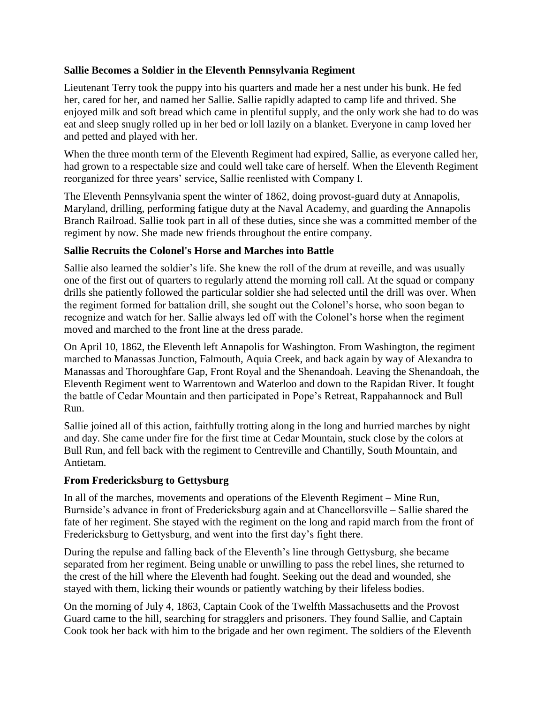#### **Sallie Becomes a Soldier in the Eleventh Pennsylvania Regiment**

Lieutenant Terry took the puppy into his quarters and made her a nest under his bunk. He fed her, cared for her, and named her Sallie. Sallie rapidly adapted to camp life and thrived. She enjoyed milk and soft bread which came in plentiful supply, and the only work she had to do was eat and sleep snugly rolled up in her bed or loll lazily on a blanket. Everyone in camp loved her and petted and played with her.

When the three month term of the Eleventh Regiment had expired, Sallie, as everyone called her, had grown to a respectable size and could well take care of herself. When the Eleventh Regiment reorganized for three years' service, Sallie reenlisted with Company I.

The Eleventh Pennsylvania spent the winter of 1862, doing provost-guard duty at Annapolis, Maryland, drilling, performing fatigue duty at the Naval Academy, and guarding the Annapolis Branch Railroad. Sallie took part in all of these duties, since she was a committed member of the regiment by now. She made new friends throughout the entire company.

#### **Sallie Recruits the Colonel's Horse and Marches into Battle**

Sallie also learned the soldier's life. She knew the roll of the drum at reveille, and was usually one of the first out of quarters to regularly attend the morning roll call. At the squad or company drills she patiently followed the particular soldier she had selected until the drill was over. When the regiment formed for battalion drill, she sought out the Colonel's horse, who soon began to recognize and watch for her. Sallie always led off with the Colonel's horse when the regiment moved and marched to the front line at the dress parade.

On April 10, 1862, the Eleventh left Annapolis for Washington. From Washington, the regiment marched to Manassas Junction, Falmouth, Aquia Creek, and back again by way of Alexandra to Manassas and Thoroughfare Gap, Front Royal and the Shenandoah. Leaving the Shenandoah, the Eleventh Regiment went to Warrentown and Waterloo and down to the Rapidan River. It fought the battle of Cedar Mountain and then participated in Pope's Retreat, Rappahannock and Bull Run.

Sallie joined all of this action, faithfully trotting along in the long and hurried marches by night and day. She came under fire for the first time at Cedar Mountain, stuck close by the colors at Bull Run, and fell back with the regiment to Centreville and Chantilly, South Mountain, and Antietam.

#### **From Fredericksburg to Gettysburg**

In all of the marches, movements and operations of the Eleventh Regiment – Mine Run, Burnside's advance in front of Fredericksburg again and at Chancellorsville – Sallie shared the fate of her regiment. She stayed with the regiment on the long and rapid march from the front of Fredericksburg to Gettysburg, and went into the first day's fight there.

During the repulse and falling back of the Eleventh's line through Gettysburg, she became separated from her regiment. Being unable or unwilling to pass the rebel lines, she returned to the crest of the hill where the Eleventh had fought. Seeking out the dead and wounded, she stayed with them, licking their wounds or patiently watching by their lifeless bodies.

On the morning of July 4, 1863, Captain Cook of the Twelfth Massachusetts and the Provost Guard came to the hill, searching for stragglers and prisoners. They found Sallie, and Captain Cook took her back with him to the brigade and her own regiment. The soldiers of the Eleventh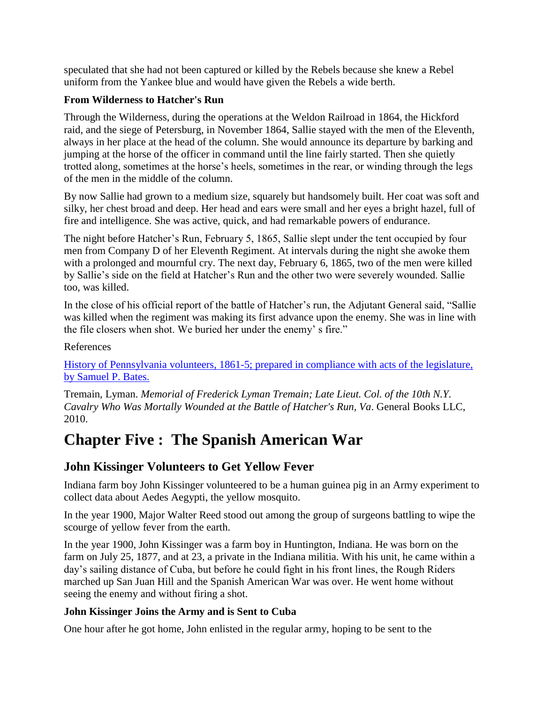speculated that she had not been captured or killed by the Rebels because she knew a Rebel uniform from the Yankee blue and would have given the Rebels a wide berth.

## **From Wilderness to Hatcher's Run**

Through the Wilderness, during the operations at the Weldon Railroad in 1864, the Hickford raid, and the siege of Petersburg, in November 1864, Sallie stayed with the men of the Eleventh, always in her place at the head of the column. She would announce its departure by barking and jumping at the horse of the officer in command until the line fairly started. Then she quietly trotted along, sometimes at the horse's heels, sometimes in the rear, or winding through the legs of the men in the middle of the column.

By now Sallie had grown to a medium size, squarely but handsomely built. Her coat was soft and silky, her chest broad and deep. Her head and ears were small and her eyes a bright hazel, full of fire and intelligence. She was active, quick, and had remarkable powers of endurance.

The night before Hatcher's Run, February 5, 1865, Sallie slept under the tent occupied by four men from Company D of her Eleventh Regiment. At intervals during the night she awoke them with a prolonged and mournful cry. The next day, February 6, 1865, two of the men were killed by Sallie's side on the field at Hatcher's Run and the other two were severely wounded. Sallie too, was killed.

In the close of his official report of the battle of Hatcher's run, the Adjutant General said, "Sallie was killed when the regiment was making its first advance upon the enemy. She was in line with the file closers when shot. We buried her under the enemy' s fire."

References

[History of Pennsylvania volunteers, 1861-5; prepared in compliance with acts of the legislature,](http://quod.lib.umich.edu/cgi/t/text/text-idx?sid=d90fb765cd0cf9e7bdb007dd740c9fa1&c=moa&idno=ABY3439.0001.001&view=toc%20)  [by Samuel P. Bates.](http://quod.lib.umich.edu/cgi/t/text/text-idx?sid=d90fb765cd0cf9e7bdb007dd740c9fa1&c=moa&idno=ABY3439.0001.001&view=toc%20) 

Tremain, Lyman. *Memorial of Frederick Lyman Tremain; Late Lieut. Col. of the 10th N.Y. Cavalry Who Was Mortally Wounded at the Battle of Hatcher's Run, Va*. General Books LLC, 2010.

# **Chapter Five : The Spanish American War**

# **John Kissinger Volunteers to Get Yellow Fever**

Indiana farm boy John Kissinger volunteered to be a human guinea pig in an Army experiment to collect data about Aedes Aegypti, the yellow mosquito.

In the year 1900, Major Walter Reed stood out among the group of surgeons battling to wipe the scourge of yellow fever from the earth.

In the year 1900, John Kissinger was a farm boy in Huntington, Indiana. He was born on the farm on July 25, 1877, and at 23, a private in the Indiana militia. With his unit, he came within a day's sailing distance of Cuba, but before he could fight in his front lines, the Rough Riders marched up San Juan Hill and the Spanish American War was over. He went home without seeing the enemy and without firing a shot.

# **John Kissinger Joins the Army and is Sent to Cuba**

One hour after he got home, John enlisted in the regular army, hoping to be sent to the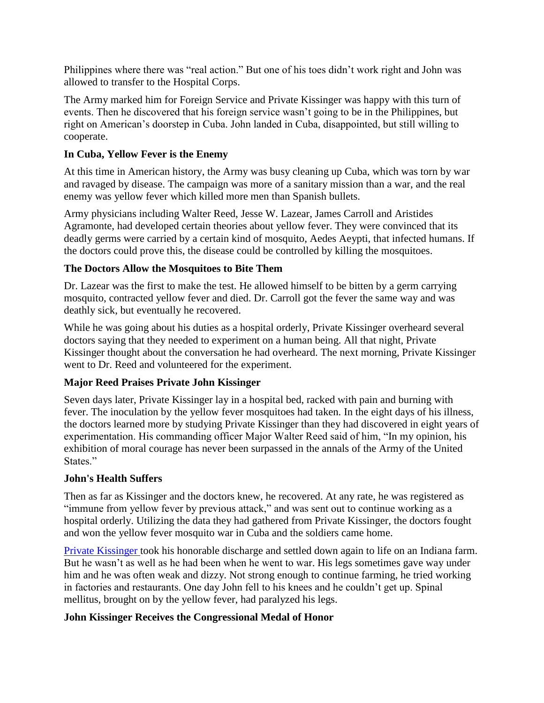Philippines where there was "real action." But one of his toes didn't work right and John was allowed to transfer to the Hospital Corps.

The Army marked him for Foreign Service and Private Kissinger was happy with this turn of events. Then he discovered that his foreign service wasn't going to be in the Philippines, but right on American's doorstep in Cuba. John landed in Cuba, disappointed, but still willing to cooperate.

# **In Cuba, Yellow Fever is the Enemy**

At this time in American history, the Army was busy cleaning up Cuba, which was torn by war and ravaged by disease. The campaign was more of a sanitary mission than a war, and the real enemy was yellow fever which killed more men than Spanish bullets.

Army physicians including Walter Reed, Jesse W. Lazear, James Carroll and Aristides Agramonte, had developed certain theories about yellow fever. They were convinced that its deadly germs were carried by a certain kind of mosquito, Aedes Aeypti, that infected humans. If the doctors could prove this, the disease could be controlled by killing the mosquitoes.

# **The Doctors Allow the Mosquitoes to Bite Them**

Dr. Lazear was the first to make the test. He allowed himself to be bitten by a germ carrying mosquito, contracted yellow fever and died. Dr. Carroll got the fever the same way and was deathly sick, but eventually he recovered.

While he was going about his duties as a hospital orderly, Private Kissinger overheard several doctors saying that they needed to experiment on a human being. All that night, Private Kissinger thought about the conversation he had overheard. The next morning, Private Kissinger went to Dr. Reed and volunteered for the experiment.

# **Major Reed Praises Private John Kissinger**

Seven days later, Private Kissinger lay in a hospital bed, racked with pain and burning with fever. The inoculation by the yellow fever mosquitoes had taken. In the eight days of his illness, the doctors learned more by studying Private Kissinger than they had discovered in eight years of experimentation. His commanding officer Major Walter Reed said of him, "In my opinion, his exhibition of moral courage has never been surpassed in the annals of the Army of the United States."

# **John's Health Suffers**

Then as far as Kissinger and the doctors knew, he recovered. At any rate, he was registered as "immune from yellow fever by previous attack," and was sent out to continue working as a hospital orderly. Utilizing the data they had gathered from Private Kissinger, the doctors fought and won the yellow fever mosquito war in Cuba and the soldiers came home.

[Private Kissinger t](http://news.google.com/newspapers?nid=950&dat=19440720&id=X-wLAAAAIBAJ&sjid=HVUDAAAAIBAJ&pg=2919,4084571)ook his honorable discharge and settled down again to life on an Indiana farm. But he wasn't as well as he had been when he went to war. His legs sometimes gave way under him and he was often weak and dizzy. Not strong enough to continue farming, he tried working in factories and restaurants. One day John fell to his knees and he couldn't get up. Spinal mellitus, brought on by the yellow fever, had paralyzed his legs.

# **John Kissinger Receives the Congressional Medal of Honor**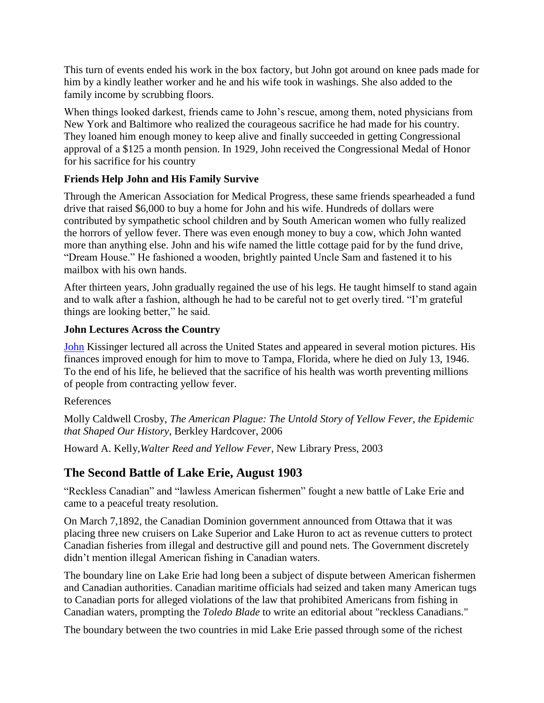This turn of events ended his work in the box factory, but John got around on knee pads made for him by a kindly leather worker and he and his wife took in washings. She also added to the family income by scrubbing floors.

When things looked darkest, friends came to John's rescue, among them, noted physicians from New York and Baltimore who realized the courageous sacrifice he had made for his country. They loaned him enough money to keep alive and finally succeeded in getting Congressional approval of a \$125 a month pension. In 1929, John received the Congressional Medal of Honor for his sacrifice for his country

# **Friends Help John and His Family Survive**

Through the American Association for Medical Progress, these same friends spearheaded a fund drive that raised \$6,000 to buy a home for John and his wife. Hundreds of dollars were contributed by sympathetic school children and by South American women who fully realized the horrors of yellow fever. There was even enough money to buy a cow, which John wanted more than anything else. John and his wife named the little cottage paid for by the fund drive, "Dream House." He fashioned a wooden, brightly painted Uncle Sam and fastened it to his mailbox with his own hands.

After thirteen years, John gradually regained the use of his legs. He taught himself to stand again and to walk after a fashion, although he had to be careful not to get overly tired. "I'm grateful things are looking better," he said.

# **John Lectures Across the Country**

[John](http://news.google.com/newspapers?nid=888&dat=19460716&id=WhIwAAAAIBAJ&sjid=204DAAAAIBAJ&pg=7237,1536725) Kissinger lectured all across the United States and appeared in several motion pictures. His finances improved enough for him to move to Tampa, Florida, where he died on July 13, 1946. To the end of his life, he believed that the sacrifice of his health was worth preventing millions of people from contracting yellow fever.

#### References

Molly Caldwell Crosby, *The American Plague: The Untold Story of Yellow Fever, the Epidemic that Shaped Our History*, Berkley Hardcover, 2006

Howard A. Kelly,*Walter Reed and Yellow Fever*, New Library Press, 2003

# **The Second Battle of Lake Erie, August 1903**

"Reckless Canadian" and "lawless American fishermen" fought a new battle of Lake Erie and came to a peaceful treaty resolution.

On March 7,1892, the Canadian Dominion government announced from Ottawa that it was placing three new cruisers on Lake Superior and Lake Huron to act as revenue cutters to protect Canadian fisheries from illegal and destructive gill and pound nets. The Government discretely didn't mention illegal American fishing in Canadian waters.

The boundary line on Lake Erie had long been a subject of dispute between American fishermen and Canadian authorities. Canadian maritime officials had seized and taken many American tugs to Canadian ports for alleged violations of the law that prohibited Americans from fishing in Canadian waters, prompting the *Toledo Blade* to write an editorial about "reckless Canadians."

The boundary between the two countries in mid Lake Erie passed through some of the richest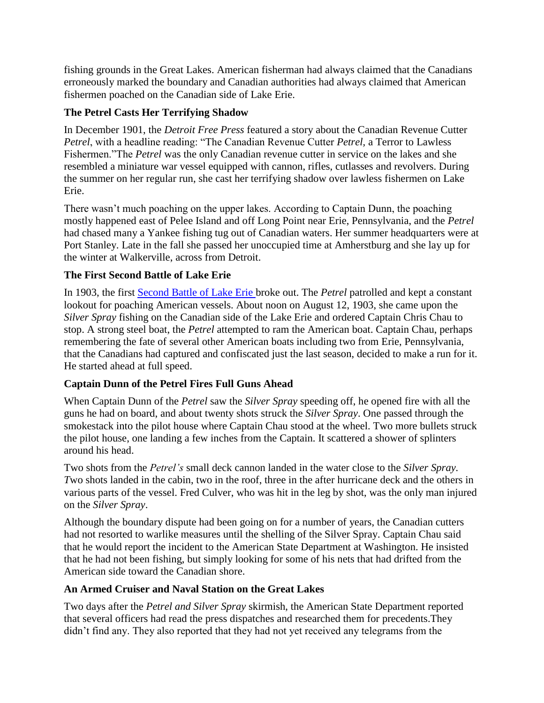fishing grounds in the Great Lakes. American fisherman had always claimed that the Canadians erroneously marked the boundary and Canadian authorities had always claimed that American fishermen poached on the Canadian side of Lake Erie.

## **The Petrel Casts Her Terrifying Shadow**

In December 1901, the *Detroit Free Press* featured a story about the Canadian Revenue Cutter *Petrel*, with a headline reading: "The Canadian Revenue Cutter *Petrel,* a Terror to Lawless Fishermen."The *Petrel* was the only Canadian revenue cutter in service on the lakes and she resembled a miniature war vessel equipped with cannon, rifles, cutlasses and revolvers. During the summer on her regular run, she cast her terrifying shadow over lawless fishermen on Lake Erie.

There wasn't much poaching on the upper lakes. According to Captain Dunn, the poaching mostly happened east of Pelee Island and off Long Point near Erie, Pennsylvania, and the *Petrel*  had chased many a Yankee fishing tug out of Canadian waters. Her summer headquarters were at Port Stanley. Late in the fall she passed her unoccupied time at Amherstburg and she lay up for the winter at Walkerville, across from Detroit.

#### **The First Second Battle of Lake Erie**

In 1903, the first [Second Battle of Lake Erie b](http://query.nytimes.com/gst/abstract.html?res=9A05E5DB1630E033A25753C1A9639C94659ED7CF)roke out. The *Petrel* patrolled and kept a constant lookout for poaching American vessels. About noon on August 12, 1903, she came upon the *Silver Spray* fishing on the Canadian side of the Lake Erie and ordered Captain Chris Chau to stop. A strong steel boat, the *Petrel* attempted to ram the American boat. Captain Chau, perhaps remembering the fate of several other American boats including two from Erie, Pennsylvania, that the Canadians had captured and confiscated just the last season, decided to make a run for it. He started ahead at full speed.

# **Captain Dunn of the Petrel Fires Full Guns Ahead**

When Captain Dunn of the *Petrel* saw the *Silver Spray* speeding off, he opened fire with all the guns he had on board, and about twenty shots struck the *Silver Spray*. One passed through the smokestack into the pilot house where Captain Chau stood at the wheel. Two more bullets struck the pilot house, one landing a few inches from the Captain. It scattered a shower of splinters around his head.

Two shots from the *Petrel's* small deck cannon landed in the water close to the *Silver Spray. Two shots landed in the cabin, two in the roof, three in the after hurricane deck and the others in* various parts of the vessel. Fred Culver, who was hit in the leg by shot, was the only man injured on the *Silver Spray*.

Although the boundary dispute had been going on for a number of years, the Canadian cutters had not resorted to warlike measures until the shelling of the Silver Spray. Captain Chau said that he would report the incident to the American State Department at Washington. He insisted that he had not been fishing, but simply looking for some of his nets that had drifted from the American side toward the Canadian shore.

#### **An Armed Cruiser and Naval Station on the Great Lakes**

Two days after the *Petrel and Silver Spray* skirmish, the American State Department reported that several officers had read the press dispatches and researched them for precedents.They didn't find any. They also reported that they had not yet received any telegrams from the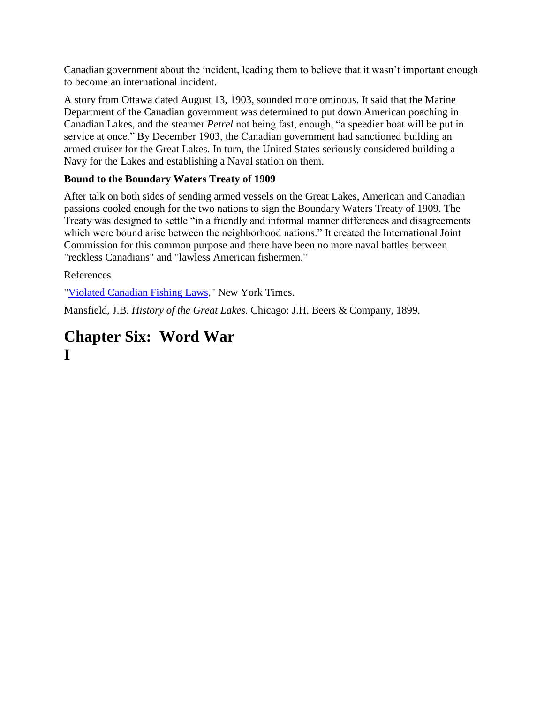Canadian government about the incident, leading them to believe that it wasn't important enough to become an international incident.

A story from Ottawa dated August 13, 1903, sounded more ominous. It said that the Marine Department of the Canadian government was determined to put down American poaching in Canadian Lakes, and the steamer *Petrel* not being fast, enough, "a speedier boat will be put in service at once." By December 1903, the Canadian government had sanctioned building an armed cruiser for the Great Lakes. In turn, the United States seriously considered building a Navy for the Lakes and establishing a Naval station on them.

# **Bound to the Boundary Waters Treaty of 1909**

After talk on both sides of sending armed vessels on the Great Lakes, American and Canadian passions cooled enough for the two nations to sign the Boundary Waters Treaty of 1909. The Treaty was designed to settle "in a friendly and informal manner differences and disagreements which were bound arise between the neighborhood nations." It created the International Joint Commission for this common purpose and there have been no more naval battles between "reckless Canadians" and "lawless American fishermen."

## References

["Violated Canadian Fishing Laws,](http://query.nytimes.com/gst/abstract.html?res=9A05E5DB1630E033A25753C1A9639C94659ED7CF)" New York Times.

Mansfield, J.B. *History of the Great Lakes.* Chicago: J.H. Beers & Company, 1899.

# **Chapter Six: Word War I**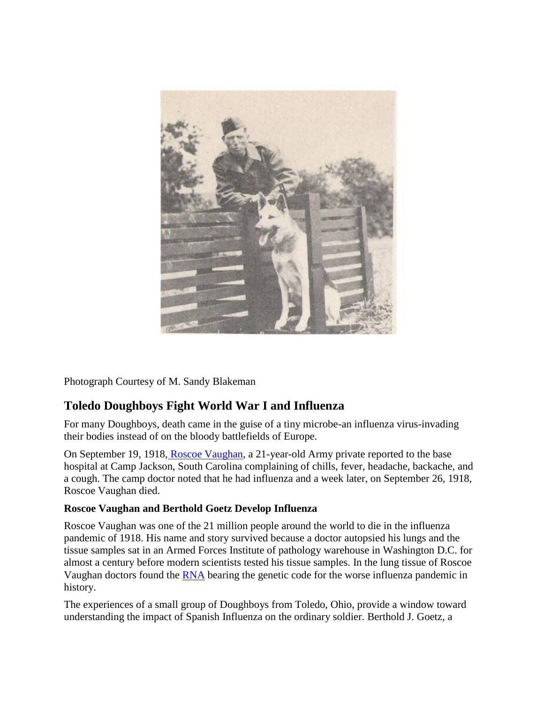

Photograph Courtesy of M. Sandy Blakeman

# **Toledo Doughboys Fight World War I and Influenza**

For many Doughboys, death came in the guise of a tiny microbe-an influenza virus-invading their bodies instead of on the bloody battlefields of Europe.

On September 19, 1918, [Roscoe Vaughan,](http://books.google.com/books?id=haCUuvaj-58C&pg=PA181&lpg=PA181&dq=roscoe+vaughan&source=bl&ots=Y14PARxW27&sig=O3Zh9dlZfquUgxquISDFwZP1gRg&hl=en&ei=LjHUTKWsHMSCngeKk7HUBQ&sa=X&oi=book_result&ct=result&resnum=2&ved=0CBcQ6AEwAQ) a 21-year-old Army private reported to the base hospital at Camp Jackson, South Carolina complaining of chills, fever, headache, backache, and a cough. The camp doctor noted that he had influenza and a week later, on September 26, 1918, Roscoe Vaughan died.

#### **Roscoe Vaughan and Berthold Goetz Develop Influenza**

Roscoe Vaughan was one of the 21 million people around the world to die in the influenza pandemic of 1918. His name and story survived because a doctor autopsied his lungs and the tissue samples sat in an Armed Forces Institute of pathology warehouse in Washington D.C. for almost a century before modern scientists tested his tissue samples. In the lung tissue of Roscoe Vaughan doctors found the [RNA](http://www.nih.gov/news/health/jun2009/niaid-29.htm) bearing the genetic code for the worse influenza pandemic in history.

The experiences of a small group of Doughboys from Toledo, Ohio, provide a window toward understanding the impact of Spanish Influenza on the ordinary soldier. Berthold J. Goetz, a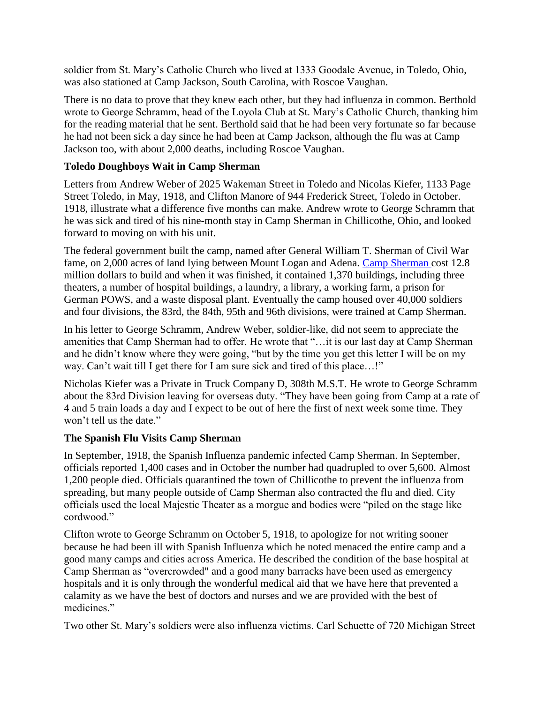soldier from St. Mary's Catholic Church who lived at 1333 Goodale Avenue, in Toledo, Ohio, was also stationed at Camp Jackson, South Carolina, with Roscoe Vaughan.

There is no data to prove that they knew each other, but they had influenza in common. Berthold wrote to George Schramm, head of the Loyola Club at St. Mary's Catholic Church, thanking him for the reading material that he sent. Berthold said that he had been very fortunate so far because he had not been sick a day since he had been at Camp Jackson, although the flu was at Camp Jackson too, with about 2,000 deaths, including Roscoe Vaughan.

## **Toledo Doughboys Wait in Camp Sherman**

Letters from Andrew Weber of 2025 Wakeman Street in Toledo and Nicolas Kiefer, 1133 Page Street Toledo, in May, 1918, and Clifton Manore of 944 Frederick Street, Toledo in October. 1918, illustrate what a difference five months can make. Andrew wrote to George Schramm that he was sick and tired of his nine-month stay in Camp Sherman in Chillicothe, Ohio, and looked forward to moving on with his unit.

The federal government built the camp, named after General William T. Sherman of Civil War fame, on 2,000 acres of land lying between Mount Logan and Adena. [Camp Sherman c](http://www.chillicotheinfo.com/page.php?ID=5799)ost 12.8 million dollars to build and when it was finished, it contained 1,370 buildings, including three theaters, a number of hospital buildings, a laundry, a library, a working farm, a prison for German POWS, and a waste disposal plant. Eventually the camp housed over 40,000 soldiers and four divisions, the 83rd, the 84th, 95th and 96th divisions, were trained at Camp Sherman.

In his letter to George Schramm, Andrew Weber, soldier-like, did not seem to appreciate the amenities that Camp Sherman had to offer. He wrote that "…it is our last day at Camp Sherman and he didn't know where they were going, "but by the time you get this letter I will be on my way. Can't wait till I get there for I am sure sick and tired of this place...!"

Nicholas Kiefer was a Private in Truck Company D, 308th M.S.T. He wrote to George Schramm about the 83rd Division leaving for overseas duty. "They have been going from Camp at a rate of 4 and 5 train loads a day and I expect to be out of here the first of next week some time. They won't tell us the date."

#### **The Spanish Flu Visits Camp Sherman**

In September, 1918, the Spanish Influenza pandemic infected Camp Sherman. In September, officials reported 1,400 cases and in October the number had quadrupled to over 5,600. Almost 1,200 people died. Officials quarantined the town of Chillicothe to prevent the influenza from spreading, but many people outside of Camp Sherman also contracted the flu and died. City officials used the local Majestic Theater as a morgue and bodies were "piled on the stage like cordwood."

Clifton wrote to George Schramm on October 5, 1918, to apologize for not writing sooner because he had been ill with Spanish Influenza which he noted menaced the entire camp and a good many camps and cities across America. He described the condition of the base hospital at Camp Sherman as "overcrowded" and a good many barracks have been used as emergency hospitals and it is only through the wonderful medical aid that we have here that prevented a calamity as we have the best of doctors and nurses and we are provided with the best of medicines."

Two other St. Mary's soldiers were also influenza victims. Carl Schuette of 720 Michigan Street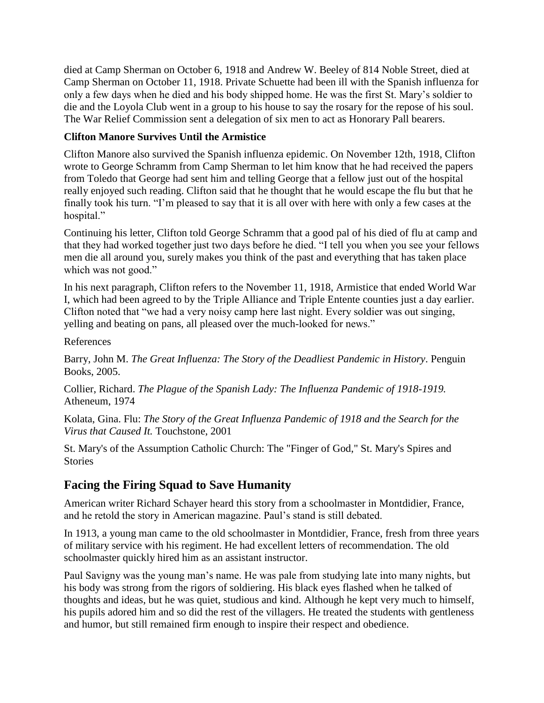died at Camp Sherman on October 6, 1918 and Andrew W. Beeley of 814 Noble Street, died at Camp Sherman on October 11, 1918. Private Schuette had been ill with the Spanish influenza for only a few days when he died and his body shipped home. He was the first St. Mary's soldier to die and the Loyola Club went in a group to his house to say the rosary for the repose of his soul. The War Relief Commission sent a delegation of six men to act as Honorary Pall bearers.

## **Clifton Manore Survives Until the Armistice**

Clifton Manore also survived the Spanish influenza epidemic. On November 12th, 1918, Clifton wrote to George Schramm from Camp Sherman to let him know that he had received the papers from Toledo that George had sent him and telling George that a fellow just out of the hospital really enjoyed such reading. Clifton said that he thought that he would escape the flu but that he finally took his turn. "I'm pleased to say that it is all over with here with only a few cases at the hospital."

Continuing his letter, Clifton told George Schramm that a good pal of his died of flu at camp and that they had worked together just two days before he died. "I tell you when you see your fellows men die all around you, surely makes you think of the past and everything that has taken place which was not good."

In his next paragraph, Clifton refers to the November 11, 1918, Armistice that ended World War I, which had been agreed to by the Triple Alliance and Triple Entente counties just a day earlier. Clifton noted that "we had a very noisy camp here last night. Every soldier was out singing, yelling and beating on pans, all pleased over the much-looked for news."

References

Barry, John M. *The Great Influenza: The Story of the Deadliest Pandemic in History*. Penguin Books, 2005.

Collier, Richard. *The Plague of the Spanish Lady: The Influenza Pandemic of 1918-1919.* Atheneum, 1974

Kolata, Gina. Flu: *The Story of the Great Influenza Pandemic of 1918 and the Search for the Virus that Caused It.* Touchstone, 2001

St. Mary's of the Assumption Catholic Church: The "Finger of God," St. Mary's Spires and **Stories** 

# **Facing the Firing Squad to Save Humanity**

American writer Richard Schayer heard this story from a schoolmaster in Montdidier, France, and he retold the story in American magazine. Paul's stand is still debated.

In 1913, a young man came to the old schoolmaster in Montdidier, France, fresh from three years of military service with his regiment. He had excellent letters of recommendation. The old schoolmaster quickly hired him as an assistant instructor.

Paul Savigny was the young man's name. He was pale from studying late into many nights, but his body was strong from the rigors of soldiering. His black eyes flashed when he talked of thoughts and ideas, but he was quiet, studious and kind. Although he kept very much to himself, his pupils adored him and so did the rest of the villagers. He treated the students with gentleness and humor, but still remained firm enough to inspire their respect and obedience.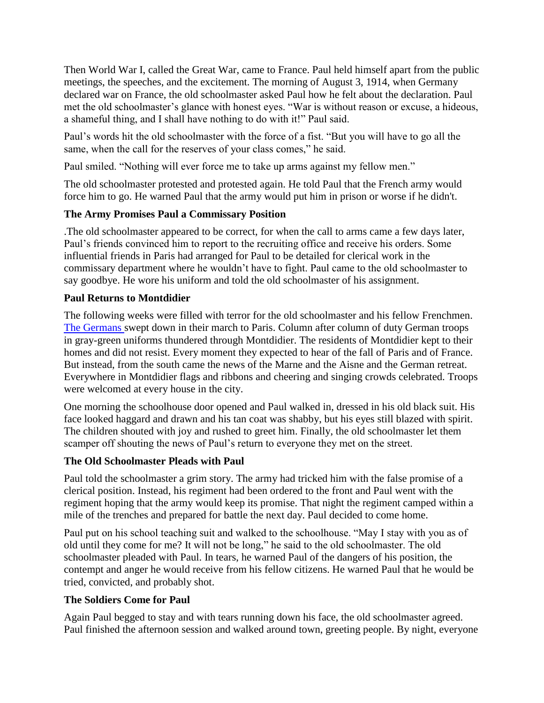Then World War I, called the Great War, came to France. Paul held himself apart from the public meetings, the speeches, and the excitement. The morning of August 3, 1914, when Germany declared war on France, the old schoolmaster asked Paul how he felt about the declaration. Paul met the old schoolmaster's glance with honest eyes. "War is without reason or excuse, a hideous, a shameful thing, and I shall have nothing to do with it!" Paul said.

Paul's words hit the old schoolmaster with the force of a fist. "But you will have to go all the same, when the call for the reserves of your class comes," he said.

Paul smiled. "Nothing will ever force me to take up arms against my fellow men."

The old schoolmaster protested and protested again. He told Paul that the French army would force him to go. He warned Paul that the army would put him in prison or worse if he didn't.

## **The Army Promises Paul a Commissary Position**

.The old schoolmaster appeared to be correct, for when the call to arms came a few days later, Paul's friends convinced him to report to the recruiting office and receive his orders. Some influential friends in Paris had arranged for Paul to be detailed for clerical work in the commissary department where he wouldn't have to fight. Paul came to the old schoolmaster to say goodbye. He wore his uniform and told the old schoolmaster of his assignment.

## **Paul Returns to Montdidier**

The following weeks were filled with terror for the old schoolmaster and his fellow Frenchmen. [The Germans s](http://query.nytimes.com/mem/archive-free/pdf?_r=1&res=9F00EFDF163EE433A25752C1A9639C946996D6CF)wept down in their march to Paris. Column after column of duty German troops in gray-green uniforms thundered through Montdidier. The residents of Montdidier kept to their homes and did not resist. Every moment they expected to hear of the fall of Paris and of France. But instead, from the south came the news of the Marne and the Aisne and the German retreat. Everywhere in Montdidier flags and ribbons and cheering and singing crowds celebrated. Troops were welcomed at every house in the city.

One morning the schoolhouse door opened and Paul walked in, dressed in his old black suit. His face looked haggard and drawn and his tan coat was shabby, but his eyes still blazed with spirit. The children shouted with joy and rushed to greet him. Finally, the old schoolmaster let them scamper off shouting the news of Paul's return to everyone they met on the street.

## **The Old Schoolmaster Pleads with Paul**

Paul told the schoolmaster a grim story. The army had tricked him with the false promise of a clerical position. Instead, his regiment had been ordered to the front and Paul went with the regiment hoping that the army would keep its promise. That night the regiment camped within a mile of the trenches and prepared for battle the next day. Paul decided to come home.

Paul put on his school teaching suit and walked to the schoolhouse. "May I stay with you as of old until they come for me? It will not be long," he said to the old schoolmaster. The old schoolmaster pleaded with Paul. In tears, he warned Paul of the dangers of his position, the contempt and anger he would receive from his fellow citizens. He warned Paul that he would be tried, convicted, and probably shot.

## **The Soldiers Come for Paul**

Again Paul begged to stay and with tears running down his face, the old schoolmaster agreed. Paul finished the afternoon session and walked around town, greeting people. By night, everyone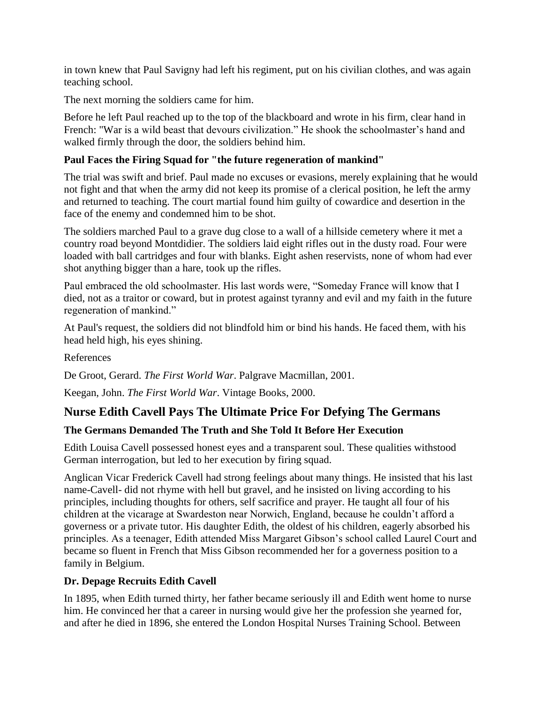in town knew that Paul Savigny had left his regiment, put on his civilian clothes, and was again teaching school.

The next morning the soldiers came for him.

Before he left Paul reached up to the top of the blackboard and wrote in his firm, clear hand in French: "War is a wild beast that devours civilization." He shook the schoolmaster's hand and walked firmly through the door, the soldiers behind him.

#### **Paul Faces the Firing Squad for "the future regeneration of mankind"**

The trial was swift and brief. Paul made no excuses or evasions, merely explaining that he would not fight and that when the army did not keep its promise of a clerical position, he left the army and returned to teaching. The court martial found him guilty of cowardice and desertion in the face of the enemy and condemned him to be shot.

The soldiers marched Paul to a grave dug close to a wall of a hillside cemetery where it met a country road beyond Montdidier. The soldiers laid eight rifles out in the dusty road. Four were loaded with ball cartridges and four with blanks. Eight ashen reservists, none of whom had ever shot anything bigger than a hare, took up the rifles.

Paul embraced the old schoolmaster. His last words were, "Someday France will know that I died, not as a traitor or coward, but in protest against tyranny and evil and my faith in the future regeneration of mankind."

At Paul's request, the soldiers did not blindfold him or bind his hands. He faced them, with his head held high, his eyes shining.

References

De Groot, Gerard. *The First World War*. Palgrave Macmillan, 2001.

Keegan, John. *The First World War*. Vintage Books, 2000.

## **Nurse Edith Cavell Pays The Ultimate Price For Defying The Germans**

#### **The Germans Demanded The Truth and She Told It Before Her Execution**

Edith Louisa Cavell possessed honest eyes and a transparent soul. These qualities withstood German interrogation, but led to her execution by firing squad.

Anglican Vicar Frederick Cavell had strong feelings about many things. He insisted that his last name-Cavell- did not rhyme with hell but gravel, and he insisted on living according to his principles, including thoughts for others, self sacrifice and prayer. He taught all four of his children at the vicarage at Swardeston near Norwich, England, because he couldn't afford a governess or a private tutor. His daughter Edith, the oldest of his children, eagerly absorbed his principles. As a teenager, Edith attended Miss Margaret Gibson's school called Laurel Court and became so fluent in French that Miss Gibson recommended her for a governess position to a family in Belgium.

#### **Dr. Depage Recruits Edith Cavell**

In 1895, when Edith turned thirty, her father became seriously ill and Edith went home to nurse him. He convinced her that a career in nursing would give her the profession she yearned for, and after he died in 1896, she entered the London Hospital Nurses Training School. Between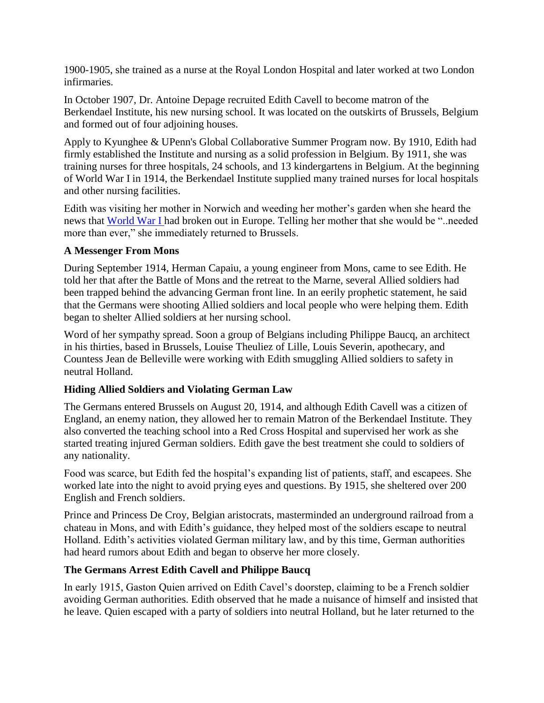1900-1905, she trained as a nurse at the Royal London Hospital and later worked at two London infirmaries.

In October 1907, Dr. Antoine Depage recruited Edith Cavell to become matron of the Berkendael Institute, his new nursing school. It was located on the outskirts of Brussels, Belgium and formed out of four adjoining houses.

Apply to Kyunghee & UPenn's Global Collaborative Summer Program now. By 1910, Edith had firmly established the Institute and nursing as a solid profession in Belgium. By 1911, she was training nurses for three hospitals, 24 schools, and 13 kindergartens in Belgium. At the beginning of World War I in 1914, the Berkendael Institute supplied many trained nurses for local hospitals and other nursing facilities.

Edith was visiting her mother in Norwich and weeding her mother's garden when she heard the news that [World War I h](http://www.firstworldwar.com/)ad broken out in Europe. Telling her mother that she would be "..needed more than ever," she immediately returned to Brussels.

#### **A Messenger From Mons**

During September 1914, Herman Capaiu, a young engineer from Mons, came to see Edith. He told her that after the Battle of Mons and the retreat to the Marne, several Allied soldiers had been trapped behind the advancing German front line. In an eerily prophetic statement, he said that the Germans were shooting Allied soldiers and local people who were helping them. Edith began to shelter Allied soldiers at her nursing school.

Word of her sympathy spread. Soon a group of Belgians including Philippe Baucq, an architect in his thirties, based in Brussels, Louise Theuliez of Lille, Louis Severin, apothecary, and Countess Jean de Belleville were working with Edith smuggling Allied soldiers to safety in neutral Holland.

#### **Hiding Allied Soldiers and Violating German Law**

The Germans entered Brussels on August 20, 1914, and although Edith Cavell was a citizen of England, an enemy nation, they allowed her to remain Matron of the Berkendael Institute. They also converted the teaching school into a Red Cross Hospital and supervised her work as she started treating injured German soldiers. Edith gave the best treatment she could to soldiers of any nationality.

Food was scarce, but Edith fed the hospital's expanding list of patients, staff, and escapees. She worked late into the night to avoid prying eyes and questions. By 1915, she sheltered over 200 English and French soldiers.

Prince and Princess De Croy, Belgian aristocrats, masterminded an underground railroad from a chateau in Mons, and with Edith's guidance, they helped most of the soldiers escape to neutral Holland. Edith's activities violated German military law, and by this time, German authorities had heard rumors about Edith and began to observe her more closely.

#### **The Germans Arrest Edith Cavell and Philippe Baucq**

In early 1915, Gaston Quien arrived on Edith Cavel's doorstep, claiming to be a French soldier avoiding German authorities. Edith observed that he made a nuisance of himself and insisted that he leave. Quien escaped with a party of soldiers into neutral Holland, but he later returned to the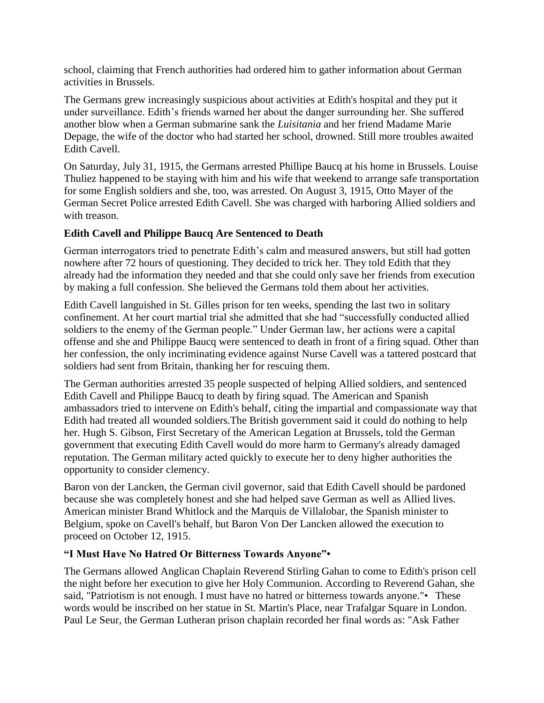school, claiming that French authorities had ordered him to gather information about German activities in Brussels.

The Germans grew increasingly suspicious about activities at Edith's hospital and they put it under surveillance. Edith's friends warned her about the danger surrounding her. She suffered another blow when a German submarine sank the *Luisitania* and her friend Madame Marie Depage, the wife of the doctor who had started her school, drowned. Still more troubles awaited Edith Cavell.

On Saturday, July 31, 1915, the Germans arrested Phillipe Baucq at his home in Brussels. Louise Thuliez happened to be staying with him and his wife that weekend to arrange safe transportation for some English soldiers and she, too, was arrested. On August 3, 1915, Otto Mayer of the German Secret Police arrested Edith Cavell. She was charged with harboring Allied soldiers and with treason.

## **Edith Cavell and Philippe Baucq Are Sentenced to Death**

German interrogators tried to penetrate Edith's calm and measured answers, but still had gotten nowhere after 72 hours of questioning. They decided to trick her. They told Edith that they already had the information they needed and that she could only save her friends from execution by making a full confession. She believed the Germans told them about her activities.

Edith Cavell languished in St. Gilles prison for ten weeks, spending the last two in solitary confinement. At her court martial trial she admitted that she had "successfully conducted allied soldiers to the enemy of the German people." Under German law, her actions were a capital offense and she and Philippe Baucq were sentenced to death in front of a firing squad. Other than her confession, the only incriminating evidence against Nurse Cavell was a tattered postcard that soldiers had sent from Britain, thanking her for rescuing them.

The German authorities arrested 35 people suspected of helping Allied soldiers, and sentenced Edith Cavell and Philippe Baucq to death by firing squad. The American and Spanish ambassadors tried to intervene on Edith's behalf, citing the impartial and compassionate way that Edith had treated all wounded soldiers.The British government said it could do nothing to help her. Hugh S. Gibson, First Secretary of the American Legation at Brussels, told the German government that executing Edith Cavell would do more harm to Germany's already damaged reputation. The German military acted quickly to execute her to deny higher authorities the opportunity to consider clemency.

Baron von der Lancken, the German civil governor, said that Edith Cavell should be pardoned because she was completely honest and she had helped save German as well as Allied lives. American minister Brand Whitlock and the Marquis de Villalobar, the Spanish minister to Belgium, spoke on Cavell's behalf, but Baron Von Der Lancken allowed the execution to proceed on October 12, 1915.

## **"I Must Have No Hatred Or Bitterness Towards Anyone"•**

The Germans allowed Anglican Chaplain Reverend Stirling Gahan to come to Edith's prison cell the night before her execution to give her Holy Communion. According to Reverend Gahan, she said, "Patriotism is not enough. I must have no hatred or bitterness towards anyone." • These words would be inscribed on her statue in St. Martin's Place, near Trafalgar Square in London. Paul Le Seur, the German Lutheran prison chaplain recorded her final words as: "Ask Father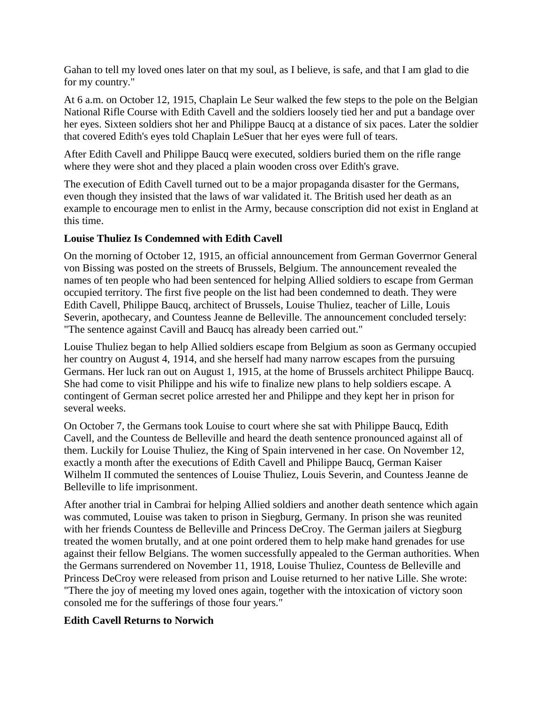Gahan to tell my loved ones later on that my soul, as I believe, is safe, and that I am glad to die for my country."

At 6 a.m. on October 12, 1915, Chaplain Le Seur walked the few steps to the pole on the Belgian National Rifle Course with Edith Cavell and the soldiers loosely tied her and put a bandage over her eyes. Sixteen soldiers shot her and Philippe Baucq at a distance of six paces. Later the soldier that covered Edith's eyes told Chaplain LeSuer that her eyes were full of tears.

After Edith Cavell and Philippe Baucq were executed, soldiers buried them on the rifle range where they were shot and they placed a plain wooden cross over Edith's grave.

The execution of Edith Cavell turned out to be a major propaganda disaster for the Germans, even though they insisted that the laws of war validated it. The British used her death as an example to encourage men to enlist in the Army, because conscription did not exist in England at this time.

#### **Louise Thuliez Is Condemned with Edith Cavell**

On the morning of October 12, 1915, an official announcement from German Goverrnor General von Bissing was posted on the streets of Brussels, Belgium. The announcement revealed the names of ten people who had been sentenced for helping Allied soldiers to escape from German occupied territory. The first five people on the list had been condemned to death. They were Edith Cavell, Philippe Baucq, architect of Brussels, Louise Thuliez, teacher of Lille, Louis Severin, apothecary, and Countess Jeanne de Belleville. The announcement concluded tersely: "The sentence against Cavill and Baucq has already been carried out."

Louise Thuliez began to help Allied soldiers escape from Belgium as soon as Germany occupied her country on August 4, 1914, and she herself had many narrow escapes from the pursuing Germans. Her luck ran out on August 1, 1915, at the home of Brussels architect Philippe Baucq. She had come to visit Philippe and his wife to finalize new plans to help soldiers escape. A contingent of German secret police arrested her and Philippe and they kept her in prison for several weeks.

On October 7, the Germans took Louise to court where she sat with Philippe Baucq, Edith Cavell, and the Countess de Belleville and heard the death sentence pronounced against all of them. Luckily for Louise Thuliez, the King of Spain intervened in her case. On November 12, exactly a month after the executions of Edith Cavell and Philippe Baucq, German Kaiser Wilhelm II commuted the sentences of Louise Thuliez, Louis Severin, and Countess Jeanne de Belleville to life imprisonment.

After another trial in Cambrai for helping Allied soldiers and another death sentence which again was commuted, Louise was taken to prison in Siegburg, Germany. In prison she was reunited with her friends Countess de Belleville and Princess DeCroy. The German jailers at Siegburg treated the women brutally, and at one point ordered them to help make hand grenades for use against their fellow Belgians. The women successfully appealed to the German authorities. When the Germans surrendered on November 11, 1918, Louise Thuliez, Countess de Belleville and Princess DeCroy were released from prison and Louise returned to her native Lille. She wrote: "There the joy of meeting my loved ones again, together with the intoxication of victory soon consoled me for the sufferings of those four years."

## **Edith Cavell Returns to Norwich**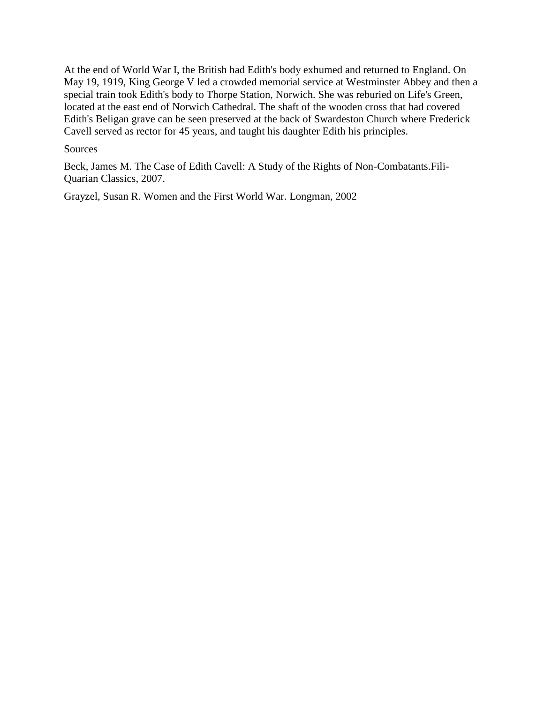At the end of World War I, the British had Edith's body exhumed and returned to England. On May 19, 1919, King George V led a crowded memorial service at Westminster Abbey and then a special train took Edith's body to Thorpe Station, Norwich. She was reburied on Life's Green, located at the east end of Norwich Cathedral. The shaft of the wooden cross that had covered Edith's Beligan grave can be seen preserved at the back of Swardeston Church where Frederick Cavell served as rector for 45 years, and taught his daughter Edith his principles.

#### Sources

Beck, James M. The Case of Edith Cavell: A Study of the Rights of Non-Combatants.Fili-Quarian Classics, 2007.

Grayzel, Susan R. Women and the First World War. Longman, 2002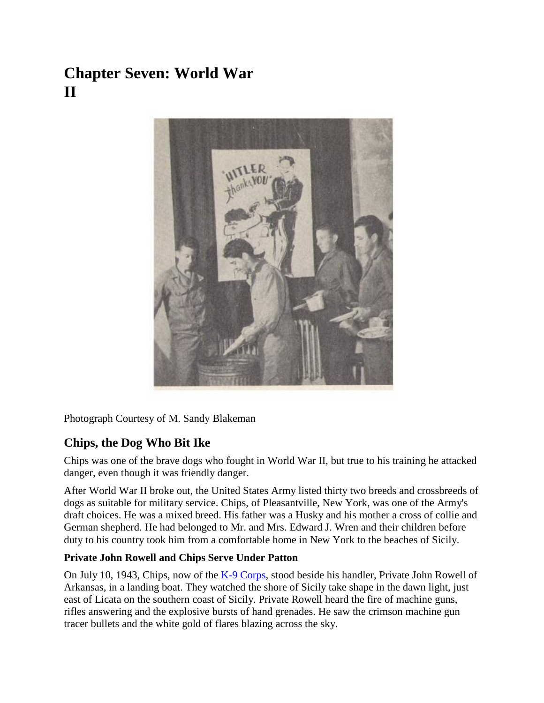# **Chapter Seven: World War II**



Photograph Courtesy of M. Sandy Blakeman

# **Chips, the Dog Who Bit Ike**

Chips was one of the brave dogs who fought in World War II, but true to his training he attacked danger, even though it was friendly danger.

After World War II broke out, the United States Army listed thirty two breeds and crossbreeds of dogs as suitable for military service. Chips, of Pleasantville, New York, was one of the Army's draft choices. He was a mixed breed. His father was a Husky and his mother a cross of collie and German shepherd. He had belonged to Mr. and Mrs. Edward J. Wren and their children before duty to his country took him from a comfortable home in New York to the beaches of Sicily.

## **Private John Rowell and Chips Serve Under Patton**

On July 10, 1943, Chips, now of the  $K-9$  Corps, stood beside his handler, Private John Rowell of Arkansas, in a landing boat. They watched the shore of Sicily take shape in the dawn light, just east of Licata on the southern coast of Sicily. Private Rowell heard the fire of machine guns, rifles answering and the explosive bursts of hand grenades. He saw the crimson machine gun tracer bullets and the white gold of flares blazing across the sky.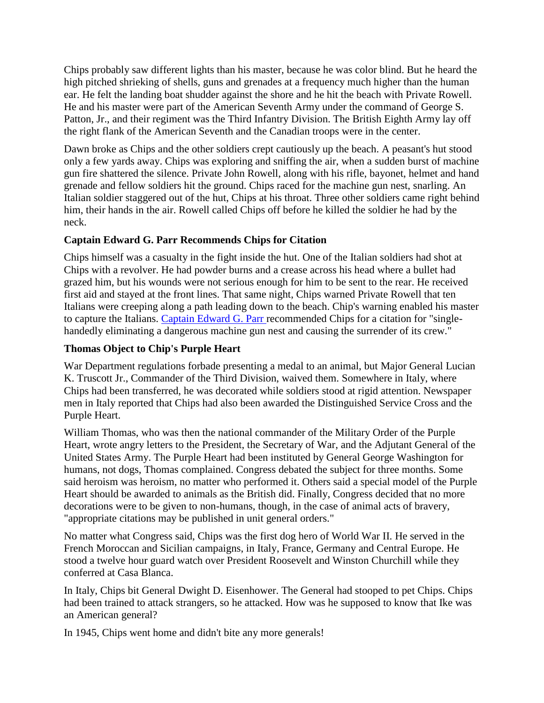Chips probably saw different lights than his master, because he was color blind. But he heard the high pitched shrieking of shells, guns and grenades at a frequency much higher than the human ear. He felt the landing boat shudder against the shore and he hit the beach with Private Rowell. He and his master were part of the American Seventh Army under the command of George S. Patton, Jr., and their regiment was the Third Infantry Division. The British Eighth Army lay off the right flank of the American Seventh and the Canadian troops were in the center.

Dawn broke as Chips and the other soldiers crept cautiously up the beach. A peasant's hut stood only a few yards away. Chips was exploring and sniffing the air, when a sudden burst of machine gun fire shattered the silence. Private John Rowell, along with his rifle, bayonet, helmet and hand grenade and fellow soldiers hit the ground. Chips raced for the machine gun nest, snarling. An Italian soldier staggered out of the hut, Chips at his throat. Three other soldiers came right behind him, their hands in the air. Rowell called Chips off before he killed the soldier he had by the neck.

#### **Captain Edward G. Parr Recommends Chips for Citation**

Chips himself was a casualty in the fight inside the hut. One of the Italian soldiers had shot at Chips with a revolver. He had powder burns and a crease across his head where a bullet had grazed him, but his wounds were not serious enough for him to be sent to the rear. He received first aid and stayed at the front lines. That same night, Chips warned Private Rowell that ten Italians were creeping along a path leading down to the beach. Chip's warning enabled his master to capture the Italians. [Captain Edward G. Parr r](http://olive-drab.com/)ecommended Chips for a citation for "singlehandedly eliminating a dangerous machine gun nest and causing the surrender of its crew."

#### **Thomas Object to Chip's Purple Heart**

War Department regulations forbade presenting a medal to an animal, but Major General Lucian K. Truscott Jr., Commander of the Third Division, waived them. Somewhere in Italy, where Chips had been transferred, he was decorated while soldiers stood at rigid attention. Newspaper men in Italy reported that Chips had also been awarded the Distinguished Service Cross and the Purple Heart.

William Thomas, who was then the national commander of the Military Order of the Purple Heart, wrote angry letters to the President, the Secretary of War, and the Adjutant General of the United States Army. The Purple Heart had been instituted by General George Washington for humans, not dogs, Thomas complained. Congress debated the subject for three months. Some said heroism was heroism, no matter who performed it. Others said a special model of the Purple Heart should be awarded to animals as the British did. Finally, Congress decided that no more decorations were to be given to non-humans, though, in the case of animal acts of bravery, "appropriate citations may be published in unit general orders."

No matter what Congress said, Chips was the first dog hero of World War II. He served in the French Moroccan and Sicilian campaigns, in Italy, France, Germany and Central Europe. He stood a twelve hour guard watch over President Roosevelt and Winston Churchill while they conferred at Casa Blanca.

In Italy, Chips bit General Dwight D. Eisenhower. The General had stooped to pet Chips. Chips had been trained to attack strangers, so he attacked. How was he supposed to know that Ike was an American general?

In 1945, Chips went home and didn't bite any more generals!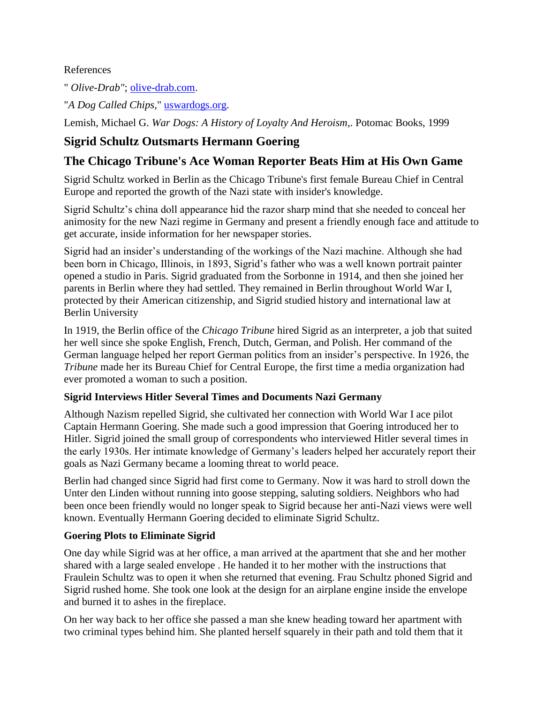#### References

" *Olive-Drab"*; [olive-drab.com.](http://olive-drab.com/od_wardogs.php)

"*A Dog Called Chips*," [uswardogs.org.](http://www.uswardogs.org/id10.html)

Lemish, Michael G. *War Dogs: A History of Loyalty And Heroism*,. Potomac Books, 1999

# **Sigrid Schultz Outsmarts Hermann Goering**

# **The Chicago Tribune's Ace Woman Reporter Beats Him at His Own Game**

Sigrid Schultz worked in Berlin as the Chicago Tribune's first female Bureau Chief in Central Europe and reported the growth of the Nazi state with insider's knowledge.

Sigrid Schultz's china doll appearance hid the razor sharp mind that she needed to conceal her animosity for the new Nazi regime in Germany and present a friendly enough face and attitude to get accurate, inside information for her newspaper stories.

Sigrid had an insider's understanding of the workings of the Nazi machine. Although she had been born in Chicago, Illinois, in 1893, Sigrid's father who was a well known portrait painter opened a studio in Paris. Sigrid graduated from the Sorbonne in 1914, and then she joined her parents in Berlin where they had settled. They remained in Berlin throughout World War I, protected by their American citizenship, and Sigrid studied history and international law at Berlin University

In 1919, the Berlin office of the *Chicago Tribune* hired Sigrid as an interpreter, a job that suited her well since she spoke English, French, Dutch, German, and Polish. Her command of the German language helped her report German politics from an insider's perspective. In 1926, the *Tribune* made her its Bureau Chief for Central Europe, the first time a media organization had ever promoted a woman to such a position.

#### **Sigrid Interviews Hitler Several Times and Documents Nazi Germany**

Although Nazism repelled Sigrid, she cultivated her connection with World War I ace pilot Captain Hermann Goering. She made such a good impression that Goering introduced her to Hitler. Sigrid joined the small group of correspondents who interviewed Hitler several times in the early 1930s. Her intimate knowledge of Germany's leaders helped her accurately report their goals as Nazi Germany became a looming threat to world peace.

Berlin had changed since Sigrid had first come to Germany. Now it was hard to stroll down the Unter den Linden without running into goose stepping, saluting soldiers. Neighbors who had been once been friendly would no longer speak to Sigrid because her anti-Nazi views were well known. Eventually Hermann Goering decided to eliminate Sigrid Schultz.

## **Goering Plots to Eliminate Sigrid**

One day while Sigrid was at her office, a man arrived at the apartment that she and her mother shared with a large sealed envelope . He handed it to her mother with the instructions that Fraulein Schultz was to open it when she returned that evening. Frau Schultz phoned Sigrid and Sigrid rushed home. She took one look at the design for an airplane engine inside the envelope and burned it to ashes in the fireplace.

On her way back to her office she passed a man she knew heading toward her apartment with two criminal types behind him. She planted herself squarely in their path and told them that it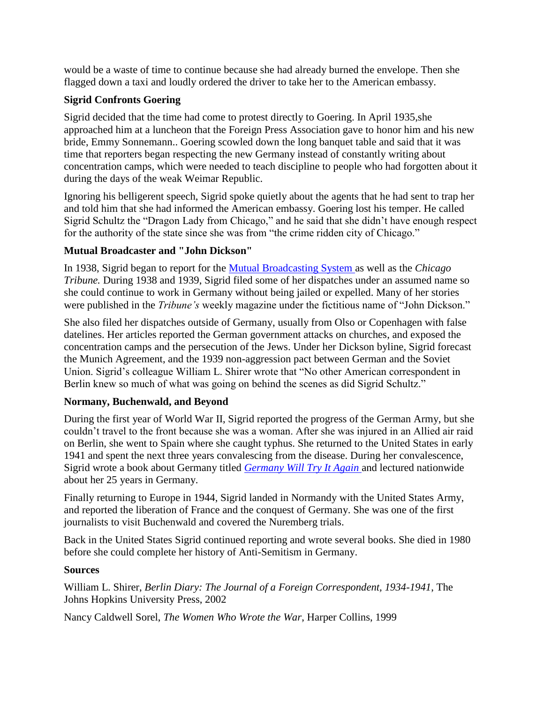would be a waste of time to continue because she had already burned the envelope. Then she flagged down a taxi and loudly ordered the driver to take her to the American embassy.

## **Sigrid Confronts Goering**

Sigrid decided that the time had come to protest directly to Goering. In April 1935,she approached him at a luncheon that the Foreign Press Association gave to honor him and his new bride, Emmy Sonnemann.. Goering scowled down the long banquet table and said that it was time that reporters began respecting the new Germany instead of constantly writing about concentration camps, which were needed to teach discipline to people who had forgotten about it during the days of the weak Weimar Republic.

Ignoring his belligerent speech, Sigrid spoke quietly about the agents that he had sent to trap her and told him that she had informed the American embassy. Goering lost his temper. He called Sigrid Schultz the "Dragon Lady from Chicago," and he said that she didn't have enough respect for the authority of the state since she was from "the crime ridden city of Chicago."

#### **Mutual Broadcaster and "John Dickson"**

In 1938, Sigrid began to report for the [Mutual Broadcasting System a](http://www.otr.com/schultz.html)s well as the *Chicago Tribune.* During 1938 and 1939, Sigrid filed some of her dispatches under an assumed name so she could continue to work in Germany without being jailed or expelled. Many of her stories were published in the *Tribune's* weekly magazine under the fictitious name of "John Dickson."

She also filed her dispatches outside of Germany, usually from Olso or Copenhagen with false datelines. Her articles reported the German government attacks on churches, and exposed the concentration camps and the persecution of the Jews. Under her Dickson byline, Sigrid forecast the Munich Agreement, and the 1939 non-aggression pact between German and the Soviet Union. Sigrid's colleague William L. Shirer wrote that "No other American correspondent in Berlin knew so much of what was going on behind the scenes as did Sigrid Schultz."

## **Normany, Buchenwald, and Beyond**

During the first year of World War II, Sigrid reported the progress of the German Army, but she couldn't travel to the front because she was a woman. After she was injured in an Allied air raid on Berlin, she went to Spain where she caught typhus. She returned to the United States in early 1941 and spent the next three years convalescing from the disease. During her convalescence, Sigrid wrote a book about Germany titled *[Germany Will Try It Again](http://news.google.com/newspapers?nid=1964&dat=19440115&id=K1kyAAAAIBAJ&sjid=2bYFAAAAIBAJ&pg=906,1090485)* and lectured nationwide about her 25 years in Germany.

Finally returning to Europe in 1944, Sigrid landed in Normandy with the United States Army, and reported the liberation of France and the conquest of Germany. She was one of the first journalists to visit Buchenwald and covered the Nuremberg trials.

Back in the United States Sigrid continued reporting and wrote several books. She died in 1980 before she could complete her history of Anti-Semitism in Germany.

#### **Sources**

William L. Shirer, *Berlin Diary: The Journal of a Foreign Correspondent, 1934-1941*, The Johns Hopkins University Press, 2002

Nancy Caldwell Sorel, *The Women Who Wrote the War*, Harper Collins, 1999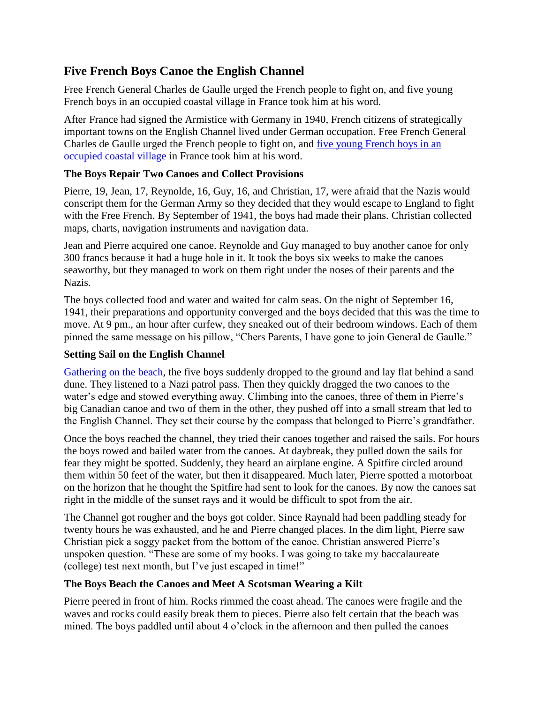# **Five French Boys Canoe the English Channel**

Free French General Charles de Gaulle urged the French people to fight on, and five young French boys in an occupied coastal village in France took him at his word.

After France had signed the Armistice with Germany in 1940, French citizens of strategically important towns on the English Channel lived under German occupation. Free French General Charles de Gaulle urged the French people to fight on, and [five young French boys in an](http://news.google.com/newspapers?nid=2194&dat=19411024&id=m_IuAAAAIBAJ&sjid=RtsFAAAAIBAJ&pg=6226,4544574)  [occupied coastal village i](http://news.google.com/newspapers?nid=2194&dat=19411024&id=m_IuAAAAIBAJ&sjid=RtsFAAAAIBAJ&pg=6226,4544574)n France took him at his word.

#### **The Boys Repair Two Canoes and Collect Provisions**

Pierre, 19, Jean, 17, Reynolde, 16, Guy, 16, and Christian, 17, were afraid that the Nazis would conscript them for the German Army so they decided that they would escape to England to fight with the Free French. By September of 1941, the boys had made their plans. Christian collected maps, charts, navigation instruments and navigation data.

Jean and Pierre acquired one canoe. Reynolde and Guy managed to buy another canoe for only 300 francs because it had a huge hole in it. It took the boys six weeks to make the canoes seaworthy, but they managed to work on them right under the noses of their parents and the Nazis.

The boys collected food and water and waited for calm seas. On the night of September 16, 1941, their preparations and opportunity converged and the boys decided that this was the time to move. At 9 pm., an hour after curfew, they sneaked out of their bedroom windows. Each of them pinned the same message on his pillow, "Chers Parents, I have gone to join General de Gaulle."

#### **Setting Sail on the English Channel**

[Gathering on the beach,](http://books.google.com/books?id=jU4EAAAAMBAJ&pg=PA16&lpg=PA16&dq=five+french+boys+canoe+the+english+channel&source=bl&ots=9tIUvi4lZ-&sig=Ppf8PaB2PJORfKKX0WTp6H2AWr8&hl=en&ei=hnGNS-XWEpSwNqbUmG4&sa=X&oi=book_result&ct=result&resnum=5&ved=0CA8Q6AEwBA) the five boys suddenly dropped to the ground and lay flat behind a sand dune. They listened to a Nazi patrol pass. Then they quickly dragged the two canoes to the water's edge and stowed everything away. Climbing into the canoes, three of them in Pierre's big Canadian canoe and two of them in the other, they pushed off into a small stream that led to the English Channel. They set their course by the compass that belonged to Pierre's grandfather.

Once the boys reached the channel, they tried their canoes together and raised the sails. For hours the boys rowed and bailed water from the canoes. At daybreak, they pulled down the sails for fear they might be spotted. Suddenly, they heard an airplane engine. A Spitfire circled around them within 50 feet of the water, but then it disappeared. Much later, Pierre spotted a motorboat on the horizon that he thought the Spitfire had sent to look for the canoes. By now the canoes sat right in the middle of the sunset rays and it would be difficult to spot from the air.

The Channel got rougher and the boys got colder. Since Raynald had been paddling steady for twenty hours he was exhausted, and he and Pierre changed places. In the dim light, Pierre saw Christian pick a soggy packet from the bottom of the canoe. Christian answered Pierre's unspoken question. "These are some of my books. I was going to take my baccalaureate (college) test next month, but I've just escaped in time!"

#### **The Boys Beach the Canoes and Meet A Scotsman Wearing a Kilt**

Pierre peered in front of him. Rocks rimmed the coast ahead. The canoes were fragile and the waves and rocks could easily break them to pieces. Pierre also felt certain that the beach was mined. The boys paddled until about 4 o'clock in the afternoon and then pulled the canoes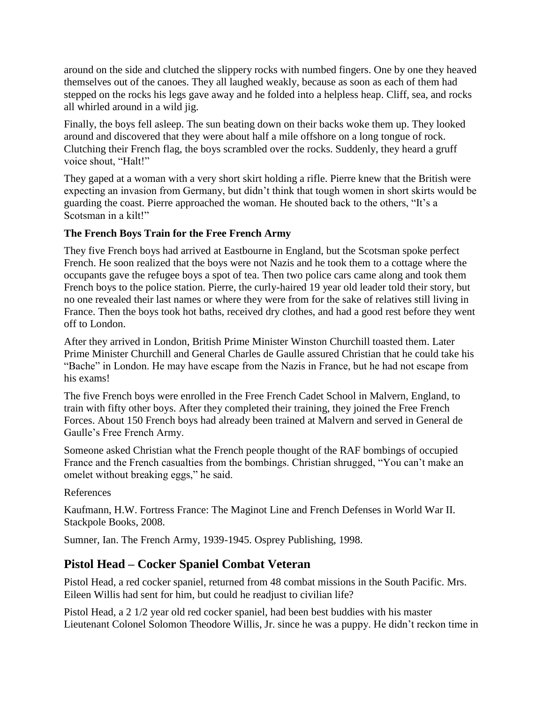around on the side and clutched the slippery rocks with numbed fingers. One by one they heaved themselves out of the canoes. They all laughed weakly, because as soon as each of them had stepped on the rocks his legs gave away and he folded into a helpless heap. Cliff, sea, and rocks all whirled around in a wild jig.

Finally, the boys fell asleep. The sun beating down on their backs woke them up. They looked around and discovered that they were about half a mile offshore on a long tongue of rock. Clutching their French flag, the boys scrambled over the rocks. Suddenly, they heard a gruff voice shout, "Halt!"

They gaped at a woman with a very short skirt holding a rifle. Pierre knew that the British were expecting an invasion from Germany, but didn't think that tough women in short skirts would be guarding the coast. Pierre approached the woman. He shouted back to the others, "It's a Scotsman in a kilt!"

#### **The French Boys Train for the Free French Army**

They five French boys had arrived at Eastbourne in England, but the Scotsman spoke perfect French. He soon realized that the boys were not Nazis and he took them to a cottage where the occupants gave the refugee boys a spot of tea. Then two police cars came along and took them French boys to the police station. Pierre, the curly-haired 19 year old leader told their story, but no one revealed their last names or where they were from for the sake of relatives still living in France. Then the boys took hot baths, received dry clothes, and had a good rest before they went off to London.

After they arrived in London, British Prime Minister Winston Churchill toasted them. Later Prime Minister Churchill and General Charles de Gaulle assured Christian that he could take his "Bache" in London. He may have escape from the Nazis in France, but he had not escape from his exams!

The five French boys were enrolled in the Free French Cadet School in Malvern, England, to train with fifty other boys. After they completed their training, they joined the Free French Forces. About 150 French boys had already been trained at Malvern and served in General de Gaulle's Free French Army.

Someone asked Christian what the French people thought of the RAF bombings of occupied France and the French casualties from the bombings. Christian shrugged, "You can't make an omelet without breaking eggs," he said.

#### References

Kaufmann, H.W. Fortress France: The Maginot Line and French Defenses in World War II. Stackpole Books, 2008.

Sumner, Ian. The French Army, 1939-1945. Osprey Publishing, 1998.

## **Pistol Head – Cocker Spaniel Combat Veteran**

Pistol Head, a red cocker spaniel, returned from 48 combat missions in the South Pacific. Mrs. Eileen Willis had sent for him, but could he readjust to civilian life?

Pistol Head, a 2 1/2 year old red cocker spaniel, had been best buddies with his master Lieutenant Colonel Solomon Theodore Willis, Jr. since he was a puppy. He didn't reckon time in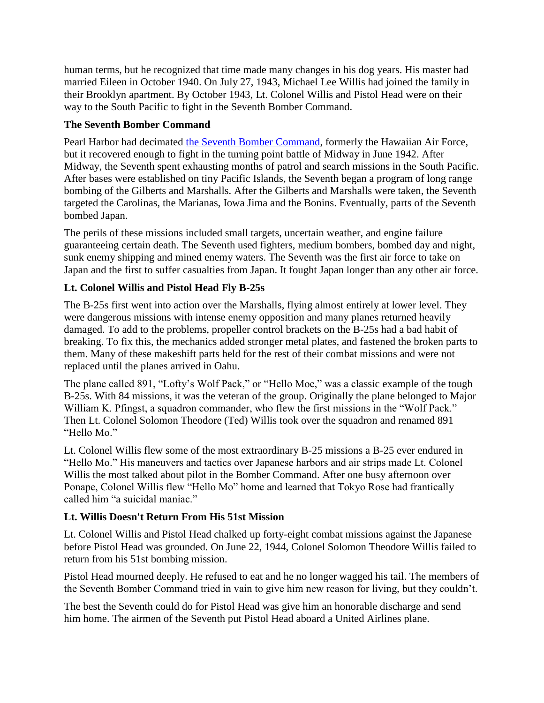human terms, but he recognized that time made many changes in his dog years. His master had married Eileen in October 1940. On July 27, 1943, Michael Lee Willis had joined the family in their Brooklyn apartment. By October 1943, Lt. Colonel Willis and Pistol Head were on their way to the South Pacific to fight in the Seventh Bomber Command.

#### **The Seventh Bomber Command**

Pearl Harbor had decimated [the Seventh Bomber Command,](http://www.armyaircorpsmuseum.org/VII_Bomber_Command.cfm) formerly the Hawaiian Air Force, but it recovered enough to fight in the turning point battle of Midway in June 1942. After Midway, the Seventh spent exhausting months of patrol and search missions in the South Pacific. After bases were established on tiny Pacific Islands, the Seventh began a program of long range bombing of the Gilberts and Marshalls. After the Gilberts and Marshalls were taken, the Seventh targeted the Carolinas, the Marianas, Iowa Jima and the Bonins. Eventually, parts of the Seventh bombed Japan.

The perils of these missions included small targets, uncertain weather, and engine failure guaranteeing certain death. The Seventh used fighters, medium bombers, bombed day and night, sunk enemy shipping and mined enemy waters. The Seventh was the first air force to take on Japan and the first to suffer casualties from Japan. It fought Japan longer than any other air force.

## **Lt. Colonel Willis and Pistol Head Fly B-25s**

The B-25s first went into action over the Marshalls, flying almost entirely at lower level. They were dangerous missions with intense enemy opposition and many planes returned heavily damaged. To add to the problems, propeller control brackets on the B-25s had a bad habit of breaking. To fix this, the mechanics added stronger metal plates, and fastened the broken parts to them. Many of these makeshift parts held for the rest of their combat missions and were not replaced until the planes arrived in Oahu.

The plane called 891, "Lofty's Wolf Pack," or "Hello Moe," was a classic example of the tough B-25s. With 84 missions, it was the veteran of the group. Originally the plane belonged to Major William K. Pfingst, a squadron commander, who flew the first missions in the "Wolf Pack." Then Lt. Colonel Solomon Theodore (Ted) Willis took over the squadron and renamed 891 "Hello Mo."

Lt. Colonel Willis flew some of the most extraordinary B-25 missions a B-25 ever endured in "Hello Mo." His maneuvers and tactics over Japanese harbors and air strips made Lt. Colonel Willis the most talked about pilot in the Bomber Command. After one busy afternoon over Ponape, Colonel Willis flew "Hello Mo" home and learned that Tokyo Rose had frantically called him "a suicidal maniac."

## **Lt. Willis Doesn't Return From His 51st Mission**

Lt. Colonel Willis and Pistol Head chalked up forty-eight combat missions against the Japanese before Pistol Head was grounded. On June 22, 1944, Colonel Solomon Theodore Willis failed to return from his 51st bombing mission.

Pistol Head mourned deeply. He refused to eat and he no longer wagged his tail. The members of the Seventh Bomber Command tried in vain to give him new reason for living, but they couldn't.

The best the Seventh could do for Pistol Head was give him an honorable discharge and send him home. The airmen of the Seventh put Pistol Head aboard a United Airlines plane.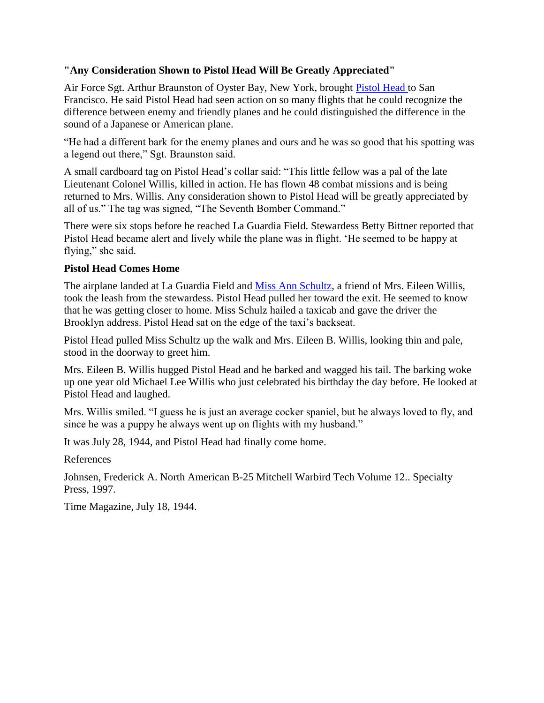#### **"Any Consideration Shown to Pistol Head Will Be Greatly Appreciated"**

Air Force Sgt. Arthur Braunston of Oyster Bay, New York, brought [Pistol Head t](http://news.google.com/newspapers?nid=1144&dat=19440729&id=HHQbAAAAIBAJ&sjid=mkwEAAAAIBAJ&pg=2518,5953050)o San Francisco. He said Pistol Head had seen action on so many flights that he could recognize the difference between enemy and friendly planes and he could distinguished the difference in the sound of a Japanese or American plane.

"He had a different bark for the enemy planes and ours and he was so good that his spotting was a legend out there," Sgt. Braunston said.

A small cardboard tag on Pistol Head's collar said: "This little fellow was a pal of the late Lieutenant Colonel Willis, killed in action. He has flown 48 combat missions and is being returned to Mrs. Willis. Any consideration shown to Pistol Head will be greatly appreciated by all of us." The tag was signed, "The Seventh Bomber Command."

There were six stops before he reached La Guardia Field. Stewardess Betty Bittner reported that Pistol Head became alert and lively while the plane was in flight. 'He seemed to be happy at flying," she said.

## **Pistol Head Comes Home**

The airplane landed at La Guardia Field and [Miss Ann Schultz,](http://www.criticalpast.com/video/65675059238_Pistol-Head_LaGuardia-Field_Lieutenant-Colonel-Willi_handing-over-a-dog) a friend of Mrs. Eileen Willis, took the leash from the stewardess. Pistol Head pulled her toward the exit. He seemed to know that he was getting closer to home. Miss Schulz hailed a taxicab and gave the driver the Brooklyn address. Pistol Head sat on the edge of the taxi's backseat.

Pistol Head pulled Miss Schultz up the walk and Mrs. Eileen B. Willis, looking thin and pale, stood in the doorway to greet him.

Mrs. Eileen B. Willis hugged Pistol Head and he barked and wagged his tail. The barking woke up one year old Michael Lee Willis who just celebrated his birthday the day before. He looked at Pistol Head and laughed.

Mrs. Willis smiled. "I guess he is just an average cocker spaniel, but he always loved to fly, and since he was a puppy he always went up on flights with my husband."

It was July 28, 1944, and Pistol Head had finally come home.

References

Johnsen, Frederick A. North American B-25 Mitchell Warbird Tech Volume 12.. Specialty Press, 1997.

Time Magazine, July 18, 1944.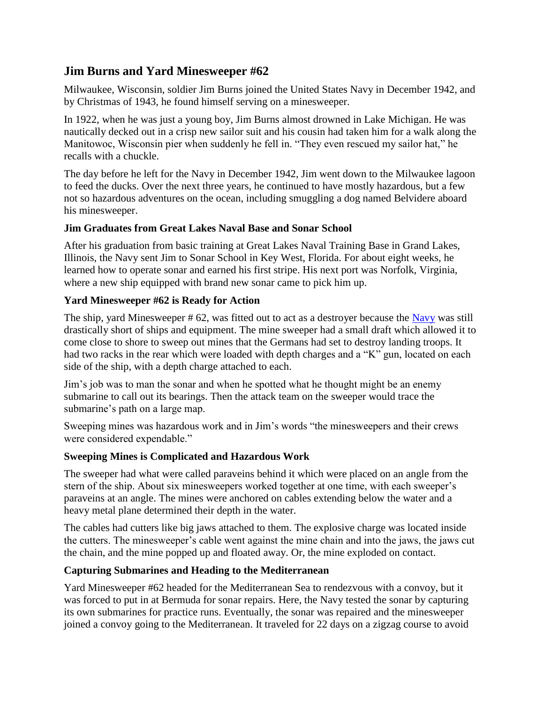# **Jim Burns and Yard Minesweeper #62**

Milwaukee, Wisconsin, soldier Jim Burns joined the United States Navy in December 1942, and by Christmas of 1943, he found himself serving on a minesweeper.

In 1922, when he was just a young boy, Jim Burns almost drowned in Lake Michigan. He was nautically decked out in a crisp new sailor suit and his cousin had taken him for a walk along the Manitowoc, Wisconsin pier when suddenly he fell in. "They even rescued my sailor hat," he recalls with a chuckle.

The day before he left for the Navy in December 1942, Jim went down to the Milwaukee lagoon to feed the ducks. Over the next three years, he continued to have mostly hazardous, but a few not so hazardous adventures on the ocean, including smuggling a dog named Belvidere aboard his minesweeper.

#### **Jim Graduates from Great Lakes Naval Base and Sonar School**

After his graduation from basic training at Great Lakes Naval Training Base in Grand Lakes, Illinois, the Navy sent Jim to Sonar School in Key West, Florida. For about eight weeks, he learned how to operate sonar and earned his first stripe. His next port was Norfolk, Virginia, where a new ship equipped with brand new sonar came to pick him up.

#### **Yard Minesweeper #62 is Ready for Action**

The ship, yard Minesweeper # 62, was fitted out to act as a destroyer because the [Navy](http://www.naval-history.net/) was still drastically short of ships and equipment. The mine sweeper had a small draft which allowed it to come close to shore to sweep out mines that the Germans had set to destroy landing troops. It had two racks in the rear which were loaded with depth charges and a "K" gun, located on each side of the ship, with a depth charge attached to each.

Jim's job was to man the sonar and when he spotted what he thought might be an enemy submarine to call out its bearings. Then the attack team on the sweeper would trace the submarine's path on a large map.

Sweeping mines was hazardous work and in Jim's words "the minesweepers and their crews were considered expendable."

#### **Sweeping Mines is Complicated and Hazardous Work**

The sweeper had what were called paraveins behind it which were placed on an angle from the stern of the ship. About six minesweepers worked together at one time, with each sweeper's paraveins at an angle. The mines were anchored on cables extending below the water and a heavy metal plane determined their depth in the water.

The cables had cutters like big jaws attached to them. The explosive charge was located inside the cutters. The minesweeper's cable went against the mine chain and into the jaws, the jaws cut the chain, and the mine popped up and floated away. Or, the mine exploded on contact.

#### **Capturing Submarines and Heading to the Mediterranean**

Yard Minesweeper #62 headed for the Mediterranean Sea to rendezvous with a convoy, but it was forced to put in at Bermuda for sonar repairs. Here, the Navy tested the sonar by capturing its own submarines for practice runs. Eventually, the sonar was repaired and the minesweeper joined a convoy going to the Mediterranean. It traveled for 22 days on a zigzag course to avoid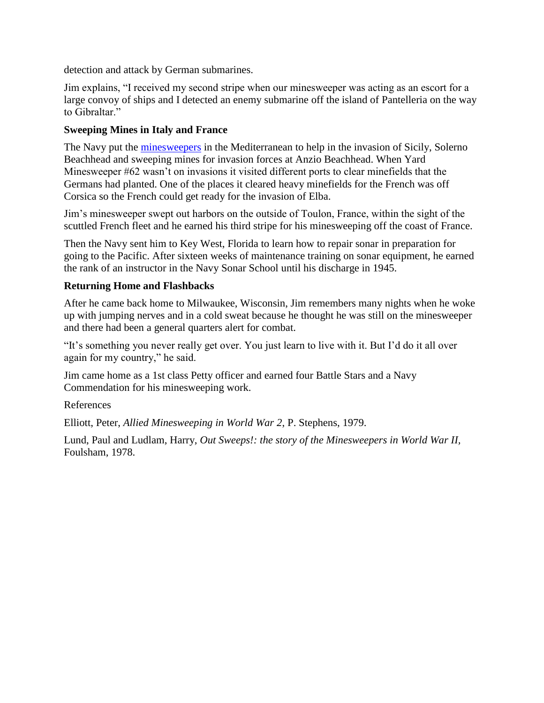detection and attack by German submarines.

Jim explains, "I received my second stripe when our minesweeper was acting as an escort for a large convoy of ships and I detected an enemy submarine off the island of Pantelleria on the way to Gibraltar."

#### **Sweeping Mines in Italy and France**

The Navy put the [minesweepers](http://books.google.com/books?id=mhJE9XFacGwC&pg=PA255&lpg=PA255&dq=minesweeping+world+war+two&source=bl&ots=2gWxP3CxNe&sig=GXJMzQV9xMJgiPz9vtOtZYEVGS0&hl=en&ei=JQzaS7-LAqOOMuqOiJkB&sa=X&oi=book_result&ct=result&resnum=5&ved=0CBcQ6AEwBDgK) in the Mediterranean to help in the invasion of Sicily, Solerno Beachhead and sweeping mines for invasion forces at Anzio Beachhead. When Yard Minesweeper #62 wasn't on invasions it visited different ports to clear minefields that the Germans had planted. One of the places it cleared heavy minefields for the French was off Corsica so the French could get ready for the invasion of Elba.

Jim's minesweeper swept out harbors on the outside of Toulon, France, within the sight of the scuttled French fleet and he earned his third stripe for his minesweeping off the coast of France.

Then the Navy sent him to Key West, Florida to learn how to repair sonar in preparation for going to the Pacific. After sixteen weeks of maintenance training on sonar equipment, he earned the rank of an instructor in the Navy Sonar School until his discharge in 1945.

#### **Returning Home and Flashbacks**

After he came back home to Milwaukee, Wisconsin, Jim remembers many nights when he woke up with jumping nerves and in a cold sweat because he thought he was still on the minesweeper and there had been a general quarters alert for combat.

"It's something you never really get over. You just learn to live with it. But I'd do it all over again for my country," he said.

Jim came home as a 1st class Petty officer and earned four Battle Stars and a Navy Commendation for his minesweeping work.

References

Elliott, Peter, *Allied Minesweeping in World War 2*, P. Stephens, 1979.

Lund, Paul and Ludlam, Harry, *Out Sweeps!: the story of the Minesweepers in World War II,* Foulsham, 1978.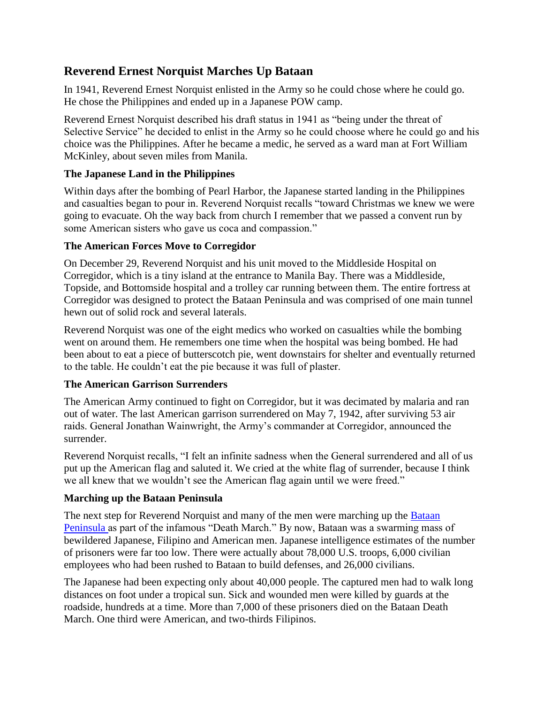# **Reverend Ernest Norquist Marches Up Bataan**

In 1941, Reverend Ernest Norquist enlisted in the Army so he could chose where he could go. He chose the Philippines and ended up in a Japanese POW camp.

Reverend Ernest Norquist described his draft status in 1941 as "being under the threat of Selective Service" he decided to enlist in the Army so he could choose where he could go and his choice was the Philippines. After he became a medic, he served as a ward man at Fort William McKinley, about seven miles from Manila.

#### **The Japanese Land in the Philippines**

Within days after the bombing of Pearl Harbor, the Japanese started landing in the Philippines and casualties began to pour in. Reverend Norquist recalls "toward Christmas we knew we were going to evacuate. Oh the way back from church I remember that we passed a convent run by some American sisters who gave us coca and compassion."

#### **The American Forces Move to Corregidor**

On December 29, Reverend Norquist and his unit moved to the Middleside Hospital on Corregidor, which is a tiny island at the entrance to Manila Bay. There was a Middleside, Topside, and Bottomside hospital and a trolley car running between them. The entire fortress at Corregidor was designed to protect the Bataan Peninsula and was comprised of one main tunnel hewn out of solid rock and several laterals.

Reverend Norquist was one of the eight medics who worked on casualties while the bombing went on around them. He remembers one time when the hospital was being bombed. He had been about to eat a piece of butterscotch pie, went downstairs for shelter and eventually returned to the table. He couldn't eat the pie because it was full of plaster.

#### **The American Garrison Surrenders**

The American Army continued to fight on Corregidor, but it was decimated by malaria and ran out of water. The last American garrison surrendered on May 7, 1942, after surviving 53 air raids. General Jonathan Wainwright, the Army's commander at Corregidor, announced the surrender.

Reverend Norquist recalls, "I felt an infinite sadness when the General surrendered and all of us put up the American flag and saluted it. We cried at the white flag of surrender, because I think we all knew that we wouldn't see the American flag again until we were freed."

## **Marching up the Bataan Peninsula**

The next step for Reverend Norquist and many of the men were marching up the **Bataan** [Peninsula a](http://www.nationalmuseum.af.mil/factsheets/factsheet.asp?id=3667%20)s part of the infamous "Death March." By now, Bataan was a swarming mass of bewildered Japanese, Filipino and American men. Japanese intelligence estimates of the number of prisoners were far too low. There were actually about 78,000 U.S. troops, 6,000 civilian employees who had been rushed to Bataan to build defenses, and 26,000 civilians.

The Japanese had been expecting only about 40,000 people. The captured men had to walk long distances on foot under a tropical sun. Sick and wounded men were killed by guards at the roadside, hundreds at a time. More than 7,000 of these prisoners died on the Bataan Death March. One third were American, and two-thirds Filipinos.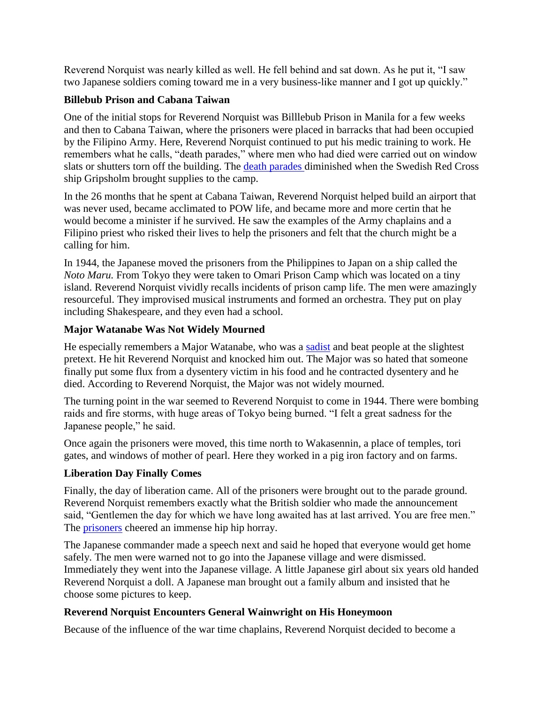Reverend Norquist was nearly killed as well. He fell behind and sat down. As he put it, "I saw two Japanese soldiers coming toward me in a very business-like manner and I got up quickly."

#### **Billebub Prison and Cabana Taiwan**

One of the initial stops for Reverend Norquist was Billlebub Prison in Manila for a few weeks and then to Cabana Taiwan, where the prisoners were placed in barracks that had been occupied by the Filipino Army. Here, Reverend Norquist continued to put his medic training to work. He remembers what he calls, "death parades," where men who had died were carried out on window slats or shutters torn off the building. The [death parades d](http://books.google.com/books?id=YD101QZkrTYC&printsec=frontcover&dq=death+march+on+bataan&hl=en&ei=F1XfS_TFBsWAlAfk9umpBQ&sa=X&oi=book_result&ct=result&resnum=3&ved=0CEIQ6AEwAg)iminished when the Swedish Red Cross ship Gripsholm brought supplies to the camp.

In the 26 months that he spent at Cabana Taiwan, Reverend Norquist helped build an airport that was never used, became acclimated to POW life, and became more and more certin that he would become a minister if he survived. He saw the examples of the Army chaplains and a Filipino priest who risked their lives to help the prisoners and felt that the church might be a calling for him.

In 1944, the Japanese moved the prisoners from the Philippines to Japan on a ship called the *Noto Maru.* From Tokyo they were taken to Omari Prison Camp which was located on a tiny island. Reverend Norquist vividly recalls incidents of prison camp life. The men were amazingly resourceful. They improvised musical instruments and formed an orchestra. They put on play including Shakespeare, and they even had a school.

#### **Major Watanabe Was Not Widely Mourned**

He especially remembers a Major Watanabe, who was a [sadist](http://www.olive-drab.com/od_history_ww2_stories_1942bdm.php) and beat people at the slightest pretext. He hit Reverend Norquist and knocked him out. The Major was so hated that someone finally put some flux from a dysentery victim in his food and he contracted dysentery and he died. According to Reverend Norquist, the Major was not widely mourned.

The turning point in the war seemed to Reverend Norquist to come in 1944. There were bombing raids and fire storms, with huge areas of Tokyo being burned. "I felt a great sadness for the Japanese people," he said.

Once again the prisoners were moved, this time north to Wakasennin, a place of temples, tori gates, and windows of mother of pearl. Here they worked in a pig iron factory and on farms.

## **Liberation Day Finally Comes**

Finally, the day of liberation came. All of the prisoners were brought out to the parade ground. Reverend Norquist remembers exactly what the British soldier who made the announcement said, "Gentlemen the day for which we have long awaited has at last arrived. You are free men." The [prisoners](http://home.pacbell.net/fbaldie/Battling_Bastards_of_Bataan.html) cheered an immense hip hip horray.

The Japanese commander made a speech next and said he hoped that everyone would get home safely. The men were warned not to go into the Japanese village and were dismissed. Immediately they went into the Japanese village. A little Japanese girl about six years old handed Reverend Norquist a doll. A Japanese man brought out a family album and insisted that he choose some pictures to keep.

## **Reverend Norquist Encounters General Wainwright on His Honeymoon**

Because of the influence of the war time chaplains, Reverend Norquist decided to become a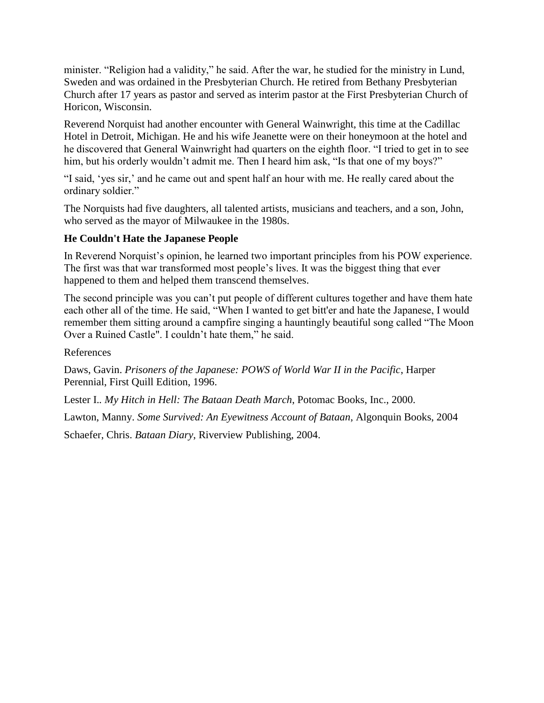minister. "Religion had a validity," he said. After the war, he studied for the ministry in Lund, Sweden and was ordained in the Presbyterian Church. He retired from Bethany Presbyterian Church after 17 years as pastor and served as interim pastor at the First Presbyterian Church of Horicon, Wisconsin.

Reverend Norquist had another encounter with General Wainwright, this time at the Cadillac Hotel in Detroit, Michigan. He and his wife Jeanette were on their honeymoon at the hotel and he discovered that General Wainwright had quarters on the eighth floor. "I tried to get in to see him, but his orderly wouldn't admit me. Then I heard him ask, "Is that one of my boys?"

"I said, 'yes sir,' and he came out and spent half an hour with me. He really cared about the ordinary soldier."

The Norquists had five daughters, all talented artists, musicians and teachers, and a son, John, who served as the mayor of Milwaukee in the 1980s.

#### **He Couldn't Hate the Japanese People**

In Reverend Norquist's opinion, he learned two important principles from his POW experience. The first was that war transformed most people's lives. It was the biggest thing that ever happened to them and helped them transcend themselves.

The second principle was you can't put people of different cultures together and have them hate each other all of the time. He said, "When I wanted to get bitt'er and hate the Japanese, I would remember them sitting around a campfire singing a hauntingly beautiful song called "The Moon Over a Ruined Castle". I couldn't hate them," he said.

References

Daws, Gavin. *Prisoners of the Japanese: POWS of World War II in the Pacific*, Harper Perennial, First Quill Edition, 1996.

Lester I.*. My Hitch in Hell: The Bataan Death March*, Potomac Books, Inc., 2000.

Lawton, Manny. *Some Survived: An Eyewitness Account of Bataan*, Algonquin Books, 2004

Schaefer, Chris. *Bataan Diary*, Riverview Publishing, 2004.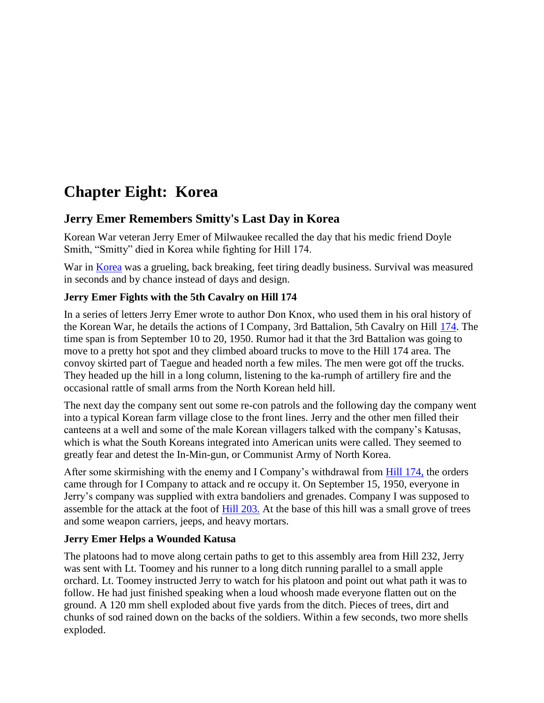# **Chapter Eight: Korea**

# **Jerry Emer Remembers Smitty's Last Day in Korea**

Korean War veteran Jerry Emer of Milwaukee recalled the day that his medic friend Doyle Smith, "Smitty" died in Korea while fighting for Hill 174.

War in [Korea](http://www.koreanwar.org/) was a grueling, back breaking, feet tiring deadly business. Survival was measured in seconds and by chance instead of days and design.

#### **Jerry Emer Fights with the 5th Cavalry on Hill 174**

In a series of letters Jerry Emer wrote to author Don Knox, who used them in his oral history of the Korean War, he details the actions of I Company, 3rd Battalion, 5th Cavalry on Hill [174.](http://www.history.army.mil/brochures/kw-unoff/unoff.htm) The time span is from September 10 to 20, 1950. Rumor had it that the 3rd Battalion was going to move to a pretty hot spot and they climbed aboard trucks to move to the Hill 174 area. The convoy skirted part of Taegue and headed north a few miles. The men were got off the trucks. They headed up the hill in a long column, listening to the ka-rumph of artillery fire and the occasional rattle of small arms from the North Korean held hill.

The next day the company sent out some re-con patrols and the following day the company went into a typical Korean farm village close to the front lines. Jerry and the other men filled their canteens at a well and some of the male Korean villagers talked with the company's Katusas, which is what the South Koreans integrated into American units were called. They seemed to greatly fear and detest the In-Min-gun, or Communist Army of North Korea.

After some skirmishing with the enemy and I Company's withdrawal from [Hill 174,](http://books.google.com/books?id=5gYCm0bM68sC&pg=PA99&lpg=PA99&dq=hill+174+korea&source=bl&ots=-Ua6-kz4T4&sig=i73Tanc7Xp2zZgZsWVXIdO3ecNM&hl=en&ei=bfbaTM3jOYqfnQeS8rneAQ&sa=X&oi=book_result&ct=result&resnum=3&ved=0CCEQ6AEwAg) the orders came through for I Company to attack and re occupy it. On September 15, 1950, everyone in Jerry's company was supplied with extra bandoliers and grenades. Company I was supposed to assemble for the attack at the foot of [Hill 203.](http://books.google.com/books?id=X7G9HzEuZL4C&pg=PA573&lpg=PA573&dq=hill+174+korea&source=bl&ots=Zuxxg1fUxa&sig=Fh9YNuqR743fT-9kDIhU1_LvTDI&hl=en&ei=5wbbTOraBoi0sAOE6rmUCA&sa=X&oi=book_result&ct=result&resnum=6&ved=0CDIQ6AEwBQ) At the base of this hill was a small grove of trees and some weapon carriers, jeeps, and heavy mortars.

#### **Jerry Emer Helps a Wounded Katusa**

The platoons had to move along certain paths to get to this assembly area from Hill 232, Jerry was sent with Lt. Toomey and his runner to a long ditch running parallel to a small apple orchard. Lt. Toomey instructed Jerry to watch for his platoon and point out what path it was to follow. He had just finished speaking when a loud whoosh made everyone flatten out on the ground. A 120 mm shell exploded about five yards from the ditch. Pieces of trees, dirt and chunks of sod rained down on the backs of the soldiers. Within a few seconds, two more shells exploded.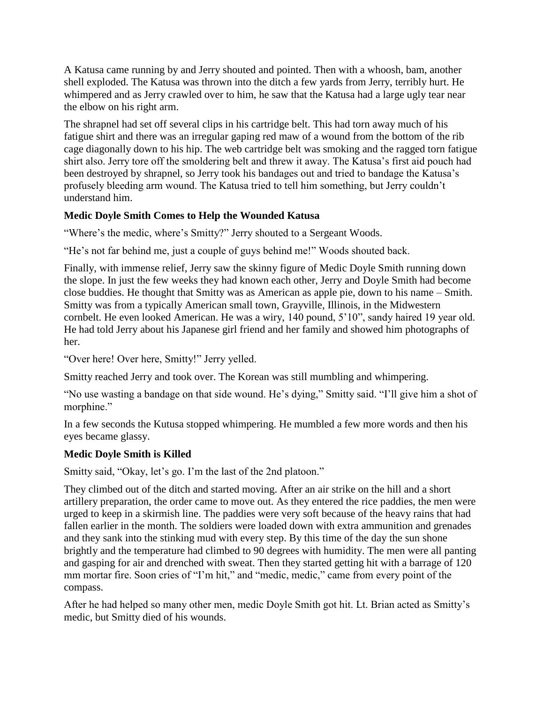A Katusa came running by and Jerry shouted and pointed. Then with a whoosh, bam, another shell exploded. The Katusa was thrown into the ditch a few yards from Jerry, terribly hurt. He whimpered and as Jerry crawled over to him, he saw that the Katusa had a large ugly tear near the elbow on his right arm.

The shrapnel had set off several clips in his cartridge belt. This had torn away much of his fatigue shirt and there was an irregular gaping red maw of a wound from the bottom of the rib cage diagonally down to his hip. The web cartridge belt was smoking and the ragged torn fatigue shirt also. Jerry tore off the smoldering belt and threw it away. The Katusa's first aid pouch had been destroyed by shrapnel, so Jerry took his bandages out and tried to bandage the Katusa's profusely bleeding arm wound. The Katusa tried to tell him something, but Jerry couldn't understand him.

#### **Medic Doyle Smith Comes to Help the Wounded Katusa**

"Where's the medic, where's Smitty?" Jerry shouted to a Sergeant Woods.

"He's not far behind me, just a couple of guys behind me!" Woods shouted back.

Finally, with immense relief, Jerry saw the skinny figure of Medic Doyle Smith running down the slope. In just the few weeks they had known each other, Jerry and Doyle Smith had become close buddies. He thought that Smitty was as American as apple pie, down to his name – Smith. Smitty was from a typically American small town, Grayville, Illinois, in the Midwestern cornbelt. He even looked American. He was a wiry, 140 pound, 5'10", sandy haired 19 year old. He had told Jerry about his Japanese girl friend and her family and showed him photographs of her.

"Over here! Over here, Smitty!" Jerry yelled.

Smitty reached Jerry and took over. The Korean was still mumbling and whimpering.

"No use wasting a bandage on that side wound. He's dying," Smitty said. "I'll give him a shot of morphine."

In a few seconds the Kutusa stopped whimpering. He mumbled a few more words and then his eyes became glassy.

## **Medic Doyle Smith is Killed**

Smitty said, "Okay, let's go. I'm the last of the 2nd platoon."

They climbed out of the ditch and started moving. After an air strike on the hill and a short artillery preparation, the order came to move out. As they entered the rice paddies, the men were urged to keep in a skirmish line. The paddies were very soft because of the heavy rains that had fallen earlier in the month. The soldiers were loaded down with extra ammunition and grenades and they sank into the stinking mud with every step. By this time of the day the sun shone brightly and the temperature had climbed to 90 degrees with humidity. The men were all panting and gasping for air and drenched with sweat. Then they started getting hit with a barrage of 120 mm mortar fire. Soon cries of "I'm hit," and "medic, medic," came from every point of the compass.

After he had helped so many other men, medic Doyle Smith got hit. Lt. Brian acted as Smitty's medic, but Smitty died of his wounds.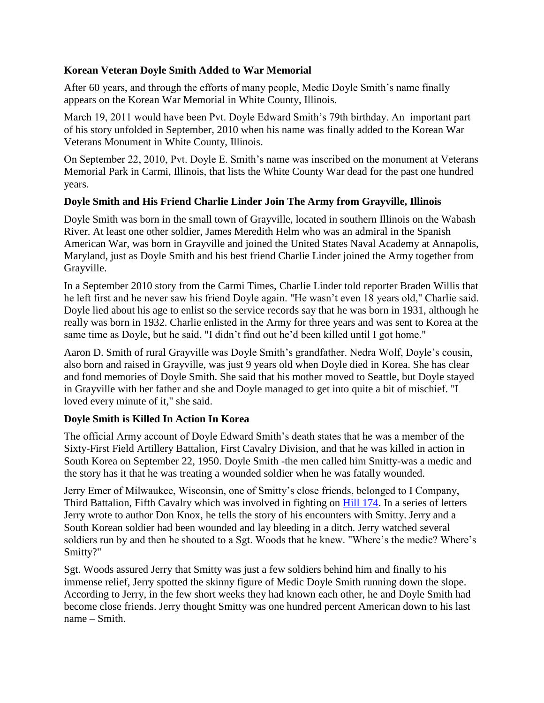#### **Korean Veteran Doyle Smith Added to War Memorial**

After 60 years, and through the efforts of many people, Medic Doyle Smith's name finally appears on the Korean War Memorial in White County, Illinois.

March 19, 2011 would have been Pvt. Doyle Edward Smith's 79th birthday. An important part of his story unfolded in September, 2010 when his name was finally added to the Korean War Veterans Monument in White County, Illinois.

On September 22, 2010, Pvt. Doyle E. Smith's name was inscribed on the monument at Veterans Memorial Park in Carmi, Illinois, that lists the White County War dead for the past one hundred years.

#### **Doyle Smith and His Friend Charlie Linder Join The Army from Grayville, Illinois**

Doyle Smith was born in the small town of Grayville, located in southern Illinois on the Wabash River. At least one other soldier, James Meredith Helm who was an admiral in the Spanish American War, was born in Grayville and joined the United States Naval Academy at Annapolis, Maryland, just as Doyle Smith and his best friend Charlie Linder joined the Army together from Grayville.

In a September 2010 story from the Carmi Times, Charlie Linder told reporter Braden Willis that he left first and he never saw his friend Doyle again. "He wasn't even 18 years old," Charlie said. Doyle lied about his age to enlist so the service records say that he was born in 1931, although he really was born in 1932. Charlie enlisted in the Army for three years and was sent to Korea at the same time as Doyle, but he said, "I didn't find out he'd been killed until I got home."

Aaron D. Smith of rural Grayville was Doyle Smith's grandfather. Nedra Wolf, Doyle's cousin, also born and raised in Grayville, was just 9 years old when Doyle died in Korea. She has clear and fond memories of Doyle Smith. She said that his mother moved to Seattle, but Doyle stayed in Grayville with her father and she and Doyle managed to get into quite a bit of mischief. "I loved every minute of it," she said.

#### **Doyle Smith is Killed In Action In Korea**

The official Army account of Doyle Edward Smith's death states that he was a member of the Sixty-First Field Artillery Battalion, First Cavalry Division, and that he was killed in action in South Korea on September 22, 1950. Doyle Smith -the men called him Smitty-was a medic and the story has it that he was treating a wounded soldier when he was fatally wounded.

Jerry Emer of Milwaukee, Wisconsin, one of Smitty's close friends, belonged to I Company, Third Battalion, Fifth Cavalry which was involved in fighting on [Hill 174.](http://books.google.com/books?id=k8d2YX43hMoC&pg=PA169&lpg=PA169&dq=61st+field+artillery+battalion+korea&source=bl&ots=EUZPg0vtE9) In a series of letters Jerry wrote to author Don Knox, he tells the story of his encounters with Smitty. Jerry and a South Korean soldier had been wounded and lay bleeding in a ditch. Jerry watched several soldiers run by and then he shouted to a Sgt. Woods that he knew. "Where's the medic? Where's Smitty?"

Sgt. Woods assured Jerry that Smitty was just a few soldiers behind him and finally to his immense relief, Jerry spotted the skinny figure of Medic Doyle Smith running down the slope. According to Jerry, in the few short weeks they had known each other, he and Doyle Smith had become close friends. Jerry thought Smitty was one hundred percent American down to his last name – Smith.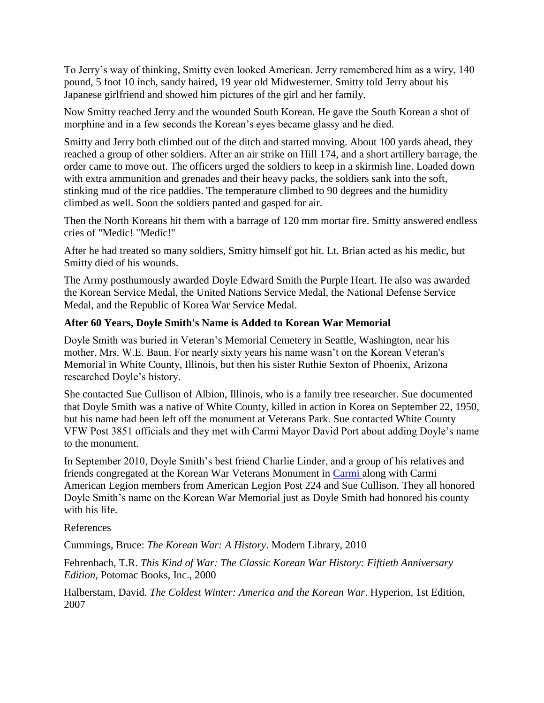To Jerry's way of thinking, Smitty even looked American. Jerry remembered him as a wiry, 140 pound, 5 foot 10 inch, sandy haired, 19 year old Midwesterner. Smitty told Jerry about his Japanese girlfriend and showed him pictures of the girl and her family.

Now Smitty reached Jerry and the wounded South Korean. He gave the South Korean a shot of morphine and in a few seconds the Korean's eyes became glassy and he died.

Smitty and Jerry both climbed out of the ditch and started moving. About 100 yards ahead, they reached a group of other soldiers. After an air strike on Hill 174, and a short artillery barrage, the order came to move out. The officers urged the soldiers to keep in a skirmish line. Loaded down with extra ammunition and grenades and their heavy packs, the soldiers sank into the soft, stinking mud of the rice paddies. The temperature climbed to 90 degrees and the humidity climbed as well. Soon the soldiers panted and gasped for air.

Then the North Koreans hit them with a barrage of 120 mm mortar fire. Smitty answered endless cries of "Medic! "Medic!"

After he had treated so many soldiers, Smitty himself got hit. Lt. Brian acted as his medic, but Smitty died of his wounds.

The Army posthumously awarded Doyle Edward Smith the Purple Heart. He also was awarded the Korean Service Medal, the United Nations Service Medal, the National Defense Service Medal, and the Republic of Korea War Service Medal.

#### **After 60 Years, Doyle Smith's Name is Added to Korean War Memorial**

Doyle Smith was buried in Veteran's Memorial Cemetery in Seattle, Washington, near his mother, Mrs. W.E. Baun. For nearly sixty years his name wasn't on the Korean Veteran's Memorial in White County, Illinois, but then his sister Ruthie Sexton of Phoenix, Arizona researched Doyle's history.

She contacted Sue Cullison of Albion, Illinois, who is a family tree researcher. Sue documented that Doyle Smith was a native of White County, killed in action in Korea on September 22, 1950, but his name had been left off the monument at Veterans Park. Sue contacted White County VFW Post 3851 officials and they met with Carmi Mayor David Port about adding Doyle's name to the monument.

In September 2010, Doyle Smith's best friend Charlie Linder, and a group of his relatives and friends congregated at the Korean War Veterans Monument in [Carmi a](http://www.qconline.com/archives/qco/print_display.php?id=506197)long with Carmi American Legion members from American Legion Post 224 and Sue Cullison. They all honored Doyle Smith's name on the Korean War Memorial just as Doyle Smith had honored his county with his life.

#### References

Cummings, Bruce: *The Korean War: A History*. Modern Library, 2010

Fehrenbach, T.R. *This Kind of War: The Classic Korean War History: Fiftieth Anniversary Edition,* Potomac Books, Inc., 2000

Halberstam, David. *The Coldest Winter: America and the Korean War*. Hyperion, 1st Edition, 2007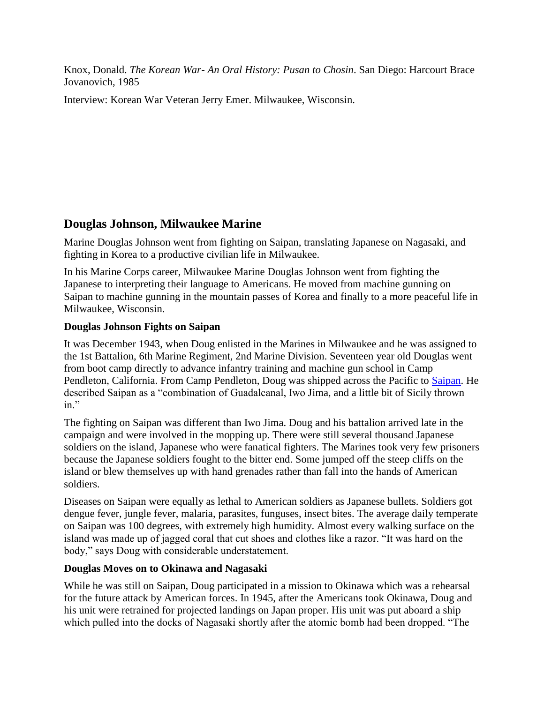Knox, Donald. *The Korean War- An Oral History: Pusan to Chosin*. San Diego: Harcourt Brace Jovanovich, 1985

Interview: Korean War Veteran Jerry Emer. Milwaukee, Wisconsin.

# **Douglas Johnson, Milwaukee Marine**

Marine Douglas Johnson went from fighting on Saipan, translating Japanese on Nagasaki, and fighting in Korea to a productive civilian life in Milwaukee.

In his Marine Corps career, Milwaukee Marine Douglas Johnson went from fighting the Japanese to interpreting their language to Americans. He moved from machine gunning on Saipan to machine gunning in the mountain passes of Korea and finally to a more peaceful life in Milwaukee, Wisconsin.

#### **Douglas Johnson Fights on Saipan**

It was December 1943, when Doug enlisted in the Marines in Milwaukee and he was assigned to the 1st Battalion, 6th Marine Regiment, 2nd Marine Division. Seventeen year old Douglas went from boot camp directly to advance infantry training and machine gun school in Camp Pendleton, California. From Camp Pendleton, Doug was shipped across the Pacific to [Saipan.](http://www.worldwar2database.com/html/saipanvid.htm) He described Saipan as a "combination of Guadalcanal, Iwo Jima, and a little bit of Sicily thrown in."

The fighting on Saipan was different than Iwo Jima. Doug and his battalion arrived late in the campaign and were involved in the mopping up. There were still several thousand Japanese soldiers on the island, Japanese who were fanatical fighters. The Marines took very few prisoners because the Japanese soldiers fought to the bitter end. Some jumped off the steep cliffs on the island or blew themselves up with hand grenades rather than fall into the hands of American soldiers.

Diseases on Saipan were equally as lethal to American soldiers as Japanese bullets. Soldiers got dengue fever, jungle fever, malaria, parasites, funguses, insect bites. The average daily temperate on Saipan was 100 degrees, with extremely high humidity. Almost every walking surface on the island was made up of jagged coral that cut shoes and clothes like a razor. "It was hard on the body," says Doug with considerable understatement.

#### **Douglas Moves on to Okinawa and Nagasaki**

While he was still on Saipan, Doug participated in a mission to Okinawa which was a rehearsal for the future attack by American forces. In 1945, after the Americans took Okinawa, Doug and his unit were retrained for projected landings on Japan proper. His unit was put aboard a ship which pulled into the docks of Nagasaki shortly after the atomic bomb had been dropped. "The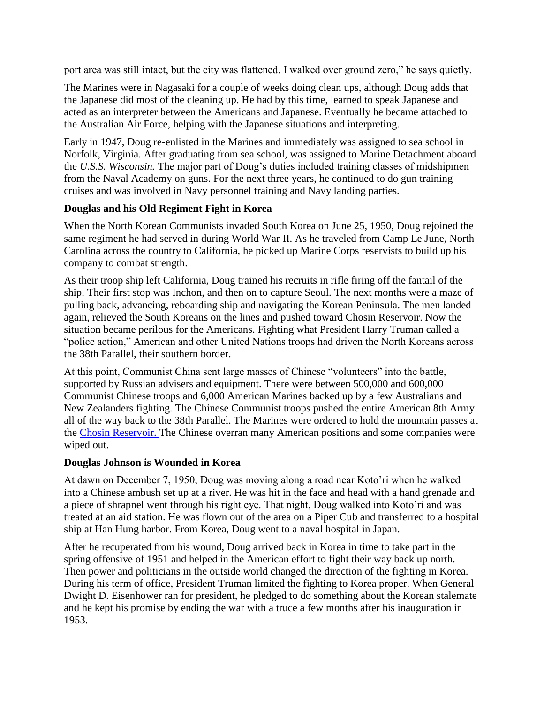port area was still intact, but the city was flattened. I walked over ground zero," he says quietly.

The Marines were in Nagasaki for a couple of weeks doing clean ups, although Doug adds that the Japanese did most of the cleaning up. He had by this time, learned to speak Japanese and acted as an interpreter between the Americans and Japanese. Eventually he became attached to the Australian Air Force, helping with the Japanese situations and interpreting.

Early in 1947, Doug re-enlisted in the Marines and immediately was assigned to sea school in Norfolk, Virginia. After graduating from sea school, was assigned to Marine Detachment aboard the *U.S.S. Wisconsin.* The major part of Doug's duties included training classes of midshipmen from the Naval Academy on guns. For the next three years, he continued to do gun training cruises and was involved in Navy personnel training and Navy landing parties.

#### **Douglas and his Old Regiment Fight in Korea**

When the North Korean Communists invaded South Korea on June 25, 1950, Doug rejoined the same regiment he had served in during World War II. As he traveled from Camp Le June, North Carolina across the country to California, he picked up Marine Corps reservists to build up his company to combat strength.

As their troop ship left California, Doug trained his recruits in rifle firing off the fantail of the ship. Their first stop was Inchon, and then on to capture Seoul. The next months were a maze of pulling back, advancing, reboarding ship and navigating the Korean Peninsula. The men landed again, relieved the South Koreans on the lines and pushed toward Chosin Reservoir. Now the situation became perilous for the Americans. Fighting what President Harry Truman called a "police action," American and other United Nations troops had driven the North Koreans across the 38th Parallel, their southern border.

At this point, Communist China sent large masses of Chinese "volunteers" into the battle, supported by Russian advisers and equipment. There were between 500,000 and 600,000 Communist Chinese troops and 6,000 American Marines backed up by a few Australians and New Zealanders fighting. The Chinese Communist troops pushed the entire American 8th Army all of the way back to the 38th Parallel. The Marines were ordered to hold the mountain passes at the [Chosin Reservoir. T](http://www.chosinreservoir.com/)he Chinese overran many American positions and some companies were wiped out.

#### **Douglas Johnson is Wounded in Korea**

At dawn on December 7, 1950, Doug was moving along a road near Koto'ri when he walked into a Chinese ambush set up at a river. He was hit in the face and head with a hand grenade and a piece of shrapnel went through his right eye. That night, Doug walked into Koto'ri and was treated at an aid station. He was flown out of the area on a Piper Cub and transferred to a hospital ship at Han Hung harbor. From Korea, Doug went to a naval hospital in Japan.

After he recuperated from his wound, Doug arrived back in Korea in time to take part in the spring offensive of 1951 and helped in the American effort to fight their way back up north. Then power and politicians in the outside world changed the direction of the fighting in Korea. During his term of office, President Truman limited the fighting to Korea proper. When General Dwight D. Eisenhower ran for president, he pledged to do something about the Korean stalemate and he kept his promise by ending the war with a truce a few months after his inauguration in 1953.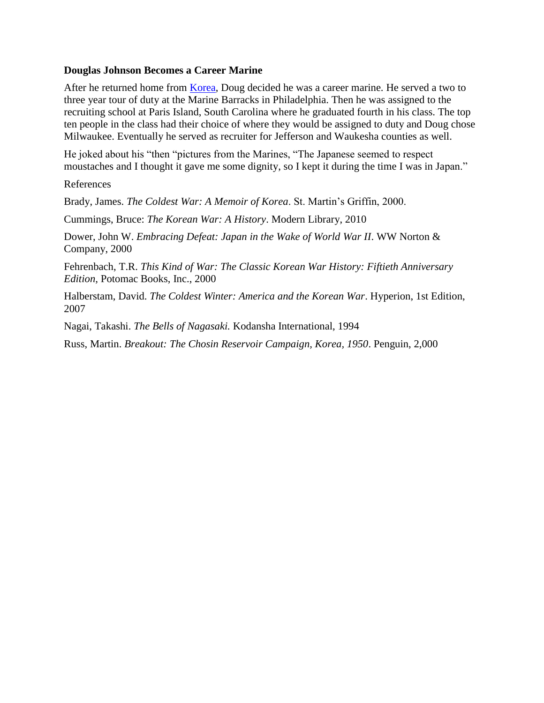#### **Douglas Johnson Becomes a Career Marine**

After he returned home from **Korea**, Doug decided he was a career marine. He served a two to three year tour of duty at the Marine Barracks in Philadelphia. Then he was assigned to the recruiting school at Paris Island, South Carolina where he graduated fourth in his class. The top ten people in the class had their choice of where they would be assigned to duty and Doug chose Milwaukee. Eventually he served as recruiter for Jefferson and Waukesha counties as well.

He joked about his "then "pictures from the Marines, "The Japanese seemed to respect moustaches and I thought it gave me some dignity, so I kept it during the time I was in Japan."

References

Brady, James. *The Coldest War: A Memoir of Korea*. St. Martin's Griffin, 2000.

Cummings, Bruce: *The Korean War: A History*. Modern Library, 2010

Dower, John W. *Embracing Defeat: Japan in the Wake of World War II*. WW Norton & Company, 2000

Fehrenbach, T.R. *This Kind of War: The Classic Korean War History: Fiftieth Anniversary Edition,* Potomac Books, Inc., 2000

Halberstam, David. *The Coldest Winter: America and the Korean War*. Hyperion, 1st Edition, 2007

Nagai, Takashi. *The Bells of Nagasaki.* Kodansha International, 1994

Russ, Martin. *Breakout: The Chosin Reservoir Campaign, Korea, 1950*. Penguin, 2,000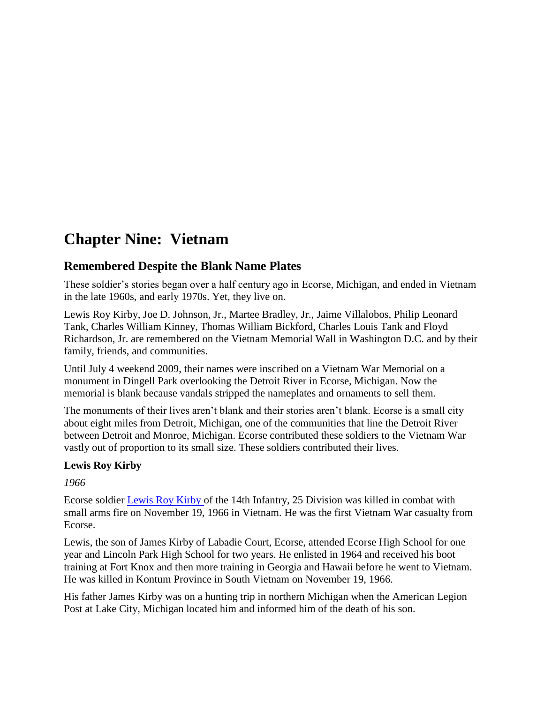# **Chapter Nine: Vietnam**

## **Remembered Despite the Blank Name Plates**

These soldier's stories began over a half century ago in Ecorse, Michigan, and ended in Vietnam in the late 1960s, and early 1970s. Yet, they live on.

Lewis Roy Kirby, Joe D. Johnson, Jr., Martee Bradley, Jr., Jaime Villalobos, Philip Leonard Tank, Charles William Kinney, Thomas William Bickford, Charles Louis Tank and Floyd Richardson, Jr. are remembered on the Vietnam Memorial Wall in Washington D.C. and by their family, friends, and communities.

Until July 4 weekend 2009, their names were inscribed on a Vietnam War Memorial on a monument in Dingell Park overlooking the Detroit River in Ecorse, Michigan. Now the memorial is blank because vandals stripped the nameplates and ornaments to sell them.

The monuments of their lives aren't blank and their stories aren't blank. Ecorse is a small city about eight miles from Detroit, Michigan, one of the communities that line the Detroit River between Detroit and Monroe, Michigan. Ecorse contributed these soldiers to the Vietnam War vastly out of proportion to its small size. These soldiers contributed their lives.

#### **Lewis Roy Kirby**

*1966*

Ecorse soldier [Lewis Roy Kirby o](http://www.virtualwall.org/dk/KirbyLR01a.htm)f the 14th Infantry, 25 Division was killed in combat with small arms fire on November 19, 1966 in Vietnam. He was the first Vietnam War casualty from Ecorse.

Lewis, the son of James Kirby of Labadie Court, Ecorse, attended Ecorse High School for one year and Lincoln Park High School for two years. He enlisted in 1964 and received his boot training at Fort Knox and then more training in Georgia and Hawaii before he went to Vietnam. He was killed in Kontum Province in South Vietnam on November 19, 1966.

His father James Kirby was on a hunting trip in northern Michigan when the American Legion Post at Lake City, Michigan located him and informed him of the death of his son.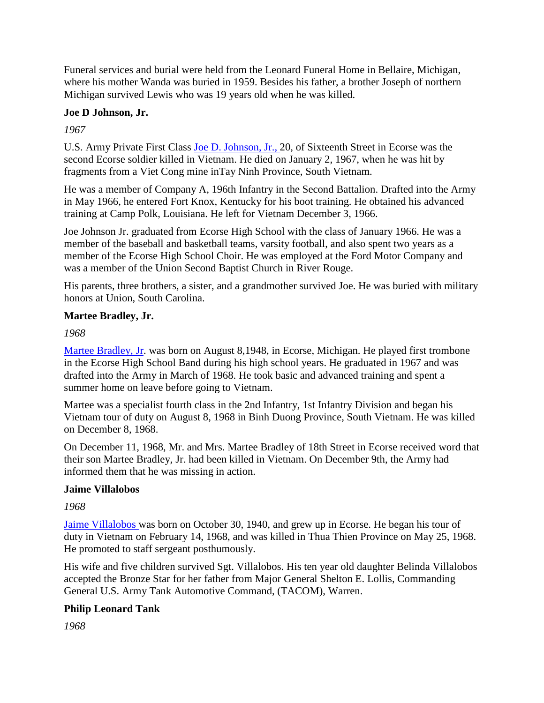Funeral services and burial were held from the Leonard Funeral Home in Bellaire, Michigan, where his mother Wanda was buried in 1959. Besides his father, a brother Joseph of northern Michigan survived Lewis who was 19 years old when he was killed.

## **Joe D Johnson, Jr.**

*1967*

U.S. Army Private First Class [Joe D. Johnson, Jr., 2](http://www.virtualwall.org/dj/JohnsonJD07a.htm)0, of Sixteenth Street in Ecorse was the second Ecorse soldier killed in Vietnam. He died on January 2, 1967, when he was hit by fragments from a Viet Cong mine inTay Ninh Province, South Vietnam.

He was a member of Company A, 196th Infantry in the Second Battalion. Drafted into the Army in May 1966, he entered Fort Knox, Kentucky for his boot training. He obtained his advanced training at Camp Polk, Louisiana. He left for Vietnam December 3, 1966.

Joe Johnson Jr. graduated from Ecorse High School with the class of January 1966. He was a member of the baseball and basketball teams, varsity football, and also spent two years as a member of the Ecorse High School Choir. He was employed at the Ford Motor Company and was a member of the Union Second Baptist Church in River Rouge.

His parents, three brothers, a sister, and a grandmother survived Joe. He was buried with military honors at Union, South Carolina.

#### **Martee Bradley, Jr.**

*1968*

[Martee Bradley, Jr.](http://www.virtualwall.org/db/BradleyMx01a.htm) was born on August 8,1948, in Ecorse, Michigan. He played first trombone in the Ecorse High School Band during his high school years. He graduated in 1967 and was drafted into the Army in March of 1968. He took basic and advanced training and spent a summer home on leave before going to Vietnam.

Martee was a specialist fourth class in the 2nd Infantry, 1st Infantry Division and began his Vietnam tour of duty on August 8, 1968 in Binh Duong Province, South Vietnam. He was killed on December 8, 1968.

On December 11, 1968, Mr. and Mrs. Martee Bradley of 18th Street in Ecorse received word that their son Martee Bradley, Jr. had been killed in Vietnam. On December 9th, the Army had informed them that he was missing in action.

#### **Jaime Villalobos**

*1968*

[Jaime Villalobos w](http://www.virtualwall.org/dv/VillalobosJx01a.htm)as born on October 30, 1940, and grew up in Ecorse. He began his tour of duty in Vietnam on February 14, 1968, and was killed in Thua Thien Province on May 25, 1968. He promoted to staff sergeant posthumously.

His wife and five children survived Sgt. Villalobos. His ten year old daughter Belinda Villalobos accepted the Bronze Star for her father from Major General Shelton E. Lollis, Commanding General U.S. Army Tank Automotive Command, (TACOM), Warren.

## **Philip Leonard Tank**

*1968*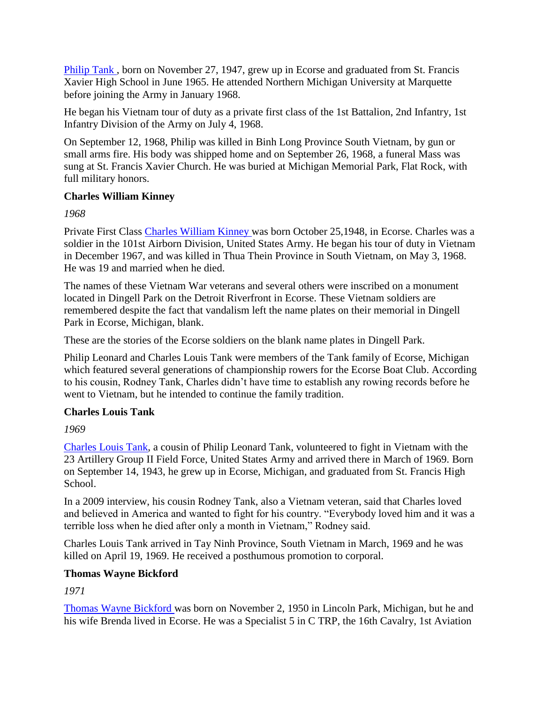[Philip Tank ,](http://www.virtualwall.org/dt/TankPL01a.htm) born on November 27, 1947, grew up in Ecorse and graduated from St. Francis Xavier High School in June 1965. He attended Northern Michigan University at Marquette before joining the Army in January 1968.

He began his Vietnam tour of duty as a private first class of the 1st Battalion, 2nd Infantry, 1st Infantry Division of the Army on July 4, 1968.

On September 12, 1968, Philip was killed in Binh Long Province South Vietnam, by gun or small arms fire. His body was shipped home and on September 26, 1968, a funeral Mass was sung at St. Francis Xavier Church. He was buried at Michigan Memorial Park, Flat Rock, with full military honors.

#### **Charles William Kinney**

*1968*

Private First Class [Charles William Kinney w](http://www.virtualwall.org/dk/KinneyCW01a.htm)as born October 25,1948, in Ecorse. Charles was a soldier in the 101st Airborn Division, United States Army. He began his tour of duty in Vietnam in December 1967, and was killed in Thua Thein Province in South Vietnam, on May 3, 1968. He was 19 and married when he died.

The names of these Vietnam War veterans and several others were inscribed on a monument located in Dingell Park on the Detroit Riverfront in Ecorse. These Vietnam soldiers are remembered despite the fact that vandalism left the name plates on their memorial in Dingell Park in Ecorse, Michigan, blank.

These are the stories of the Ecorse soldiers on the blank name plates in Dingell Park.

Philip Leonard and Charles Louis Tank were members of the Tank family of Ecorse, Michigan which featured several generations of championship rowers for the Ecorse Boat Club. According to his cousin, Rodney Tank, Charles didn't have time to establish any rowing records before he went to Vietnam, but he intended to continue the family tradition.

## **Charles Louis Tank**

*1969*

[Charles Louis Tank,](http://www.virtualwall.org/dt/TankCL01a.htm) a cousin of Philip Leonard Tank, volunteered to fight in Vietnam with the 23 Artillery Group II Field Force, United States Army and arrived there in March of 1969. Born on September 14, 1943, he grew up in Ecorse, Michigan, and graduated from St. Francis High School.

In a 2009 interview, his cousin Rodney Tank, also a Vietnam veteran, said that Charles loved and believed in America and wanted to fight for his country. "Everybody loved him and it was a terrible loss when he died after only a month in Vietnam," Rodney said.

Charles Louis Tank arrived in Tay Ninh Province, South Vietnam in March, 1969 and he was killed on April 19, 1969. He received a posthumous promotion to corporal.

## **Thomas Wayne Bickford**

*1971*

[Thomas Wayne Bickford w](http://www.virtualwall.org/db/BickfordTW01a.htm)as born on November 2, 1950 in Lincoln Park, Michigan, but he and his wife Brenda lived in Ecorse. He was a Specialist 5 in C TRP, the 16th Cavalry, 1st Aviation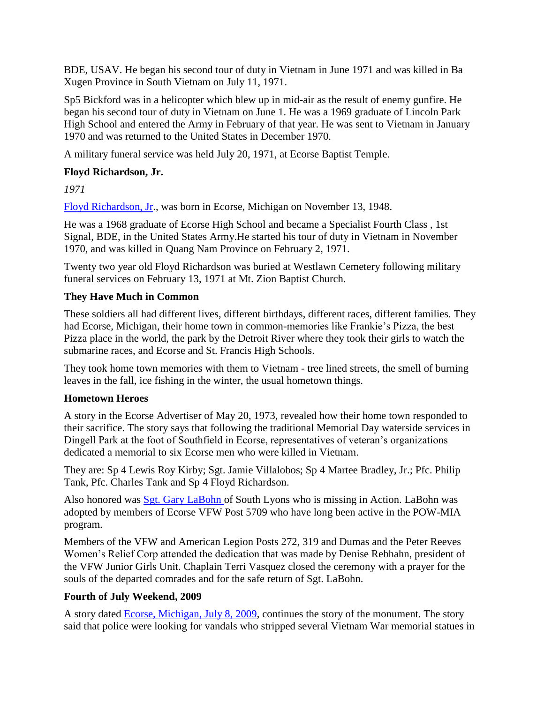BDE, USAV. He began his second tour of duty in Vietnam in June 1971 and was killed in Ba Xugen Province in South Vietnam on July 11, 1971.

Sp5 Bickford was in a helicopter which blew up in mid-air as the result of enemy gunfire. He began his second tour of duty in Vietnam on June 1. He was a 1969 graduate of Lincoln Park High School and entered the Army in February of that year. He was sent to Vietnam in January 1970 and was returned to the United States in December 1970.

A military funeral service was held July 20, 1971, at Ecorse Baptist Temple.

#### **Floyd Richardson, Jr.**

*1971*

[Floyd Richardson, Jr.](http://www.virtualwall.org/dr/RichardsonFx01a.htm), was born in Ecorse, Michigan on November 13, 1948.

He was a 1968 graduate of Ecorse High School and became a Specialist Fourth Class , 1st Signal, BDE, in the United States Army.He started his tour of duty in Vietnam in November 1970, and was killed in Quang Nam Province on February 2, 1971.

Twenty two year old Floyd Richardson was buried at Westlawn Cemetery following military funeral services on February 13, 1971 at Mt. Zion Baptist Church.

#### **They Have Much in Common**

These soldiers all had different lives, different birthdays, different races, different families. They had Ecorse, Michigan, their home town in common-memories like Frankie's Pizza, the best Pizza place in the world, the park by the Detroit River where they took their girls to watch the submarine races, and Ecorse and St. Francis High Schools.

They took home town memories with them to Vietnam - tree lined streets, the smell of burning leaves in the fall, ice fishing in the winter, the usual hometown things.

#### **Hometown Heroes**

A story in the Ecorse Advertiser of May 20, 1973, revealed how their home town responded to their sacrifice. The story says that following the traditional Memorial Day waterside services in Dingell Park at the foot of Southfield in Ecorse, representatives of veteran's organizations dedicated a memorial to six Ecorse men who were killed in Vietnam.

They are: Sp 4 Lewis Roy Kirby; Sgt. Jamie Villalobos; Sp 4 Martee Bradley, Jr.; Pfc. Philip Tank, Pfc. Charles Tank and Sp 4 Floyd Richardson.

Also honored was [Sgt. Gary LaBohn o](http://www.virtualwall.org/dl/LabohnGR01a.htm)f South Lyons who is missing in Action. LaBohn was adopted by members of Ecorse VFW Post 5709 who have long been active in the POW-MIA program.

Members of the VFW and American Legion Posts 272, 319 and Dumas and the Peter Reeves Women's Relief Corp attended the dedication that was made by Denise Rebhahn, president of the VFW Junior Girls Unit. Chaplain Terri Vasquez closed the ceremony with a prayer for the souls of the departed comrades and for the safe return of Sgt. LaBohn.

#### **Fourth of July Weekend, 2009**

A story dated **Ecorse, Michigan, July 8, 2009**, continues the story of the monument. The story said that police were looking for vandals who stripped several Vietnam War memorial statues in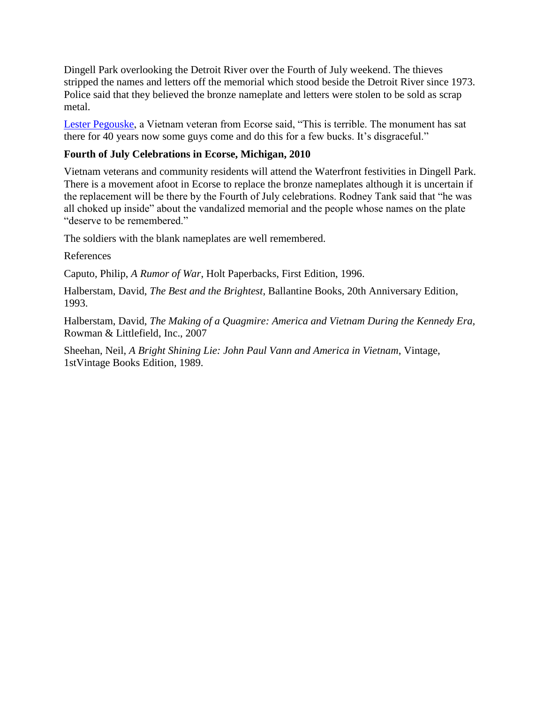Dingell Park overlooking the Detroit River over the Fourth of July weekend. The thieves stripped the names and letters off the memorial which stood beside the Detroit River since 1973. Police said that they believed the bronze nameplate and letters were stolen to be sold as scrap metal.

[Lester Pegouske,](http://www.thenewsherald.com/articles/2010/01/31/news/doc4b6465ff59eff290704906.txt) a Vietnam veteran from Ecorse said, "This is terrible. The monument has sat there for 40 years now some guys come and do this for a few bucks. It's disgraceful."

#### **Fourth of July Celebrations in Ecorse, Michigan, 2010**

Vietnam veterans and community residents will attend the Waterfront festivities in Dingell Park. There is a movement afoot in Ecorse to replace the bronze nameplates although it is uncertain if the replacement will be there by the Fourth of July celebrations. Rodney Tank said that "he was all choked up inside" about the vandalized memorial and the people whose names on the plate "deserve to be remembered."

The soldiers with the blank nameplates are well remembered.

#### References

Caputo, Philip, *A Rumor of War*, Holt Paperbacks, First Edition, 1996.

Halberstam, David, *The Best and the Brightest*, Ballantine Books, 20th Anniversary Edition, 1993.

Halberstam, David, *The Making of a Quagmire: America and Vietnam During the Kennedy Era,* Rowman & Littlefield, Inc., 2007

Sheehan, Neil, *A Bright Shining Lie: John Paul Vann and America in Vietnam*, Vintage, 1stVintage Books Edition, 1989.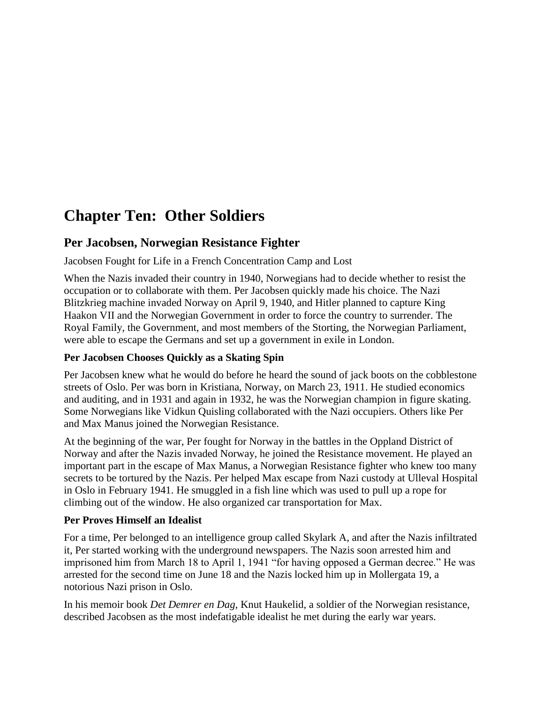# **Chapter Ten: Other Soldiers**

## **Per Jacobsen, Norwegian Resistance Fighter**

Jacobsen Fought for Life in a French Concentration Camp and Lost

When the Nazis invaded their country in 1940, Norwegians had to decide whether to resist the occupation or to collaborate with them. Per Jacobsen quickly made his choice. The Nazi Blitzkrieg machine invaded Norway on April 9, 1940, and Hitler planned to capture King Haakon VII and the Norwegian Government in order to force the country to surrender. The Royal Family, the Government, and most members of the Storting, the Norwegian Parliament, were able to escape the Germans and set up a government in exile in London.

#### **Per Jacobsen Chooses Quickly as a Skating Spin**

Per Jacobsen knew what he would do before he heard the sound of jack boots on the cobblestone streets of Oslo. Per was born in Kristiana, Norway, on March 23, 1911. He studied economics and auditing, and in 1931 and again in 1932, he was the Norwegian champion in figure skating. Some Norwegians like Vidkun Quisling collaborated with the Nazi occupiers. Others like Per and Max Manus joined the Norwegian Resistance.

At the beginning of the war, Per fought for Norway in the battles in the Oppland District of Norway and after the Nazis invaded Norway, he joined the Resistance movement. He played an important part in the escape of Max Manus, a Norwegian Resistance fighter who knew too many secrets to be tortured by the Nazis. Per helped Max escape from Nazi custody at Ulleval Hospital in Oslo in February 1941. He smuggled in a fish line which was used to pull up a rope for climbing out of the window. He also organized car transportation for Max.

## **Per Proves Himself an Idealist**

For a time, Per belonged to an intelligence group called Skylark A, and after the Nazis infiltrated it, Per started working with the underground newspapers. The Nazis soon arrested him and imprisoned him from March 18 to April 1, 1941 "for having opposed a German decree." He was arrested for the second time on June 18 and the Nazis locked him up in Mollergata 19, a notorious Nazi prison in Oslo.

In his memoir book *Det Demrer en Dag*, Knut Haukelid, a soldier of the Norwegian resistance, described Jacobsen as the most indefatigable idealist he met during the early war years.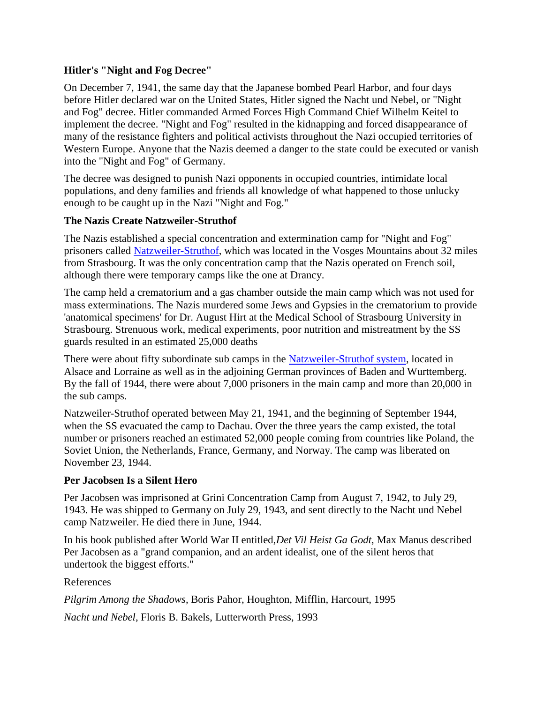#### **Hitler's "Night and Fog Decree"**

On December 7, 1941, the same day that the Japanese bombed Pearl Harbor, and four days before Hitler declared war on the United States, Hitler signed the Nacht und Nebel, or "Night and Fog" decree. Hitler commanded Armed Forces High Command Chief Wilhelm Keitel to implement the decree. "Night and Fog" resulted in the kidnapping and forced disappearance of many of the resistance fighters and political activists throughout the Nazi occupied territories of Western Europe. Anyone that the Nazis deemed a danger to the state could be executed or vanish into the "Night and Fog" of Germany.

The decree was designed to punish Nazi opponents in occupied countries, intimidate local populations, and deny families and friends all knowledge of what happened to those unlucky enough to be caught up in the Nazi "Night and Fog."

#### **The Nazis Create Natzweiler-Struthof**

The Nazis established a special concentration and extermination camp for "Night and Fog" prisoners called [Natzweiler-Struthof,](http://dianamarahenry.com/natzweiler-struthof/EssaybyDianaMaraHenryaboutthememoirsofNatzweiler-Struthof.htm) which was located in the Vosges Mountains about 32 miles from Strasbourg. It was the only concentration camp that the Nazis operated on French soil, although there were temporary camps like the one at Drancy.

The camp held a crematorium and a gas chamber outside the main camp which was not used for mass exterminations. The Nazis murdered some Jews and Gypsies in the crematorium to provide 'anatomical specimens' for Dr. August Hirt at the Medical School of Strasbourg University in Strasbourg. Strenuous work, medical experiments, poor nutrition and mistreatment by the SS guards resulted in an estimated 25,000 deaths

There were about fifty subordinate sub camps in the [Natzweiler-Struthof system,](http://www.struthof.fr/en/home/) located in Alsace and Lorraine as well as in the adjoining German provinces of Baden and Wurttemberg. By the fall of 1944, there were about 7,000 prisoners in the main camp and more than 20,000 in the sub camps.

Natzweiler-Struthof operated between May 21, 1941, and the beginning of September 1944, when the SS evacuated the camp to Dachau. Over the three years the camp existed, the total number or prisoners reached an estimated 52,000 people coming from countries like Poland, the Soviet Union, the Netherlands, France, Germany, and Norway. The camp was liberated on November 23, 1944.

#### **Per Jacobsen Is a Silent Hero**

Per Jacobsen was imprisoned at Grini Concentration Camp from August 7, 1942, to July 29, 1943. He was shipped to Germany on July 29, 1943, and sent directly to the Nacht und Nebel camp Natzweiler. He died there in June, 1944.

In his book published after World War II entitled,*Det Vil Heist Ga Godt*, Max Manus described Per Jacobsen as a "grand companion, and an ardent idealist, one of the silent heros that undertook the biggest efforts."

References

*Pilgrim Among the Shadows*, Boris Pahor, Houghton, Mifflin, Harcourt, 1995

*Nacht und Nebel*, Floris B. Bakels, Lutterworth Press, 1993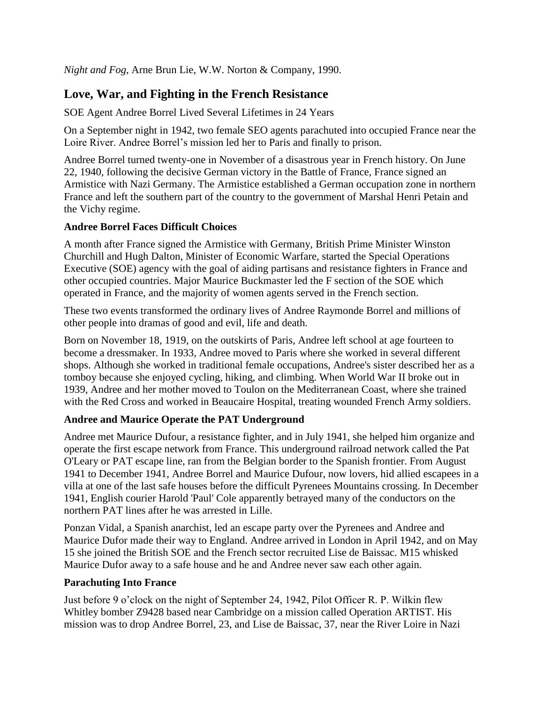*Night and Fog*, Arne Brun Lie, W.W. Norton & Company, 1990.

# **Love, War, and Fighting in the French Resistance**

SOE Agent Andree Borrel Lived Several Lifetimes in 24 Years

On a September night in 1942, two female SEO agents parachuted into occupied France near the Loire River. Andree Borrel's mission led her to Paris and finally to prison.

Andree Borrel turned twenty-one in November of a disastrous year in French history. On June 22, 1940, following the decisive German victory in the Battle of France, France signed an Armistice with Nazi Germany. The Armistice established a German occupation zone in northern France and left the southern part of the country to the government of Marshal Henri Petain and the Vichy regime.

## **Andree Borrel Faces Difficult Choices**

A month after France signed the Armistice with Germany, British Prime Minister Winston Churchill and Hugh Dalton, Minister of Economic Warfare, started the Special Operations Executive (SOE) agency with the goal of aiding partisans and resistance fighters in France and other occupied countries. Major Maurice Buckmaster led the F section of the SOE which operated in France, and the majority of women agents served in the French section.

These two events transformed the ordinary lives of Andree Raymonde Borrel and millions of other people into dramas of good and evil, life and death.

Born on November 18, 1919, on the outskirts of Paris, Andree left school at age fourteen to become a dressmaker. In 1933, Andree moved to Paris where she worked in several different shops. Although she worked in traditional female occupations, Andree's sister described her as a tomboy because she enjoyed cycling, hiking, and climbing. When World War II broke out in 1939, Andree and her mother moved to Toulon on the Mediterranean Coast, where she trained with the Red Cross and worked in Beaucaire Hospital, treating wounded French Army soldiers.

## **Andree and Maurice Operate the PAT Underground**

Andree met Maurice Dufour, a resistance fighter, and in July 1941, she helped him organize and operate the first escape network from France. This underground railroad network called the Pat O'Leary or PAT escape line, ran from the Belgian border to the Spanish frontier. From August 1941 to December 1941, Andree Borrel and Maurice Dufour, now lovers, hid allied escapees in a villa at one of the last safe houses before the difficult Pyrenees Mountains crossing. In December 1941, English courier Harold 'Paul' Cole apparently betrayed many of the conductors on the northern PAT lines after he was arrested in Lille.

Ponzan Vidal, a Spanish anarchist, led an escape party over the Pyrenees and Andree and Maurice Dufor made their way to England. Andree arrived in London in April 1942, and on May 15 she joined the British SOE and the French sector recruited Lise de Baissac. M15 whisked Maurice Dufor away to a safe house and he and Andree never saw each other again.

## **Parachuting Into France**

Just before 9 o'clock on the night of September 24, 1942, Pilot Officer R. P. Wilkin flew Whitley bomber Z9428 based near Cambridge on a mission called Operation ARTIST. His mission was to drop Andree Borrel, 23, and Lise de Baissac, 37, near the River Loire in Nazi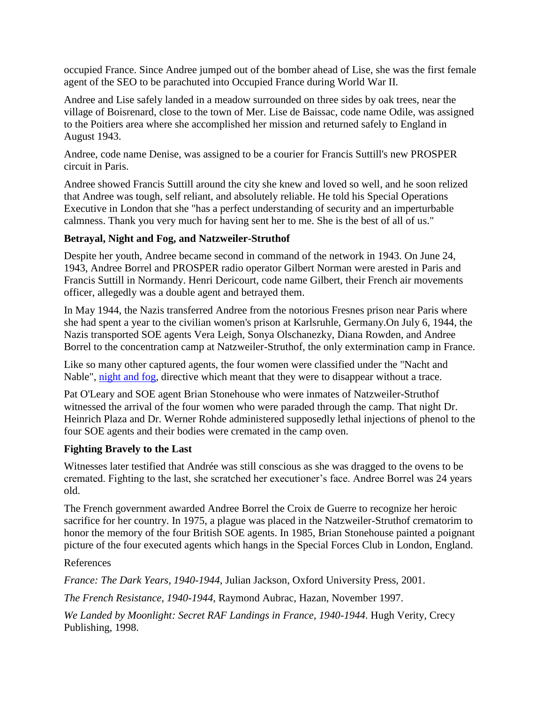occupied France. Since Andree jumped out of the bomber ahead of Lise, she was the first female agent of the SEO to be parachuted into Occupied France during World War II.

Andree and Lise safely landed in a meadow surrounded on three sides by oak trees, near the village of Boisrenard, close to the town of Mer. Lise de Baissac, code name Odile, was assigned to the Poitiers area where she accomplished her mission and returned safely to England in August 1943.

Andree, code name Denise, was assigned to be a courier for Francis Suttill's new PROSPER circuit in Paris.

Andree showed Francis Suttill around the city she knew and loved so well, and he soon relized that Andree was tough, self reliant, and absolutely reliable. He told his Special Operations Executive in London that she "has a perfect understanding of security and an imperturbable calmness. Thank you very much for having sent her to me. She is the best of all of us."

#### **Betrayal, Night and Fog, and Natzweiler-Struthof**

Despite her youth, Andree became second in command of the network in 1943. On June 24, 1943, Andree Borrel and PROSPER radio operator Gilbert Norman were arested in Paris and Francis Suttill in Normandy. Henri Dericourt, code name Gilbert, their French air movements officer, allegedly was a double agent and betrayed them.

In May 1944, the Nazis transferred Andree from the notorious Fresnes prison near Paris where she had spent a year to the civilian women's prison at Karlsruhle, Germany.On July 6, 1944, the Nazis transported SOE agents Vera Leigh, Sonya Olschanezky, Diana Rowden, and Andree Borrel to the concentration camp at Natzweiler-Struthof, the only extermination camp in France.

Like so many other captured agents, the four women were classified under the "Nacht and Nable", [night and fog,](http://www.yale.edu/lawweb/avalon/imt/nightfog.htm) directive which meant that they were to disappear without a trace.

Pat O'Leary and SOE agent Brian Stonehouse who were inmates of Natzweiler-Struthof witnessed the arrival of the four women who were paraded through the camp. That night Dr. Heinrich Plaza and Dr. Werner Rohde administered supposedly lethal injections of phenol to the four SOE agents and their bodies were cremated in the camp oven.

#### **Fighting Bravely to the Last**

Witnesses later testified that Andrée was still conscious as she was dragged to the ovens to be cremated. Fighting to the last, she scratched her executioner's face. Andree Borrel was 24 years old.

The French government awarded Andree Borrel the Croix de Guerre to recognize her heroic sacrifice for her country. In 1975, a plague was placed in the Natzweiler-Struthof crematorim to honor the memory of the four British SOE agents. In 1985, Brian Stonehouse painted a poignant picture of the four executed agents which hangs in the Special Forces Club in London, England.

#### References

*France: The Dark Years, 1940-1944,* Julian Jackson, Oxford University Press, 2001.

*The French Resistance, 1940-1944*, Raymond Aubrac, Hazan, November 1997.

*We Landed by Moonlight: Secret RAF Landings in France, 1940-1944*. Hugh Verity, Crecy Publishing, 1998.